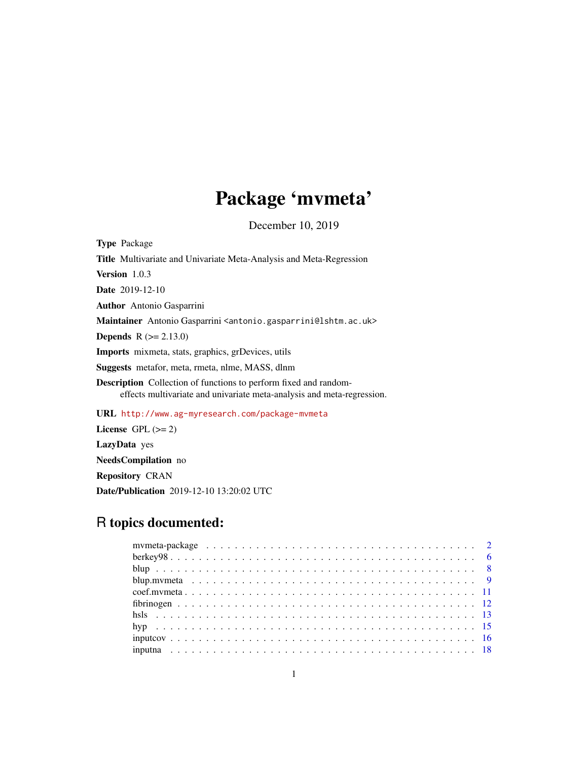# Package 'mvmeta'

December 10, 2019

<span id="page-0-0"></span>

| <b>Type Package</b>                                                                                                                               |
|---------------------------------------------------------------------------------------------------------------------------------------------------|
| Title Multivariate and Univariate Meta-Analysis and Meta-Regression                                                                               |
| <b>Version</b> $1.0.3$                                                                                                                            |
| <b>Date</b> 2019-12-10                                                                                                                            |
| <b>Author</b> Antonio Gasparrini                                                                                                                  |
| Maintainer Antonio Gasparrini <antonio.gasparrini@lshtm.ac.uk></antonio.gasparrini@lshtm.ac.uk>                                                   |
| <b>Depends</b> $R (= 2.13.0)$                                                                                                                     |
| <b>Imports</b> mixmeta, stats, graphics, grDevices, utils                                                                                         |
| <b>Suggests</b> metafor, meta, rmeta, nlme, MASS, dlnm                                                                                            |
| <b>Description</b> Collection of functions to perform fixed and random-<br>effects multivariate and univariate meta-analysis and meta-regression. |
| URL http://www.ag-myresearch.com/package-mvmeta                                                                                                   |
| License $GPL (= 2)$                                                                                                                               |
| <b>LazyData</b> yes                                                                                                                               |

NeedsCompilation no

Repository CRAN

Date/Publication 2019-12-10 13:20:02 UTC

# R topics documented: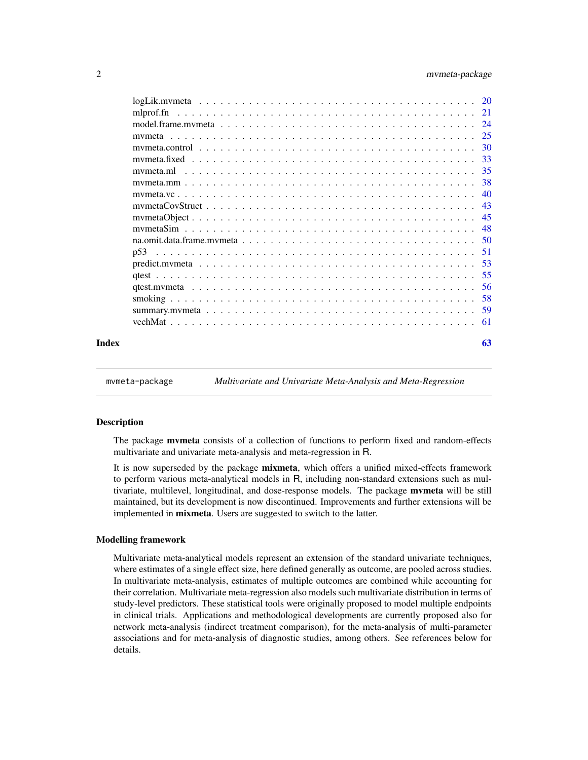<span id="page-1-0"></span>

| Index |  |  |  |  |  |  |  |  |  |  |  |  |  | 63 |
|-------|--|--|--|--|--|--|--|--|--|--|--|--|--|----|

mvmeta-package *Multivariate and Univariate Meta-Analysis and Meta-Regression*

# Description

The package **mymeta** consists of a collection of functions to perform fixed and random-effects multivariate and univariate meta-analysis and meta-regression in R.

It is now superseded by the package **mixmeta**, which offers a unified mixed-effects framework to perform various meta-analytical models in R, including non-standard extensions such as multivariate, multilevel, longitudinal, and dose-response models. The package **mvmeta** will be still maintained, but its development is now discontinued. Improvements and further extensions will be implemented in **mixmeta**. Users are suggested to switch to the latter.

### Modelling framework

Multivariate meta-analytical models represent an extension of the standard univariate techniques, where estimates of a single effect size, here defined generally as outcome, are pooled across studies. In multivariate meta-analysis, estimates of multiple outcomes are combined while accounting for their correlation. Multivariate meta-regression also models such multivariate distribution in terms of study-level predictors. These statistical tools were originally proposed to model multiple endpoints in clinical trials. Applications and methodological developments are currently proposed also for network meta-analysis (indirect treatment comparison), for the meta-analysis of multi-parameter associations and for meta-analysis of diagnostic studies, among others. See references below for details.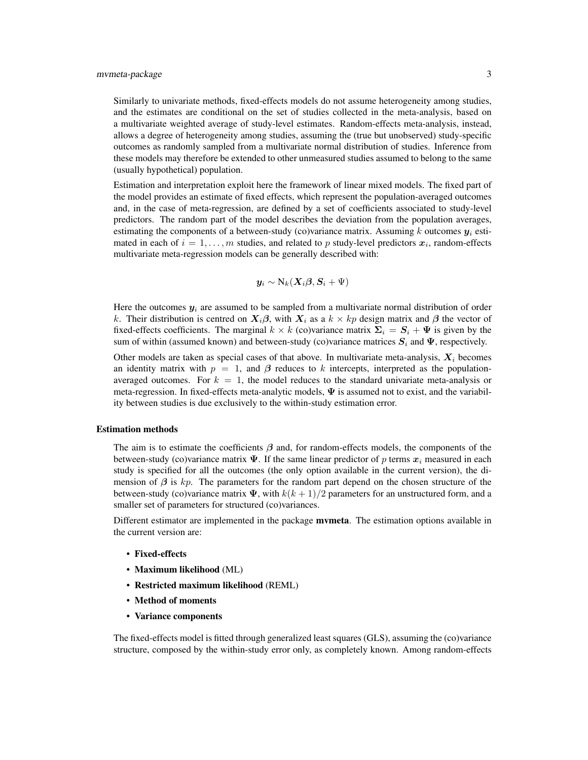Similarly to univariate methods, fixed-effects models do not assume heterogeneity among studies, and the estimates are conditional on the set of studies collected in the meta-analysis, based on a multivariate weighted average of study-level estimates. Random-effects meta-analysis, instead, allows a degree of heterogeneity among studies, assuming the (true but unobserved) study-specific outcomes as randomly sampled from a multivariate normal distribution of studies. Inference from these models may therefore be extended to other unmeasured studies assumed to belong to the same (usually hypothetical) population.

Estimation and interpretation exploit here the framework of linear mixed models. The fixed part of the model provides an estimate of fixed effects, which represent the population-averaged outcomes and, in the case of meta-regression, are defined by a set of coefficients associated to study-level predictors. The random part of the model describes the deviation from the population averages, estimating the components of a between-study (co)variance matrix. Assuming k outcomes  $y_i$  estimated in each of  $i = 1, ..., m$  studies, and related to p study-level predictors  $x_i$ , random-effects multivariate meta-regression models can be generally described with:

$$
\boldsymbol{y}_i \sim \mathrm{N}_k(\boldsymbol{X}_i \boldsymbol{\beta}, \boldsymbol{S}_i + \Psi)
$$

Here the outcomes  $y_i$  are assumed to be sampled from a multivariate normal distribution of order k. Their distribution is centred on  $X_i\beta$ , with  $X_i$  as a  $k \times kp$  design matrix and  $\beta$  the vector of fixed-effects coefficients. The marginal  $k \times k$  (co)variance matrix  $\Sigma_i = S_i + \Psi$  is given by the sum of within (assumed known) and between-study (co)variance matrices  $S_i$  and  $\Psi$ , respectively.

Other models are taken as special cases of that above. In multivariate meta-analysis,  $X_i$  becomes an identity matrix with  $p = 1$ , and  $\beta$  reduces to k intercepts, interpreted as the populationaveraged outcomes. For  $k = 1$ , the model reduces to the standard univariate meta-analysis or meta-regression. In fixed-effects meta-analytic models,  $\Psi$  is assumed not to exist, and the variability between studies is due exclusively to the within-study estimation error.

# Estimation methods

The aim is to estimate the coefficients  $\beta$  and, for random-effects models, the components of the between-study (co)variance matrix  $\Psi$ . If the same linear predictor of p terms  $x_i$  measured in each study is specified for all the outcomes (the only option available in the current version), the dimension of  $\beta$  is kp. The parameters for the random part depend on the chosen structure of the between-study (co)variance matrix  $\Psi$ , with  $k(k+1)/2$  parameters for an unstructured form, and a smaller set of parameters for structured (co)variances.

Different estimator are implemented in the package **mvmeta**. The estimation options available in the current version are:

- Fixed-effects
- Maximum likelihood (ML)
- Restricted maximum likelihood (REML)
- Method of moments
- Variance components

The fixed-effects model is fitted through generalized least squares (GLS), assuming the (co)variance structure, composed by the within-study error only, as completely known. Among random-effects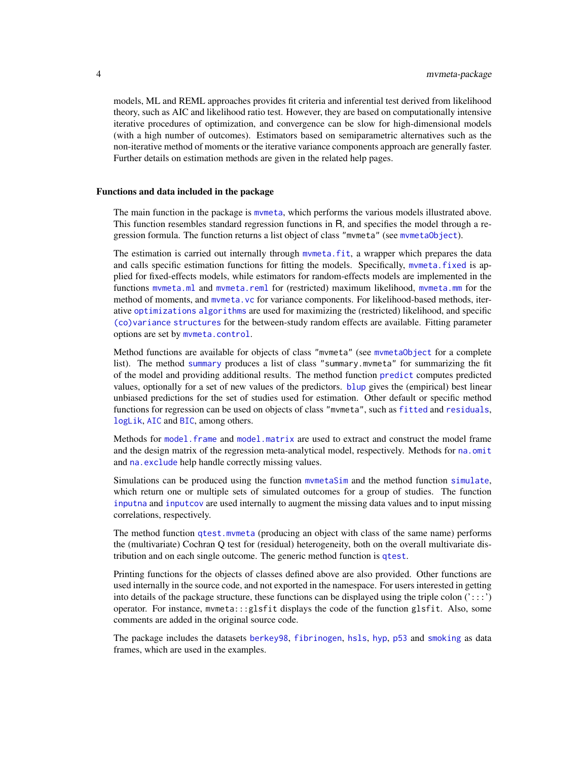<span id="page-3-0"></span>models, ML and REML approaches provides fit criteria and inferential test derived from likelihood theory, such as AIC and likelihood ratio test. However, they are based on computationally intensive iterative procedures of optimization, and convergence can be slow for high-dimensional models (with a high number of outcomes). Estimators based on semiparametric alternatives such as the non-iterative method of moments or the iterative variance components approach are generally faster. Further details on estimation methods are given in the related help pages.

### Functions and data included in the package

The main function in the package is mymeta, which performs the various models illustrated above. This function resembles standard regression functions in R, and specifies the model through a regression formula. The function returns a list object of class "mymeta" (see mymetaObject).

The estimation is carried out internally through [mvmeta.fit](#page-24-2), a wrapper which prepares the data and calls specific estimation functions for fitting the models. Specifically, [mvmeta.fixed](#page-32-1) is applied for fixed-effects models, while estimators for random-effects models are implemented in the functions mymeta.ml and mymeta.reml for (restricted) maximum likelihood, mymeta.mm for the method of moments, and mymeta.vc for variance components. For likelihood-based methods, iterative [optimizations algorithms](#page-20-1) are used for maximizing the (restricted) likelihood, and specific [\(co\)variance structures](#page-42-1) for the between-study random effects are available. Fitting parameter options are set by [mvmeta.control](#page-29-1).

Method functions are available for objects of class "mvmeta" (see [mvmetaObject](#page-44-1) for a complete list). The method [summary](#page-58-1) produces a list of class "summary.mvmeta" for summarizing the fit of the model and providing additional results. The method function [predict](#page-52-1) computes predicted values, optionally for a set of new values of the predictors. [blup](#page-8-1) gives the (empirical) best linear unbiased predictions for the set of studies used for estimation. Other default or specific method functions for regression can be used on objects of class "mvmeta", such as [fitted](#page-0-0) and [residuals](#page-0-0), [logLik](#page-19-1), [AIC](#page-0-0) and [BIC](#page-0-0), among others.

Methods for model. frame and [model.matrix](#page-23-2) are used to extract and construct the model frame and the design matrix of the regression meta-analytical model, respectively. Methods for [na.omit](#page-49-1) and [na.exclude](#page-49-2) help handle correctly missing values.

Simulations can be produced using the function [mvmetaSim](#page-47-1) and the method function [simulate](#page-47-2), which return one or multiple sets of simulated outcomes for a group of studies. The function [inputna](#page-17-1) and [inputcov](#page-15-1) are used internally to augment the missing data values and to input missing correlations, respectively.

The method function [qtest.mvmeta](#page-55-1) (producing an object with class of the same name) performs the (multivariate) Cochran Q test for (residual) heterogeneity, both on the overall multivariate distribution and on each single outcome. The generic method function is [qtest](#page-54-1).

Printing functions for the objects of classes defined above are also provided. Other functions are used internally in the source code, and not exported in the namespace. For users interested in getting into details of the package structure, these functions can be displayed using the triple colon  $(':::)$ operator. For instance, mvmeta:::glsfit displays the code of the function glsfit. Also, some comments are added in the original source code.

The package includes the datasets [berkey98](#page-5-1), [fibrinogen](#page-11-1), [hsls](#page-12-1), [hyp](#page-14-1), [p53](#page-50-1) and [smoking](#page-57-1) as data frames, which are used in the examples.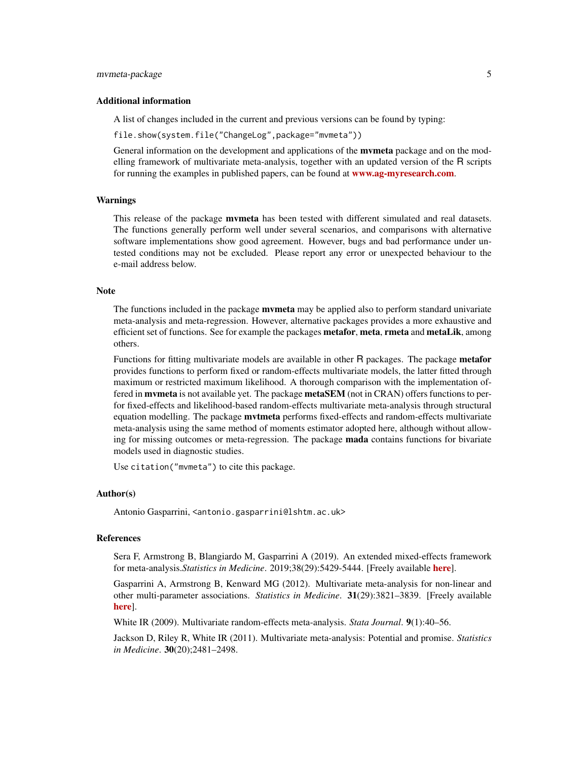# mvmeta-package 5

# Additional information

A list of changes included in the current and previous versions can be found by typing:

file.show(system.file("ChangeLog",package="mvmeta"))

General information on the development and applications of the **mymeta** package and on the modelling framework of multivariate meta-analysis, together with an updated version of the R scripts for running the examples in published papers, can be found at **[www.ag-myresearch.com](http://www.ag-myresearch.com)**.

# Warnings

This release of the package **mymeta** has been tested with different simulated and real datasets. The functions generally perform well under several scenarios, and comparisons with alternative software implementations show good agreement. However, bugs and bad performance under untested conditions may not be excluded. Please report any error or unexpected behaviour to the e-mail address below.

# Note

The functions included in the package **mymeta** may be applied also to perform standard univariate meta-analysis and meta-regression. However, alternative packages provides a more exhaustive and efficient set of functions. See for example the packages metafor, meta, rmeta and metaLik, among others.

Functions for fitting multivariate models are available in other R packages. The package metafor provides functions to perform fixed or random-effects multivariate models, the latter fitted through maximum or restricted maximum likelihood. A thorough comparison with the implementation offered in **mymeta** is not available yet. The package metaSEM (not in CRAN) offers functions to perfor fixed-effects and likelihood-based random-effects multivariate meta-analysis through structural equation modelling. The package **mytmeta** performs fixed-effects and random-effects multivariate meta-analysis using the same method of moments estimator adopted here, although without allowing for missing outcomes or meta-regression. The package **mada** contains functions for bivariate models used in diagnostic studies.

Use citation("mvmeta") to cite this package.

### Author(s)

Antonio Gasparrini, <antonio.gasparrini@lshtm.ac.uk>

# References

Sera F, Armstrong B, Blangiardo M, Gasparrini A (2019). An extended mixed-effects framework for meta-analysis.*Statistics in Medicine*. 2019;38(29):5429-5444. [Freely available [here](http://www.ag-myresearch.com/2019_sera_statmed.html)].

Gasparrini A, Armstrong B, Kenward MG (2012). Multivariate meta-analysis for non-linear and other multi-parameter associations. *Statistics in Medicine*. 31(29):3821–3839. [Freely available [here](http://www.ag-myresearch.com/2012_gasparrini_statmed.html)].

White IR (2009). Multivariate random-effects meta-analysis. *Stata Journal*. 9(1):40–56.

Jackson D, Riley R, White IR (2011). Multivariate meta-analysis: Potential and promise. *Statistics in Medicine*. 30(20);2481–2498.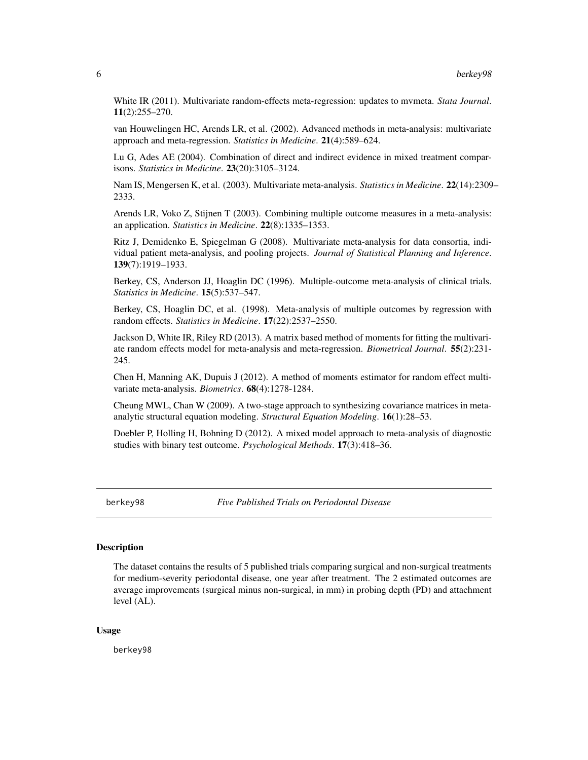<span id="page-5-0"></span>White IR (2011). Multivariate random-effects meta-regression: updates to mvmeta. *Stata Journal*. 11(2):255–270.

van Houwelingen HC, Arends LR, et al. (2002). Advanced methods in meta-analysis: multivariate approach and meta-regression. *Statistics in Medicine*. 21(4):589–624.

Lu G, Ades AE (2004). Combination of direct and indirect evidence in mixed treatment comparisons. *Statistics in Medicine*. 23(20):3105–3124.

Nam IS, Mengersen K, et al. (2003). Multivariate meta-analysis. *Statistics in Medicine*. 22(14):2309– 2333.

Arends LR, Voko Z, Stijnen T (2003). Combining multiple outcome measures in a meta-analysis: an application. *Statistics in Medicine*. 22(8):1335–1353.

Ritz J, Demidenko E, Spiegelman G (2008). Multivariate meta-analysis for data consortia, individual patient meta-analysis, and pooling projects. *Journal of Statistical Planning and Inference*. 139(7):1919–1933.

Berkey, CS, Anderson JJ, Hoaglin DC (1996). Multiple-outcome meta-analysis of clinical trials. *Statistics in Medicine*. 15(5):537–547.

Berkey, CS, Hoaglin DC, et al. (1998). Meta-analysis of multiple outcomes by regression with random effects. *Statistics in Medicine*. 17(22):2537–2550.

Jackson D, White IR, Riley RD (2013). A matrix based method of moments for fitting the multivariate random effects model for meta-analysis and meta-regression. *Biometrical Journal*. 55(2):231- 245.

Chen H, Manning AK, Dupuis J (2012). A method of moments estimator for random effect multivariate meta-analysis. *Biometrics*. 68(4):1278-1284.

Cheung MWL, Chan W (2009). A two-stage approach to synthesizing covariance matrices in metaanalytic structural equation modeling. *Structural Equation Modeling*. 16(1):28–53.

Doebler P, Holling H, Bohning D (2012). A mixed model approach to meta-analysis of diagnostic studies with binary test outcome. *Psychological Methods*. 17(3):418–36.

<span id="page-5-1"></span>berkey98 *Five Published Trials on Periodontal Disease*

# Description

The dataset contains the results of 5 published trials comparing surgical and non-surgical treatments for medium-severity periodontal disease, one year after treatment. The 2 estimated outcomes are average improvements (surgical minus non-surgical, in mm) in probing depth (PD) and attachment level (AL).

### Usage

berkey98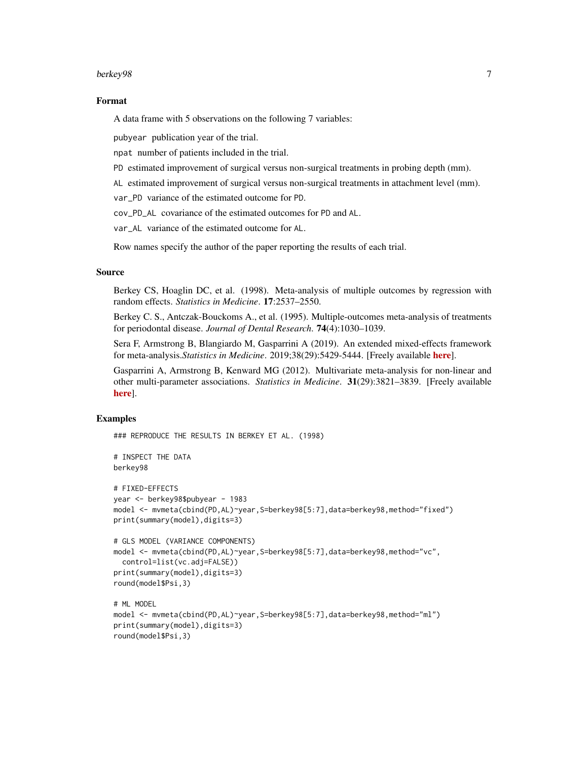# berkey98 7

# Format

A data frame with 5 observations on the following 7 variables:

pubyear publication year of the trial.

npat number of patients included in the trial.

PD estimated improvement of surgical versus non-surgical treatments in probing depth (mm).

AL estimated improvement of surgical versus non-surgical treatments in attachment level (mm).

var\_PD variance of the estimated outcome for PD.

cov\_PD\_AL covariance of the estimated outcomes for PD and AL.

var\_AL variance of the estimated outcome for AL.

Row names specify the author of the paper reporting the results of each trial.

# Source

Berkey CS, Hoaglin DC, et al. (1998). Meta-analysis of multiple outcomes by regression with random effects. *Statistics in Medicine*. 17:2537–2550.

Berkey C. S., Antczak-Bouckoms A., et al. (1995). Multiple-outcomes meta-analysis of treatments for periodontal disease. *Journal of Dental Research*. 74(4):1030–1039.

Sera F, Armstrong B, Blangiardo M, Gasparrini A (2019). An extended mixed-effects framework for meta-analysis.*Statistics in Medicine*. 2019;38(29):5429-5444. [Freely available [here](http://www.ag-myresearch.com/2019_sera_statmed.html)].

Gasparrini A, Armstrong B, Kenward MG (2012). Multivariate meta-analysis for non-linear and other multi-parameter associations. *Statistics in Medicine*. 31(29):3821–3839. [Freely available [here](http://www.ag-myresearch.com/2012_gasparrini_statmed.html)].

# Examples

### REPRODUCE THE RESULTS IN BERKEY ET AL. (1998)

```
# INSPECT THE DATA
berkey98
# FIXED-EFFECTS
year <- berkey98$pubyear - 1983
model <- mvmeta(cbind(PD,AL)~year,S=berkey98[5:7],data=berkey98,method="fixed")
print(summary(model),digits=3)
# GLS MODEL (VARIANCE COMPONENTS)
model <- mvmeta(cbind(PD,AL)~year,S=berkey98[5:7],data=berkey98,method="vc",
  control=list(vc.adj=FALSE))
print(summary(model),digits=3)
round(model$Psi,3)
# ML MODEL
model <- mvmeta(cbind(PD,AL)~year,S=berkey98[5:7],data=berkey98,method="ml")
print(summary(model),digits=3)
round(model$Psi,3)
```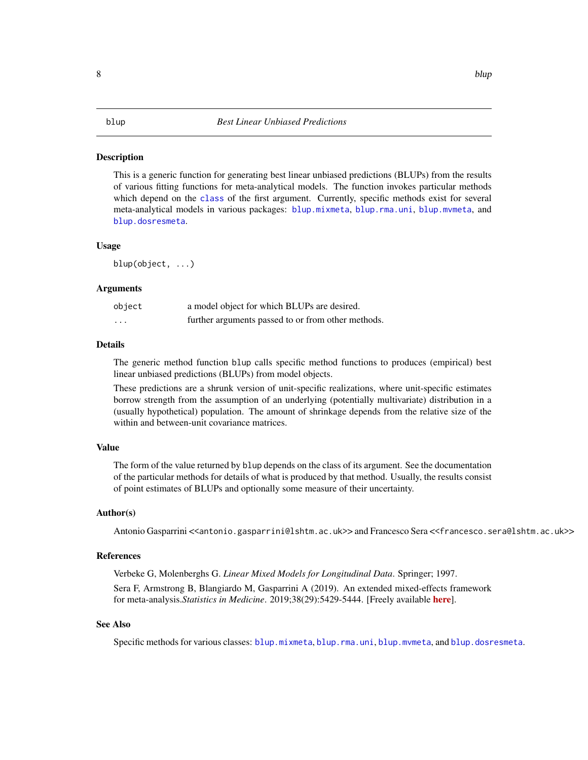# <span id="page-7-0"></span>**Description**

This is a generic function for generating best linear unbiased predictions (BLUPs) from the results of various fitting functions for meta-analytical models. The function invokes particular methods which depend on the [class](#page-0-0) of the first argument. Currently, specific methods exist for several meta-analytical models in various packages: [blup.mixmeta](#page-0-0), [blup.rma.uni](#page-0-0), [blup.mvmeta](#page-8-1), and [blup.dosresmeta](#page-0-0).

### Usage

blup(object, ...)

### Arguments

| object   | a model object for which BLUPs are desired.        |
|----------|----------------------------------------------------|
| $\cdots$ | further arguments passed to or from other methods. |

# Details

The generic method function blup calls specific method functions to produces (empirical) best linear unbiased predictions (BLUPs) from model objects.

These predictions are a shrunk version of unit-specific realizations, where unit-specific estimates borrow strength from the assumption of an underlying (potentially multivariate) distribution in a (usually hypothetical) population. The amount of shrinkage depends from the relative size of the within and between-unit covariance matrices.

# Value

The form of the value returned by blup depends on the class of its argument. See the documentation of the particular methods for details of what is produced by that method. Usually, the results consist of point estimates of BLUPs and optionally some measure of their uncertainty.

# Author(s)

Antonio Gasparrini <<antonio.gasparrini@lshtm.ac.uk>> and Francesco Sera <<francesco.sera@lshtm.ac.uk>>

# References

Verbeke G, Molenberghs G. *Linear Mixed Models for Longitudinal Data*. Springer; 1997.

Sera F, Armstrong B, Blangiardo M, Gasparrini A (2019). An extended mixed-effects framework for meta-analysis.*Statistics in Medicine*. 2019;38(29):5429-5444. [Freely available [here](http://www.ag-myresearch.com/2019_sera_statmed.html)].

### See Also

Specific methods for various classes: [blup.mixmeta](#page-0-0), [blup.rma.uni](#page-0-0), [blup.mvmeta](#page-8-1), and [blup.dosresmeta](#page-0-0).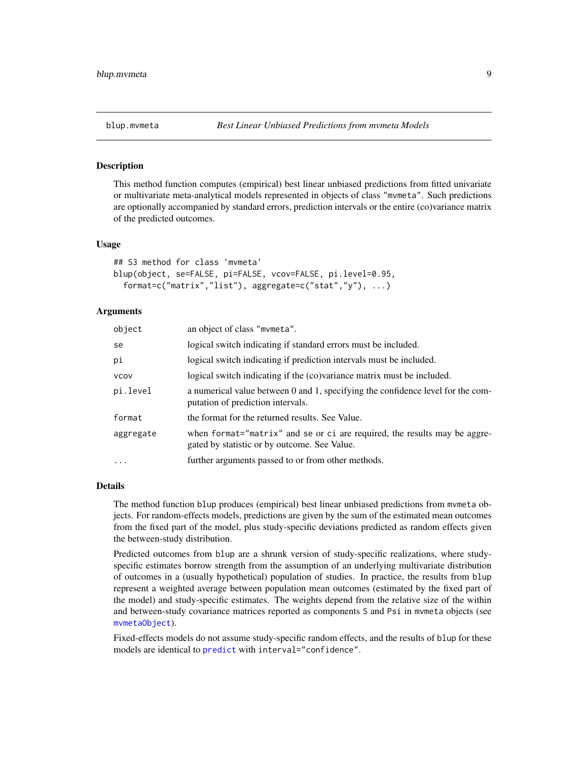<span id="page-8-1"></span><span id="page-8-0"></span>

### Description

This method function computes (empirical) best linear unbiased predictions from fitted univariate or multivariate meta-analytical models represented in objects of class "mvmeta". Such predictions are optionally accompanied by standard errors, prediction intervals or the entire (co)variance matrix of the predicted outcomes.

### Usage

```
## S3 method for class 'mvmeta'
blup(object, se=FALSE, pi=FALSE, vcov=FALSE, pi.level=0.95,
  format=c("matrix","list"), aggregate=c("stat","y"), ...)
```
# Arguments

| object      | an object of class "mvmeta".                                                                                              |
|-------------|---------------------------------------------------------------------------------------------------------------------------|
| se          | logical switch indicating if standard errors must be included.                                                            |
| рi          | logical switch indicating if prediction intervals must be included.                                                       |
| <b>VCOV</b> | logical switch indicating if the (co)variance matrix must be included.                                                    |
| pi.level    | a numerical value between 0 and 1, specifying the confidence level for the com-<br>putation of prediction intervals.      |
| format      | the format for the returned results. See Value.                                                                           |
| aggregate   | when format="matrix" and se or ci are required, the results may be aggre-<br>gated by statistic or by outcome. See Value. |
| $\ddots$    | further arguments passed to or from other methods.                                                                        |

### Details

The method function blup produces (empirical) best linear unbiased predictions from mvmeta objects. For random-effects models, predictions are given by the sum of the estimated mean outcomes from the fixed part of the model, plus study-specific deviations predicted as random effects given the between-study distribution.

Predicted outcomes from blup are a shrunk version of study-specific realizations, where studyspecific estimates borrow strength from the assumption of an underlying multivariate distribution of outcomes in a (usually hypothetical) population of studies. In practice, the results from blup represent a weighted average between population mean outcomes (estimated by the fixed part of the model) and study-specific estimates. The weights depend from the relative size of the within and between-study covariance matrices reported as components S and Psi in mvmeta objects (see [mvmetaObject](#page-44-1)).

Fixed-effects models do not assume study-specific random effects, and the results of blup for these models are identical to [predict](#page-52-1) with interval="confidence".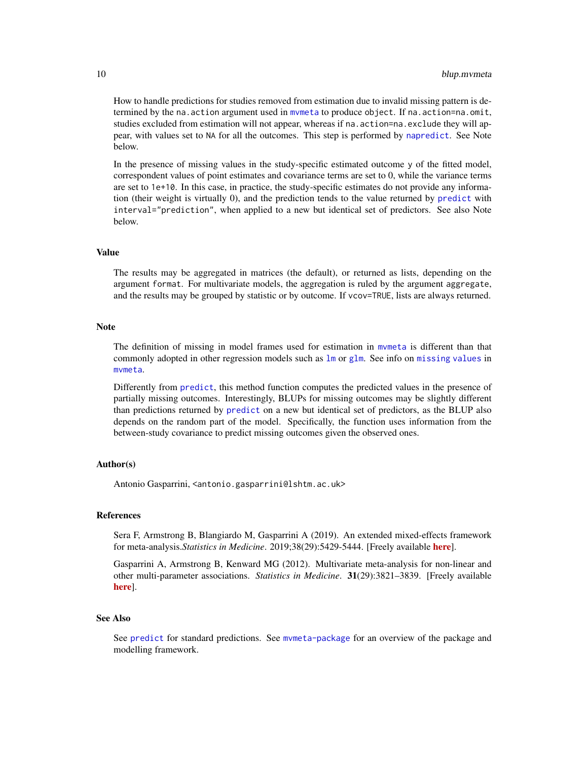<span id="page-9-0"></span>How to handle predictions for studies removed from estimation due to invalid missing pattern is determined by the na.action argument used in [mvmeta](#page-24-1) to produce object. If na.action=na.omit, studies excluded from estimation will not appear, whereas if na. action=na. exclude they will appear, with values set to NA for all the outcomes. This step is performed by [napredict](#page-0-0). See Note below.

In the presence of missing values in the study-specific estimated outcome y of the fitted model, correspondent values of point estimates and covariance terms are set to 0, while the variance terms are set to 1e+10. In this case, in practice, the study-specific estimates do not provide any information (their weight is virtually 0), and the prediction tends to the value returned by [predict](#page-52-1) with interval="prediction", when applied to a new but identical set of predictors. See also Note below.

### Value

The results may be aggregated in matrices (the default), or returned as lists, depending on the argument format. For multivariate models, the aggregation is ruled by the argument aggregate, and the results may be grouped by statistic or by outcome. If vcov=TRUE, lists are always returned.

# **Note**

The definition of missing in model frames used for estimation in [mvmeta](#page-24-1) is different than that commonly adopted in other regression models such as [lm](#page-0-0) or [glm](#page-0-0). See info on [missing values](#page-49-1) in [mvmeta](#page-24-1).

Differently from [predict](#page-52-1), this method function computes the predicted values in the presence of partially missing outcomes. Interestingly, BLUPs for missing outcomes may be slightly different than predictions returned by [predict](#page-52-1) on a new but identical set of predictors, as the BLUP also depends on the random part of the model. Specifically, the function uses information from the between-study covariance to predict missing outcomes given the observed ones.

# Author(s)

Antonio Gasparrini, <antonio.gasparrini@lshtm.ac.uk>

# **References**

Sera F, Armstrong B, Blangiardo M, Gasparrini A (2019). An extended mixed-effects framework for meta-analysis.*Statistics in Medicine*. 2019;38(29):5429-5444. [Freely available [here](http://www.ag-myresearch.com/2019_sera_statmed.html)].

Gasparrini A, Armstrong B, Kenward MG (2012). Multivariate meta-analysis for non-linear and other multi-parameter associations. *Statistics in Medicine*. 31(29):3821–3839. [Freely available [here](http://www.ag-myresearch.com/2012_gasparrini_statmed.html)].

### See Also

See [predict](#page-52-1) for standard predictions. See [mvmeta-package](#page-1-1) for an overview of the package and modelling framework.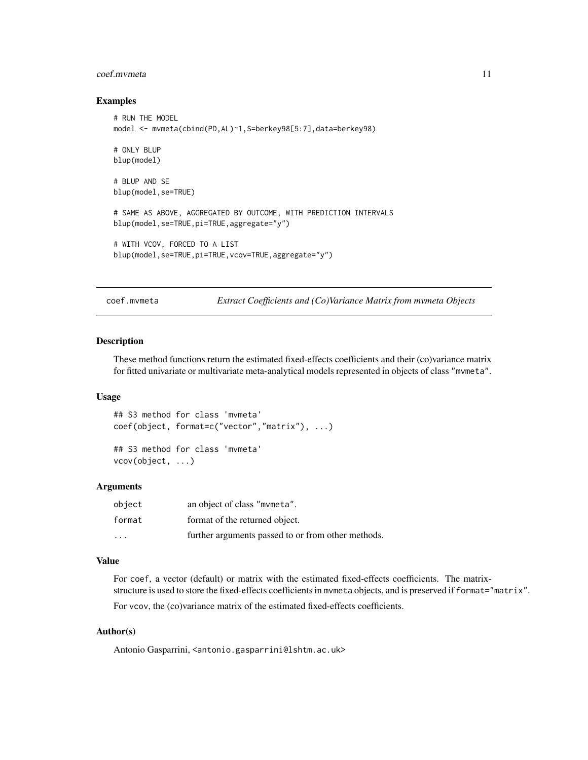### <span id="page-10-0"></span>coef.mvmeta 11

# Examples

```
# RUN THE MODEL
model <- mvmeta(cbind(PD,AL)~1,S=berkey98[5:7],data=berkey98)
# ONLY BLUP
blup(model)
# BLUP AND SE
blup(model,se=TRUE)
# SAME AS ABOVE, AGGREGATED BY OUTCOME, WITH PREDICTION INTERVALS
blup(model,se=TRUE,pi=TRUE,aggregate="y")
# WITH VCOV, FORCED TO A LIST
blup(model,se=TRUE,pi=TRUE,vcov=TRUE,aggregate="y")
```
<span id="page-10-1"></span>coef.mvmeta *Extract Coefficients and (Co)Variance Matrix from mvmeta Objects*

# <span id="page-10-2"></span>Description

These method functions return the estimated fixed-effects coefficients and their (co)variance matrix for fitted univariate or multivariate meta-analytical models represented in objects of class "mvmeta".

# Usage

```
## S3 method for class 'mvmeta'
coef(object, format=c("vector","matrix"), ...)
```
## S3 method for class 'mvmeta' vcov(object, ...)

# Arguments

| object | an object of class "mymeta".                       |
|--------|----------------------------------------------------|
| format | format of the returned object.                     |
| .      | further arguments passed to or from other methods. |

### Value

For coef, a vector (default) or matrix with the estimated fixed-effects coefficients. The matrixstructure is used to store the fixed-effects coefficients in mvmeta objects, and is preserved if format="matrix".

For vcov, the (co)variance matrix of the estimated fixed-effects coefficients.

# Author(s)

Antonio Gasparrini, <antonio.gasparrini@lshtm.ac.uk>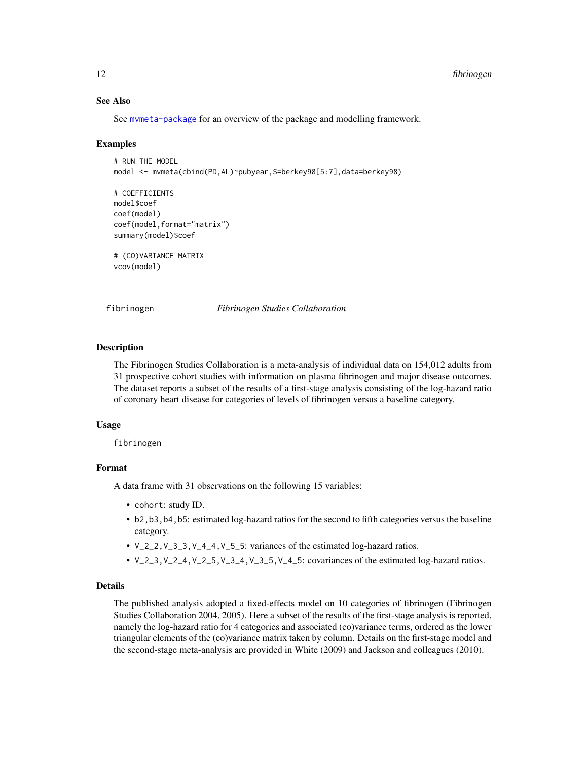# See Also

See [mvmeta-package](#page-1-1) for an overview of the package and modelling framework.

# Examples

```
# RUN THE MODEL
model <- mvmeta(cbind(PD,AL)~pubyear,S=berkey98[5:7],data=berkey98)
# COEFFICIENTS
model$coef
coef(model)
coef(model,format="matrix")
summary(model)$coef
# (CO)VARIANCE MATRIX
vcov(model)
```
<span id="page-11-1"></span>fibrinogen *Fibrinogen Studies Collaboration*

# Description

The Fibrinogen Studies Collaboration is a meta-analysis of individual data on 154,012 adults from 31 prospective cohort studies with information on plasma fibrinogen and major disease outcomes. The dataset reports a subset of the results of a first-stage analysis consisting of the log-hazard ratio of coronary heart disease for categories of levels of fibrinogen versus a baseline category.

### Usage

fibrinogen

# Format

A data frame with 31 observations on the following 15 variables:

- cohort: study ID.
- b2,b3,b4,b5: estimated log-hazard ratios for the second to fifth categories versus the baseline category.
- V\_2\_2,V\_3\_3,V\_4\_4,V\_5\_5: variances of the estimated log-hazard ratios.
- $V_2$ <sub>2</sub>, $V_2$ <sub>2</sub>, $V_3$ <sub>2</sub>, $V_4$ <sub>2</sub>, $V_3$ <sub>2</sub>, $V_4$ <sub>2</sub>, $V_5$ <sub>2</sub>, $V_6$ <sub>2</sub>, $V_7$ <sub>2</sub>, $V_8$ <sub>2</sub>, $V_9$ <sub>2</sub>, $V_9$ <sub>2</sub>, $V_1$ <sub>2</sub>, $V_2$ <sub>2</sub>, $V_3$ <sub>2</sub>, $V_4$ <sub>2</sub>, $V_5$ <sub>2</sub>, $V_6$ <sub>2</sub>, $V_7$ <sub>2</sub>, $V_8$ <sub>2</sub>, $V_9$ <sub>2</sub>, $V_9$ <sub>2</sub>, $V_9$ <sub>2</sub>, $V_9$ <sub>2</sub>, $V_$

# Details

The published analysis adopted a fixed-effects model on 10 categories of fibrinogen (Fibrinogen Studies Collaboration 2004, 2005). Here a subset of the results of the first-stage analysis is reported, namely the log-hazard ratio for 4 categories and associated (co)variance terms, ordered as the lower triangular elements of the (co)variance matrix taken by column. Details on the first-stage model and the second-stage meta-analysis are provided in White (2009) and Jackson and colleagues (2010).

<span id="page-11-0"></span>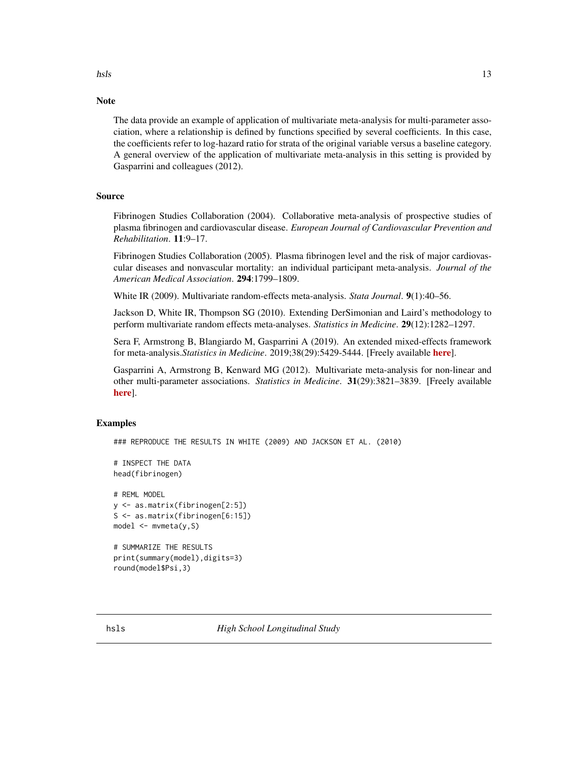<span id="page-12-0"></span>hsls and the set of the set of the set of the set of the set of the set of the set of the set of the set of the set of the set of the set of the set of the set of the set of the set of the set of the set of the set of the

# Note

The data provide an example of application of multivariate meta-analysis for multi-parameter association, where a relationship is defined by functions specified by several coefficients. In this case, the coefficients refer to log-hazard ratio for strata of the original variable versus a baseline category. A general overview of the application of multivariate meta-analysis in this setting is provided by Gasparrini and colleagues (2012).

# Source

Fibrinogen Studies Collaboration (2004). Collaborative meta-analysis of prospective studies of plasma fibrinogen and cardiovascular disease. *European Journal of Cardiovascular Prevention and Rehabilitation*. 11:9–17.

Fibrinogen Studies Collaboration (2005). Plasma fibrinogen level and the risk of major cardiovascular diseases and nonvascular mortality: an individual participant meta-analysis. *Journal of the American Medical Association*. 294:1799–1809.

White IR (2009). Multivariate random-effects meta-analysis. *Stata Journal*. 9(1):40–56.

Jackson D, White IR, Thompson SG (2010). Extending DerSimonian and Laird's methodology to perform multivariate random effects meta-analyses. *Statistics in Medicine*. 29(12):1282–1297.

Sera F, Armstrong B, Blangiardo M, Gasparrini A (2019). An extended mixed-effects framework for meta-analysis.*Statistics in Medicine*. 2019;38(29):5429-5444. [Freely available [here](http://www.ag-myresearch.com/2019_sera_statmed.html)].

Gasparrini A, Armstrong B, Kenward MG (2012). Multivariate meta-analysis for non-linear and other multi-parameter associations. *Statistics in Medicine*. 31(29):3821–3839. [Freely available [here](http://www.ag-myresearch.com/2012_gasparrini_statmed.html)].

# Examples

### REPRODUCE THE RESULTS IN WHITE (2009) AND JACKSON ET AL. (2010)

```
# INSPECT THE DATA
head(fibrinogen)
```

```
# REML MODEL
y <- as.matrix(fibrinogen[2:5])
S <- as.matrix(fibrinogen[6:15])
model <- mvmeta(y,S)
```

```
# SUMMARIZE THE RESULTS
print(summary(model),digits=3)
round(model$Psi,3)
```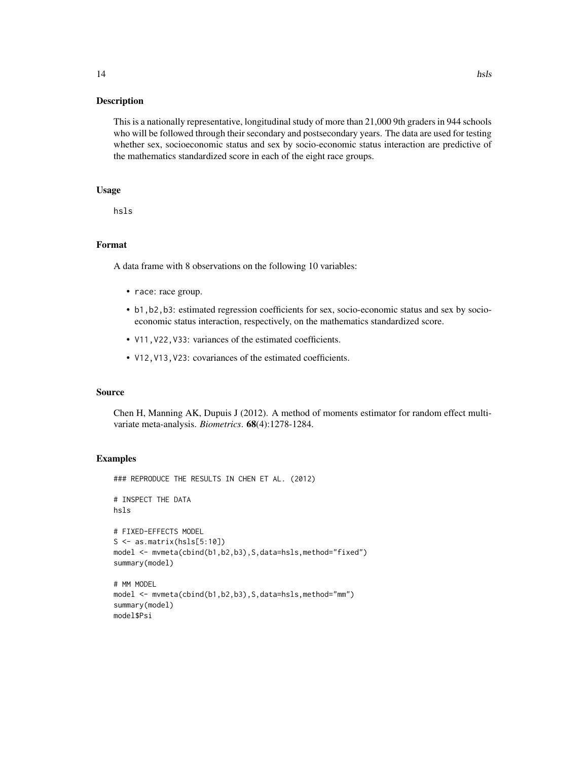# Description

This is a nationally representative, longitudinal study of more than 21,000 9th graders in 944 schools who will be followed through their secondary and postsecondary years. The data are used for testing whether sex, socioeconomic status and sex by socio-economic status interaction are predictive of the mathematics standardized score in each of the eight race groups.

# Usage

hsls

# Format

A data frame with 8 observations on the following 10 variables:

- race: race group.
- b1,b2,b3: estimated regression coefficients for sex, socio-economic status and sex by socioeconomic status interaction, respectively, on the mathematics standardized score.
- V11,V22,V33: variances of the estimated coefficients.
- V12,V13,V23: covariances of the estimated coefficients.

# Source

Chen H, Manning AK, Dupuis J (2012). A method of moments estimator for random effect multivariate meta-analysis. *Biometrics*. 68(4):1278-1284.

# Examples

```
### REPRODUCE THE RESULTS IN CHEN ET AL. (2012)
# INSPECT THE DATA
hsls
# FIXED-EFFECTS MODEL
S \leftarrow as_matrix(hsls[5:10])model <- mvmeta(cbind(b1,b2,b3),S,data=hsls,method="fixed")
summary(model)
# MM MODEL
model <- mvmeta(cbind(b1,b2,b3),S,data=hsls,method="mm")
summary(model)
model$Psi
```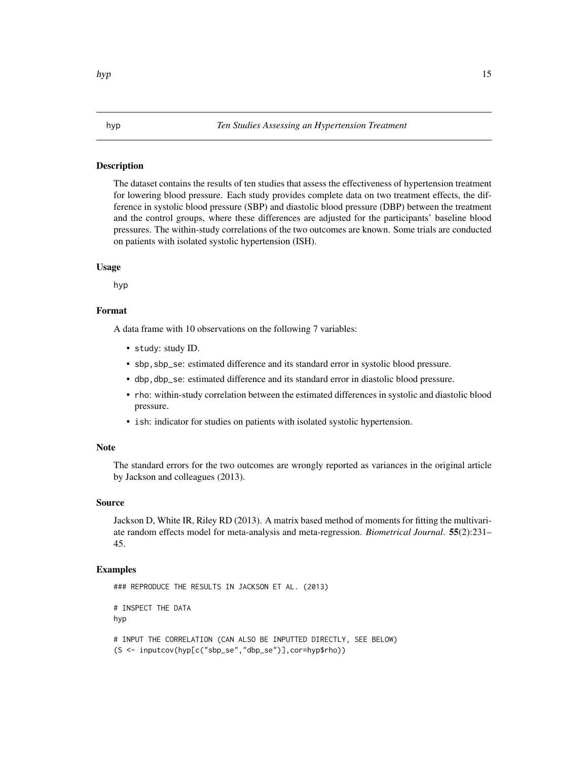# <span id="page-14-1"></span><span id="page-14-0"></span>Description

The dataset contains the results of ten studies that assess the effectiveness of hypertension treatment for lowering blood pressure. Each study provides complete data on two treatment effects, the difference in systolic blood pressure (SBP) and diastolic blood pressure (DBP) between the treatment and the control groups, where these differences are adjusted for the participants' baseline blood pressures. The within-study correlations of the two outcomes are known. Some trials are conducted on patients with isolated systolic hypertension (ISH).

# Usage

hyp

# Format

A data frame with 10 observations on the following 7 variables:

- study: study ID.
- sbp,sbp\_se: estimated difference and its standard error in systolic blood pressure.
- dbp,dbp\_se: estimated difference and its standard error in diastolic blood pressure.
- rho: within-study correlation between the estimated differences in systolic and diastolic blood pressure.
- ish: indicator for studies on patients with isolated systolic hypertension.

# Note

The standard errors for the two outcomes are wrongly reported as variances in the original article by Jackson and colleagues (2013).

# Source

Jackson D, White IR, Riley RD (2013). A matrix based method of moments for fitting the multivariate random effects model for meta-analysis and meta-regression. *Biometrical Journal*. 55(2):231– 45.

# Examples

```
### REPRODUCE THE RESULTS IN JACKSON ET AL. (2013)
# INSPECT THE DATA
hyp
# INPUT THE CORRELATION (CAN ALSO BE INPUTTED DIRECTLY, SEE BELOW)
(S <- inputcov(hyp[c("sbp_se","dbp_se")],cor=hyp$rho))
```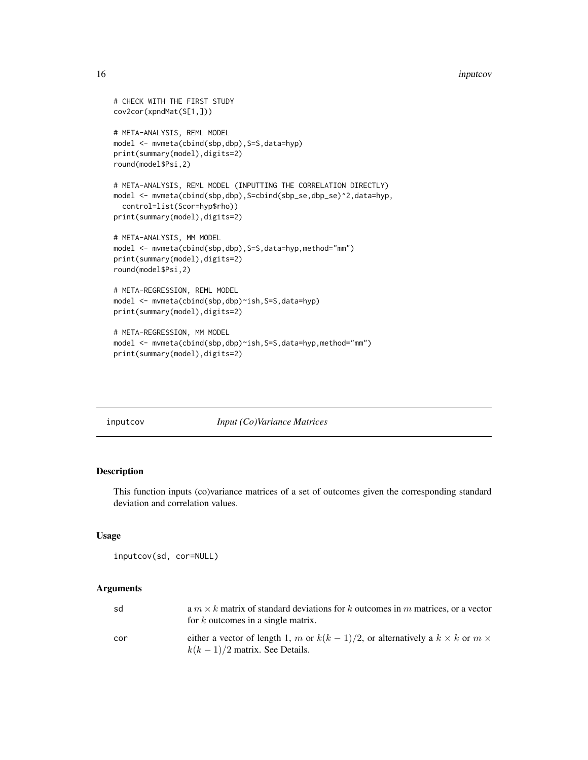### <span id="page-15-0"></span>16 inputcov and the set of the set of the set of the set of the set of the set of the set of the set of the set of the set of the set of the set of the set of the set of the set of the set of the set of the set of the set

```
# CHECK WITH THE FIRST STUDY
cov2cor(xpndMat(S[1,]))
# META-ANALYSIS, REML MODEL
model <- mvmeta(cbind(sbp,dbp),S=S,data=hyp)
print(summary(model),digits=2)
round(model$Psi,2)
# META-ANALYSIS, REML MODEL (INPUTTING THE CORRELATION DIRECTLY)
model <- mvmeta(cbind(sbp,dbp),S=cbind(sbp_se,dbp_se)^2,data=hyp,
  control=list(Scor=hyp$rho))
print(summary(model),digits=2)
# META-ANALYSIS, MM MODEL
model <- mvmeta(cbind(sbp,dbp), S=S,data=hyp,method="mm")
print(summary(model),digits=2)
round(model$Psi,2)
# META-REGRESSION, REML MODEL
model <- mvmeta(cbind(sbp,dbp)~ish,S=S,data=hyp)
print(summary(model),digits=2)
# META-REGRESSION, MM MODEL
model <- mvmeta(cbind(sbp,dbp)~ish,S=S,data=hyp,method="mm")
```

```
print(summary(model),digits=2)
```
<span id="page-15-1"></span>inputcov *Input (Co)Variance Matrices*

# Description

This function inputs (co)variance matrices of a set of outcomes given the corresponding standard deviation and correlation values.

### Usage

```
inputcov(sd, cor=NULL)
```
# Arguments

| sd  | a $m \times k$ matrix of standard deviations for k outcomes in m matrices, or a vector<br>for $k$ outcomes in a single matrix.  |
|-----|---------------------------------------------------------------------------------------------------------------------------------|
| cor | either a vector of length 1, m or $k(k-1)/2$ , or alternatively a $k \times k$ or $m \times$<br>$k(k-1)/2$ matrix. See Details. |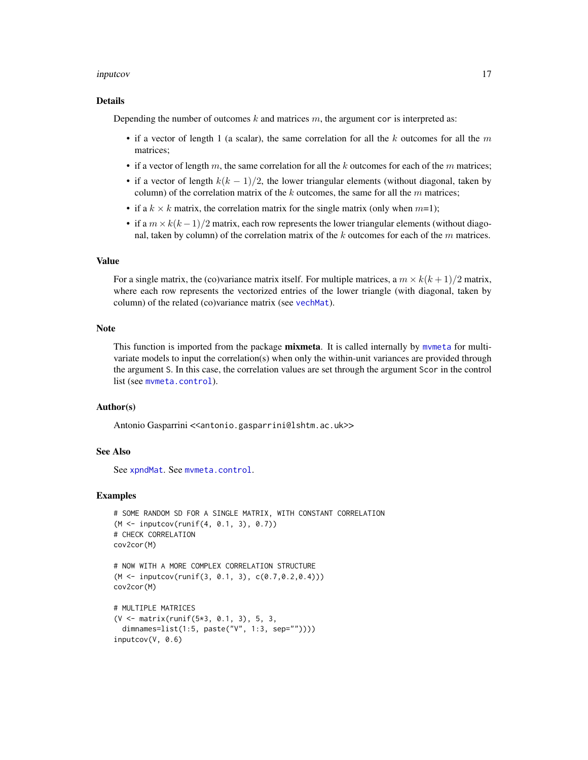# <span id="page-16-0"></span>inputcov and the contract of the contract of the contract of the contract of the contract of the contract of the contract of the contract of the contract of the contract of the contract of the contract of the contract of t

# Details

Depending the number of outcomes  $k$  and matrices  $m$ , the argument cor is interpreted as:

- if a vector of length 1 (a scalar), the same correlation for all the k outcomes for all the  $m$ matrices;
- if a vector of length m, the same correlation for all the  $k$  outcomes for each of the m matrices;
- if a vector of length  $k(k-1)/2$ , the lower triangular elements (without diagonal, taken by column) of the correlation matrix of the  $k$  outcomes, the same for all the  $m$  matrices;
- if a  $k \times k$  matrix, the correlation matrix for the single matrix (only when  $m=1$ );
- if a  $m \times k(k-1)/2$  matrix, each row represents the lower triangular elements (without diagonal, taken by column) of the correlation matrix of the k outcomes for each of the  $m$  matrices.

# Value

For a single matrix, the (co)variance matrix itself. For multiple matrices, a  $m \times k(k+1)/2$  matrix, where each row represents the vectorized entries of the lower triangle (with diagonal, taken by column) of the related (co)variance matrix (see [vechMat](#page-60-1)).

### Note

This function is imported from the package **mixmeta**. It is called internally by mymeta for multivariate models to input the correlation(s) when only the within-unit variances are provided through the argument S. In this case, the correlation values are set through the argument Scor in the control list (see [mvmeta.control](#page-29-1)).

# Author(s)

Antonio Gasparrini <<antonio.gasparrini@lshtm.ac.uk>>

# See Also

See [xpndMat](#page-60-2). See [mvmeta.control](#page-29-1).

# Examples

```
# SOME RANDOM SD FOR A SINGLE MATRIX, WITH CONSTANT CORRELATION
(M <- inputcov(runif(4, 0.1, 3), 0.7))
# CHECK CORRELATION
cov2cor(M)
```

```
# NOW WITH A MORE COMPLEX CORRELATION STRUCTURE
(M <- inputcov(runif(3, 0.1, 3), c(0.7,0.2,0.4)))
cov2cor(M)
```

```
# MULTIPLE MATRICES
(V <- matrix(runif(5*3, 0.1, 3), 5, 3,
 dimnames=list(1:5, paste("V", 1:3, sep=""))))
inputcov(V, 0.6)
```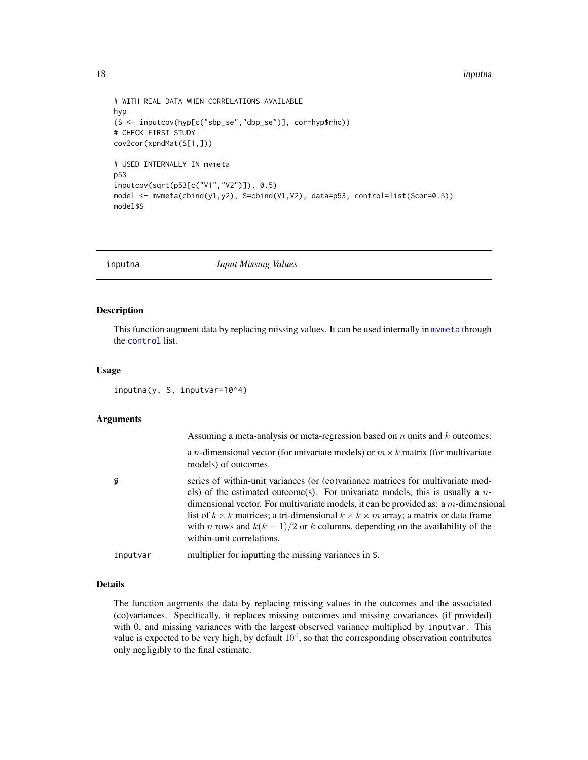```
# WITH REAL DATA WHEN CORRELATIONS AVAILABLE
hyp
(S <- inputcov(hyp[c("sbp_se","dbp_se")], cor=hyp$rho))
# CHECK FIRST STUDY
cov2cor(xpndMat(S[1,]))
# USED INTERNALLY IN mvmeta
p53
inputcov(sqrt(p53[c("V1","V2")]), 0.5)
model <- mvmeta(cbind(y1,y2), S=cbind(V1,V2), data=p53, control=list(Scor=0.5))
model$S
```
<span id="page-17-1"></span>

inputna *Input Missing Values*

# Description

This function augment data by replacing missing values. It can be used internally in [mvmeta](#page-24-1) through the [control](#page-29-1) list.

# Usage

inputna(y, S, inputvar=10^4)

# Arguments

|          | Assuming a meta-analysis or meta-regression based on $n$ units and $k$ outcomes:                                                                                                                                                                                                                                                                                                                                                                                                                   |
|----------|----------------------------------------------------------------------------------------------------------------------------------------------------------------------------------------------------------------------------------------------------------------------------------------------------------------------------------------------------------------------------------------------------------------------------------------------------------------------------------------------------|
|          | a <i>n</i> -dimensional vector (for univariate models) or $m \times k$ matrix (for multivariate<br>models) of outcomes.                                                                                                                                                                                                                                                                                                                                                                            |
| ş        | series of within-unit variances (or (co)variance matrices for multivariate mod-<br>els) of the estimated outcome(s). For univariate models, this is usually a $n-$<br>dimensional vector. For multivariate models, it can be provided as: a $m$ -dimensional<br>list of $k \times k$ matrices; a tri-dimensional $k \times k \times m$ array; a matrix or data frame<br>with <i>n</i> rows and $k(k + 1)/2$ or <i>k</i> columns, depending on the availability of the<br>within-unit correlations. |
| inputvar | multiplier for inputting the missing variances in S.                                                                                                                                                                                                                                                                                                                                                                                                                                               |

# Details

The function augments the data by replacing missing values in the outcomes and the associated (co)variances. Specifically, it replaces missing outcomes and missing covariances (if provided) with 0, and missing variances with the largest observed variance multiplied by inputvar. This value is expected to be very high, by default  $10<sup>4</sup>$ , so that the corresponding observation contributes only negligibly to the final estimate.

<span id="page-17-0"></span>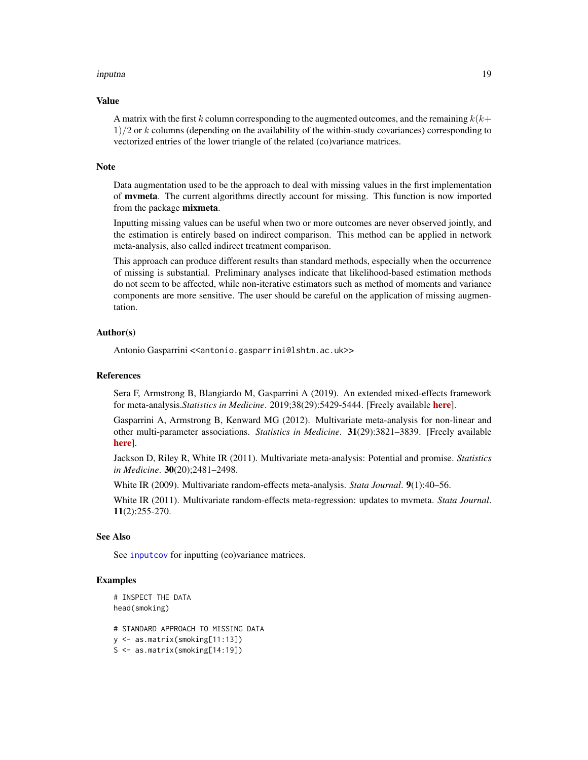### <span id="page-18-0"></span>inputna 19

### Value

A matrix with the first k column corresponding to the augmented outcomes, and the remaining  $k(k+1)$  $1/2$  or k columns (depending on the availability of the within-study covariances) corresponding to vectorized entries of the lower triangle of the related (co)variance matrices.

### Note

Data augmentation used to be the approach to deal with missing values in the first implementation of mvmeta. The current algorithms directly account for missing. This function is now imported from the package mixmeta.

Inputting missing values can be useful when two or more outcomes are never observed jointly, and the estimation is entirely based on indirect comparison. This method can be applied in network meta-analysis, also called indirect treatment comparison.

This approach can produce different results than standard methods, especially when the occurrence of missing is substantial. Preliminary analyses indicate that likelihood-based estimation methods do not seem to be affected, while non-iterative estimators such as method of moments and variance components are more sensitive. The user should be careful on the application of missing augmentation.

# Author(s)

Antonio Gasparrini << antonio.gasparrini@lshtm.ac.uk>>

# References

Sera F, Armstrong B, Blangiardo M, Gasparrini A (2019). An extended mixed-effects framework for meta-analysis.*Statistics in Medicine*. 2019;38(29):5429-5444. [Freely available [here](http://www.ag-myresearch.com/2019_sera_statmed.html)].

Gasparrini A, Armstrong B, Kenward MG (2012). Multivariate meta-analysis for non-linear and other multi-parameter associations. *Statistics in Medicine*. 31(29):3821–3839. [Freely available [here](http://www.ag-myresearch.com/2012_gasparrini_statmed.html)].

Jackson D, Riley R, White IR (2011). Multivariate meta-analysis: Potential and promise. *Statistics in Medicine*. 30(20);2481–2498.

White IR (2009). Multivariate random-effects meta-analysis. *Stata Journal*. 9(1):40–56.

White IR (2011). Multivariate random-effects meta-regression: updates to mvmeta. *Stata Journal*. 11(2):255-270.

# See Also

See [inputcov](#page-15-1) for inputting (co)variance matrices.

# Examples

```
# INSPECT THE DATA
head(smoking)
```
# STANDARD APPROACH TO MISSING DATA y <- as.matrix(smoking[11:13]) S <- as.matrix(smoking[14:19])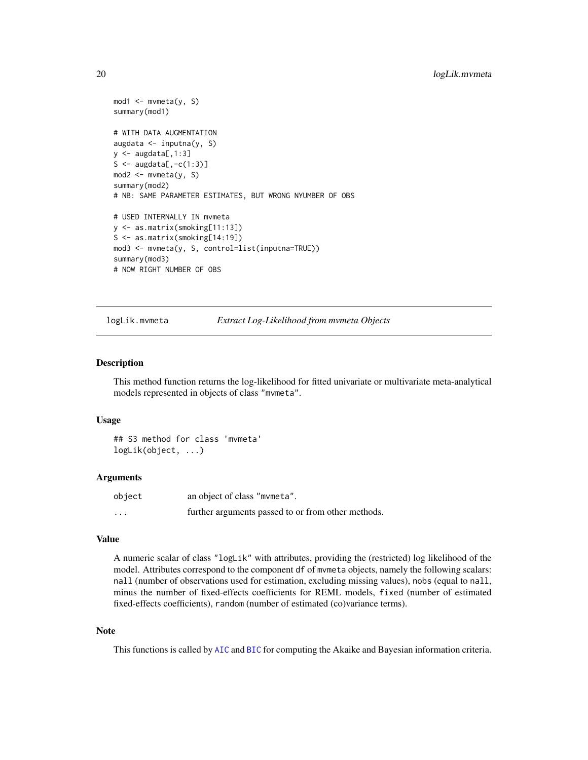```
mod1 <- mvmeta(y, S)summary(mod1)
# WITH DATA AUGMENTATION
augdata <- inputna(y, S)
y \leq - augdata[,1:3]
S <- augdata[, -c(1:3)]mod2 <- mvmeta(y, S)
summary(mod2)
# NB: SAME PARAMETER ESTIMATES, BUT WRONG NYUMBER OF OBS
# USED INTERNALLY IN mvmeta
y <- as.matrix(smoking[11:13])
S <- as.matrix(smoking[14:19])
mod3 <- mvmeta(y, S, control=list(inputna=TRUE))
summary(mod3)
# NOW RIGHT NUMBER OF OBS
```
<span id="page-19-1"></span>

logLik.mvmeta *Extract Log-Likelihood from mvmeta Objects*

# Description

This method function returns the log-likelihood for fitted univariate or multivariate meta-analytical models represented in objects of class "mvmeta".

### Usage

```
## S3 method for class 'mvmeta'
logLik(object, ...)
```
### Arguments

| object   | an object of class "mvmeta".                       |
|----------|----------------------------------------------------|
| $\cdots$ | further arguments passed to or from other methods. |

### Value

A numeric scalar of class "logLik" with attributes, providing the (restricted) log likelihood of the model. Attributes correspond to the component df of mvmeta objects, namely the following scalars: nall (number of observations used for estimation, excluding missing values), nobs (equal to nall, minus the number of fixed-effects coefficients for REML models, fixed (number of estimated fixed-effects coefficients), random (number of estimated (co)variance terms).

### **Note**

This functions is called by [AIC](#page-0-0) and [BIC](#page-0-0) for computing the Akaike and Bayesian information criteria.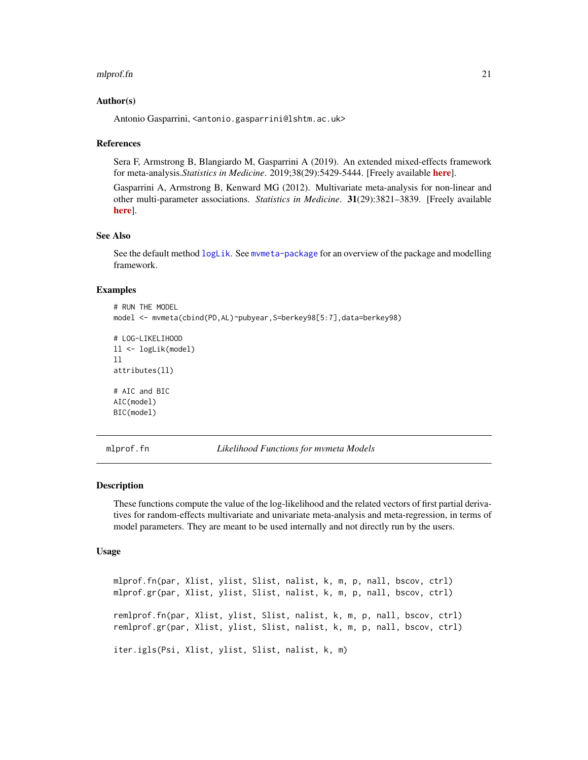### <span id="page-20-0"></span>mlprof.fn 21

# Author(s)

Antonio Gasparrini, <antonio.gasparrini@lshtm.ac.uk>

# References

Sera F, Armstrong B, Blangiardo M, Gasparrini A (2019). An extended mixed-effects framework for meta-analysis.*Statistics in Medicine*. 2019;38(29):5429-5444. [Freely available [here](http://www.ag-myresearch.com/2019_sera_statmed.html)].

Gasparrini A, Armstrong B, Kenward MG (2012). Multivariate meta-analysis for non-linear and other multi-parameter associations. *Statistics in Medicine*. 31(29):3821–3839. [Freely available [here](http://www.ag-myresearch.com/2012_gasparrini_statmed.html)].

# See Also

See the default method [logLik](#page-0-0). See [mvmeta-package](#page-1-1) for an overview of the package and modelling framework.

# Examples

# RUN THE MODEL model <- mvmeta(cbind(PD,AL)~pubyear,S=berkey98[5:7],data=berkey98)

```
# LOG-LIKELIHOOD
ll <- logLik(model)
ll
attributes(ll)
# AIC and BIC
AIC(model)
BIC(model)
```
<span id="page-20-1"></span>mlprof.fn *Likelihood Functions for mvmeta Models*

### <span id="page-20-2"></span>**Description**

These functions compute the value of the log-likelihood and the related vectors of first partial derivatives for random-effects multivariate and univariate meta-analysis and meta-regression, in terms of model parameters. They are meant to be used internally and not directly run by the users.

### Usage

```
mlprof.fn(par, Xlist, ylist, Slist, nalist, k, m, p, nall, bscov, ctrl)
mlprof.gr(par, Xlist, ylist, Slist, nalist, k, m, p, nall, bscov, ctrl)
remlprof.fn(par, Xlist, ylist, Slist, nalist, k, m, p, nall, bscov, ctrl)
remlprof.gr(par, Xlist, ylist, Slist, nalist, k, m, p, nall, bscov, ctrl)
iter.igls(Psi, Xlist, ylist, Slist, nalist, k, m)
```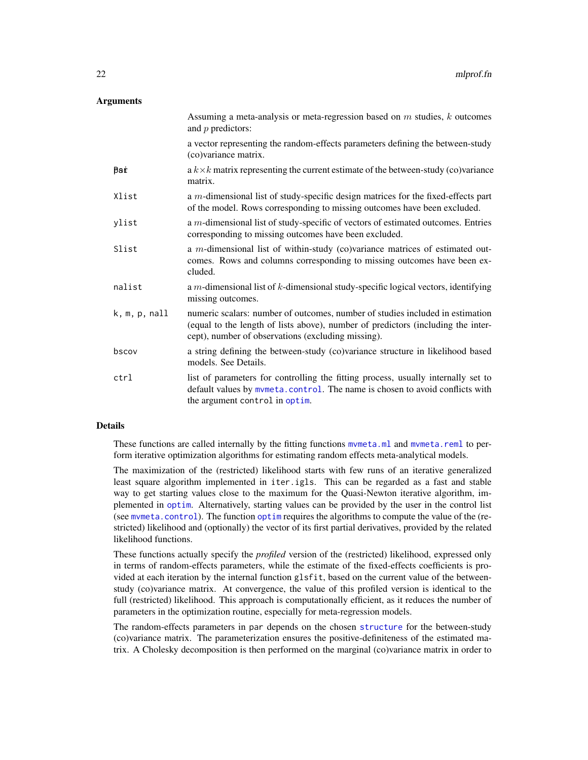# <span id="page-21-0"></span>**Arguments**

|                        | Assuming a meta-analysis or meta-regression based on $m$ studies, $k$ outcomes<br>and $p$ predictors:                                                                                                                   |
|------------------------|-------------------------------------------------------------------------------------------------------------------------------------------------------------------------------------------------------------------------|
|                        | a vector representing the random-effects parameters defining the between-study<br>(co)variance matrix.                                                                                                                  |
| ₿аѓ                    | a $k \times k$ matrix representing the current estimate of the between-study (co)variance<br>matrix.                                                                                                                    |
| Xlist                  | a m-dimensional list of study-specific design matrices for the fixed-effects part<br>of the model. Rows corresponding to missing outcomes have been excluded.                                                           |
| ylist                  | a m-dimensional list of study-specific of vectors of estimated outcomes. Entries<br>corresponding to missing outcomes have been excluded.                                                                               |
| Slist                  | a $m$ -dimensional list of within-study (co)variance matrices of estimated out-<br>comes. Rows and columns corresponding to missing outcomes have been ex-<br>cluded.                                                   |
| nalist                 | a $m$ -dimensional list of $k$ -dimensional study-specific logical vectors, identifying<br>missing outcomes.                                                                                                            |
| $k, m, p, \text{nall}$ | numeric scalars: number of outcomes, number of studies included in estimation<br>(equal to the length of lists above), number of predictors (including the inter-<br>cept), number of observations (excluding missing). |
| bscov                  | a string defining the between-study (co)variance structure in likelihood based<br>models. See Details.                                                                                                                  |
| ctrl                   | list of parameters for controlling the fitting process, usually internally set to<br>default values by mvmeta.control. The name is chosen to avoid conflicts with<br>the argument control in optim.                     |

# Details

These functions are called internally by the fitting functions mymeta.ml and mymeta.reml to perform iterative optimization algorithms for estimating random effects meta-analytical models.

The maximization of the (restricted) likelihood starts with few runs of an iterative generalized least square algorithm implemented in iter.igls. This can be regarded as a fast and stable way to get starting values close to the maximum for the Quasi-Newton iterative algorithm, implemented in [optim](#page-0-0). Alternatively, starting values can be provided by the user in the control list (see [mvmeta.control](#page-29-1)). The function [optim](#page-0-0) requires the algorithms to compute the value of the (restricted) likelihood and (optionally) the vector of its first partial derivatives, provided by the related likelihood functions.

These functions actually specify the *profiled* version of the (restricted) likelihood, expressed only in terms of random-effects parameters, while the estimate of the fixed-effects coefficients is provided at each iteration by the internal function glsfit, based on the current value of the betweenstudy (co)variance matrix. At convergence, the value of this profiled version is identical to the full (restricted) likelihood. This approach is computationally efficient, as it reduces the number of parameters in the optimization routine, especially for meta-regression models.

The random-effects parameters in par depends on the chosen [structure](#page-42-1) for the between-study (co)variance matrix. The parameterization ensures the positive-definiteness of the estimated matrix. A Cholesky decomposition is then performed on the marginal (co)variance matrix in order to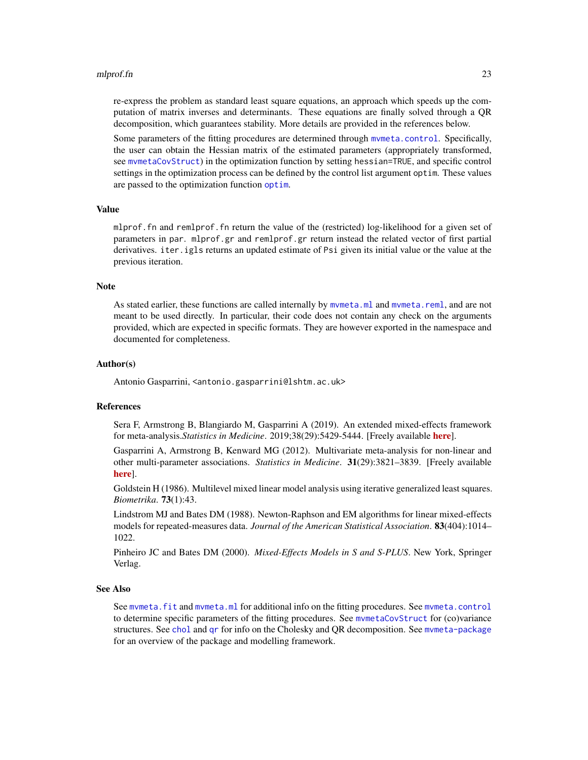### <span id="page-22-0"></span>mlprof.fn 23

re-express the problem as standard least square equations, an approach which speeds up the computation of matrix inverses and determinants. These equations are finally solved through a QR decomposition, which guarantees stability. More details are provided in the references below.

Some parameters of the fitting procedures are determined through [mvmeta.control](#page-29-1). Specifically, the user can obtain the Hessian matrix of the estimated parameters (appropriately transformed, see [mvmetaCovStruct](#page-42-1)) in the optimization function by setting hessian=TRUE, and specific control settings in the optimization process can be defined by the control list argument optim. These values are passed to the [optim](#page-0-0)ization function optim.

# Value

mlprof.fn and remlprof.fn return the value of the (restricted) log-likelihood for a given set of parameters in par. mlprof.gr and remlprof.gr return instead the related vector of first partial derivatives. iter. igls returns an updated estimate of Psi given its initial value or the value at the previous iteration.

### Note

As stated earlier, these functions are called internally by mymeta.ml and mymeta.reml, and are not meant to be used directly. In particular, their code does not contain any check on the arguments provided, which are expected in specific formats. They are however exported in the namespace and documented for completeness.

### Author(s)

Antonio Gasparrini, <antonio.gasparrini@lshtm.ac.uk>

# References

Sera F, Armstrong B, Blangiardo M, Gasparrini A (2019). An extended mixed-effects framework for meta-analysis.*Statistics in Medicine*. 2019;38(29):5429-5444. [Freely available [here](http://www.ag-myresearch.com/2019_sera_statmed.html)].

Gasparrini A, Armstrong B, Kenward MG (2012). Multivariate meta-analysis for non-linear and other multi-parameter associations. *Statistics in Medicine*. 31(29):3821–3839. [Freely available [here](http://www.ag-myresearch.com/2012_gasparrini_statmed.html)].

Goldstein H (1986). Multilevel mixed linear model analysis using iterative generalized least squares. *Biometrika*. 73(1):43.

Lindstrom MJ and Bates DM (1988). Newton-Raphson and EM algorithms for linear mixed-effects models for repeated-measures data. *Journal of the American Statistical Association*. 83(404):1014– 1022.

Pinheiro JC and Bates DM (2000). *Mixed-Effects Models in S and S-PLUS*. New York, Springer Verlag.

# See Also

See [mvmeta.fit](#page-24-2) and [mvmeta.ml](#page-34-1) for additional info on the fitting procedures. See [mvmeta.control](#page-29-1) to determine specific parameters of the fitting procedures. See [mvmetaCovStruct](#page-42-1) for (co)variance structures. See [chol](#page-0-0) and [qr](#page-0-0) for info on the Cholesky and QR decomposition. See [mvmeta-package](#page-1-1) for an overview of the package and modelling framework.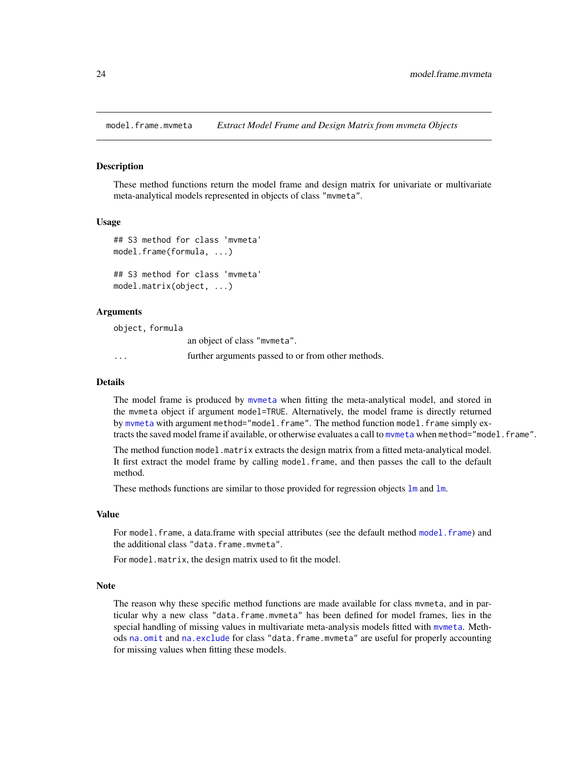<span id="page-23-1"></span><span id="page-23-0"></span>model.frame.mvmeta *Extract Model Frame and Design Matrix from mvmeta Objects*

### <span id="page-23-2"></span>Description

These method functions return the model frame and design matrix for univariate or multivariate meta-analytical models represented in objects of class "mvmeta".

# Usage

```
## S3 method for class 'mvmeta'
model.frame(formula, ...)
## S3 method for class 'mvmeta'
model.matrix(object, ...)
```
# Arguments

object, formula

an object of class "mvmeta".

... further arguments passed to or from other methods.

### Details

The model frame is produced by [mvmeta](#page-24-1) when fitting the meta-analytical model, and stored in the mvmeta object if argument model=TRUE. Alternatively, the model frame is directly returned by [mvmeta](#page-24-1) with argument method="model.frame". The method function model.frame simply extracts the saved model frame if available, or otherwise evaluates a call to mymeta when method="model.frame".

The method function model.matrix extracts the design matrix from a fitted meta-analytical model. It first extract the model frame by calling model.frame, and then passes the call to the default method.

These methods functions are similar to those provided for regression objects 1m and 1m.

# Value

For model. frame, a data.frame with special attributes (see the default method model. frame) and the additional class "data.frame.mvmeta".

For model.matrix, the design matrix used to fit the model.

# Note

The reason why these specific method functions are made available for class mvmeta, and in particular why a new class "data.frame.mvmeta" has been defined for model frames, lies in the special handling of missing values in multivariate meta-analysis models fitted with [mvmeta](#page-24-1). Methods [na.omit](#page-49-1) and [na.exclude](#page-49-2) for class "data.frame.mvmeta" are useful for properly accounting for missing values when fitting these models.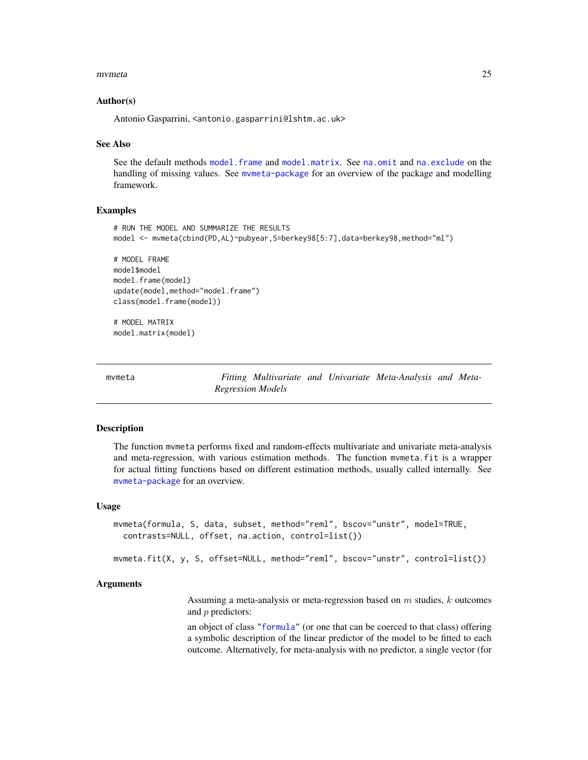### <span id="page-24-0"></span>mvmeta 25

### Author(s)

Antonio Gasparrini, <antonio.gasparrini@lshtm.ac.uk>

# See Also

See the default methods [model.frame](#page-0-0) and [model.matrix](#page-0-0). See [na.omit](#page-49-1) and [na.exclude](#page-49-2) on the handling of missing values. See [mvmeta-package](#page-1-1) for an overview of the package and modelling framework.

# Examples

```
# RUN THE MODEL AND SUMMARIZE THE RESULTS
model <- mvmeta(cbind(PD,AL)~pubyear,S=berkey98[5:7],data=berkey98,method="ml")
# MODEL FRAME
model$model
model.frame(model)
update(model,method="model.frame")
class(model.frame(model))
# MODEL MATRIX
model.matrix(model)
```
<span id="page-24-1"></span>mvmeta *Fitting Multivariate and Univariate Meta-Analysis and Meta-Regression Models*

# <span id="page-24-2"></span>Description

The function mvmeta performs fixed and random-effects multivariate and univariate meta-analysis and meta-regression, with various estimation methods. The function mvmeta.fit is a wrapper for actual fitting functions based on different estimation methods, usually called internally. See [mvmeta-package](#page-1-1) for an overview.

# Usage

```
mvmeta(formula, S, data, subset, method="reml", bscov="unstr", model=TRUE,
  contrasts=NULL, offset, na.action, control=list())
```
mvmeta.fit(X, y, S, offset=NULL, method="reml", bscov="unstr", control=list())

# Arguments

Assuming a meta-analysis or meta-regression based on  $m$  studies,  $k$  outcomes and p predictors:

an object of class ["formula"](#page-0-0) (or one that can be coerced to that class) offering a symbolic description of the linear predictor of the model to be fitted to each outcome. Alternatively, for meta-analysis with no predictor, a single vector (for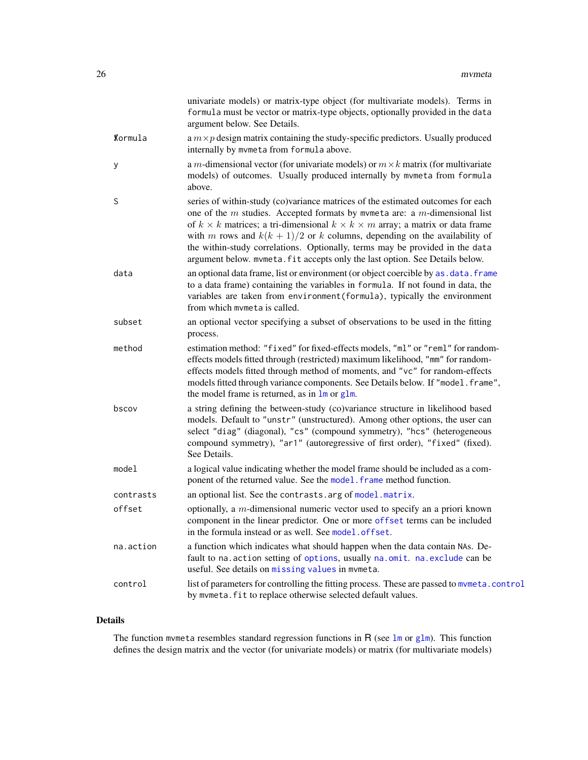<span id="page-25-0"></span>

|                 | univariate models) or matrix-type object (for multivariate models). Terms in<br>formula must be vector or matrix-type objects, optionally provided in the data<br>argument below. See Details.                                                                                                                                                                                                                                                                                                                       |
|-----------------|----------------------------------------------------------------------------------------------------------------------------------------------------------------------------------------------------------------------------------------------------------------------------------------------------------------------------------------------------------------------------------------------------------------------------------------------------------------------------------------------------------------------|
| <b>K</b> ormula | a $m \times p$ design matrix containing the study-specific predictors. Usually produced<br>internally by mvmeta from formula above.                                                                                                                                                                                                                                                                                                                                                                                  |
| у               | a m-dimensional vector (for univariate models) or $m \times k$ matrix (for multivariate<br>models) of outcomes. Usually produced internally by mvmeta from formula<br>above.                                                                                                                                                                                                                                                                                                                                         |
| S               | series of within-study (co)variance matrices of the estimated outcomes for each<br>one of the $m$ studies. Accepted formats by mvmeta are: a $m$ -dimensional list<br>of $k \times k$ matrices; a tri-dimensional $k \times k \times m$ array; a matrix or data frame<br>with m rows and $k(k + 1)/2$ or k columns, depending on the availability of<br>the within-study correlations. Optionally, terms may be provided in the data<br>argument below. mvmeta. fit accepts only the last option. See Details below. |
| data            | an optional data frame, list or environment (or object coercible by as . data. frame<br>to a data frame) containing the variables in formula. If not found in data, the<br>variables are taken from environment (formula), typically the environment<br>from which mymeta is called.                                                                                                                                                                                                                                 |
| subset          | an optional vector specifying a subset of observations to be used in the fitting<br>process.                                                                                                                                                                                                                                                                                                                                                                                                                         |
| method          | estimation method: "fixed" for fixed-effects models, "ml" or "reml" for random-<br>effects models fitted through (restricted) maximum likelihood, "mm" for random-<br>effects models fitted through method of moments, and "vc" for random-effects<br>models fitted through variance components. See Details below. If "model.frame",<br>the model frame is returned, as in $\text{Im}$ or glm.                                                                                                                      |
| bscov           | a string defining the between-study (co)variance structure in likelihood based<br>models. Default to "unstr" (unstructured). Among other options, the user can<br>select "diag" (diagonal), "cs" (compound symmetry), "hcs" (heterogeneous<br>compound symmetry), "ar1" (autoregressive of first order), "fixed" (fixed).<br>See Details.                                                                                                                                                                            |
| model           | a logical value indicating whether the model frame should be included as a com-<br>ponent of the returned value. See the model. frame method function.                                                                                                                                                                                                                                                                                                                                                               |
| contrasts       | an optional list. See the contrasts. arg of model. matrix.                                                                                                                                                                                                                                                                                                                                                                                                                                                           |
| offset          | optionally, a $m$ -dimensional numeric vector used to specify an a priori known<br>component in the linear predictor. One or more offset terms can be included<br>in the formula instead or as well. See model.offset.                                                                                                                                                                                                                                                                                               |
| na.action       | a function which indicates what should happen when the data contain NAs. De-<br>fault to na. action setting of options, usually na. omit. na. exclude can be<br>useful. See details on missing values in mvmeta.                                                                                                                                                                                                                                                                                                     |
| control         | list of parameters for controlling the fitting process. These are passed to mymeta.control<br>by mvmeta. fit to replace otherwise selected default values.                                                                                                                                                                                                                                                                                                                                                           |

# Details

The function mvmeta resembles standard regression functions in R (see [lm](#page-0-0) or [glm](#page-0-0)). This function defines the design matrix and the vector (for univariate models) or matrix (for multivariate models)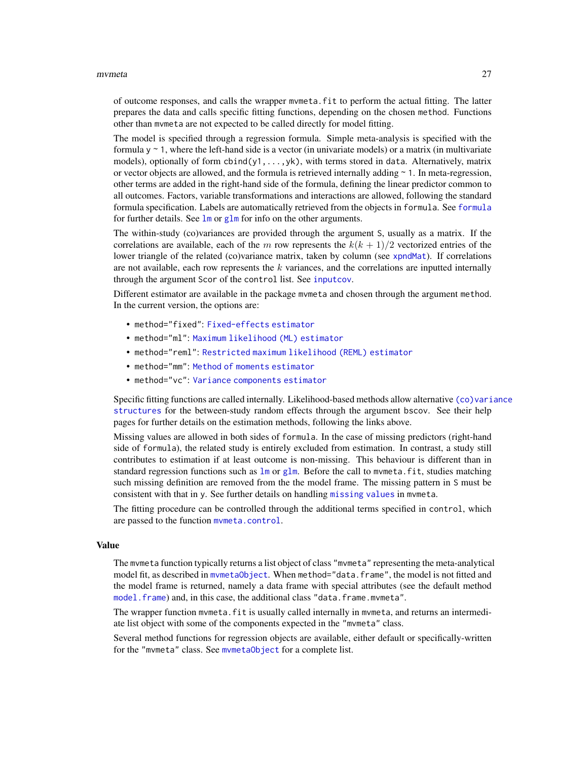### <span id="page-26-0"></span>mvmeta 27

of outcome responses, and calls the wrapper mvmeta.fit to perform the actual fitting. The latter prepares the data and calls specific fitting functions, depending on the chosen method. Functions other than mvmeta are not expected to be called directly for model fitting.

The model is specified through a regression formula. Simple meta-analysis is specified with the formula  $y \sim 1$ , where the left-hand side is a vector (in univariate models) or a matrix (in multivariate models), optionally of form  $cbind(y1,...,yk)$ , with terms stored in data. Alternatively, matrix or vector objects are allowed, and the formula is retrieved internally adding ~ 1. In meta-regression, other terms are added in the right-hand side of the formula, defining the linear predictor common to all outcomes. Factors, variable transformations and interactions are allowed, following the standard formula specification. Labels are automatically retrieved from the objects in formula. See [formula](#page-0-0) for further details. See  $\text{Im}$  or  $\text{g} \text{Im}$  for info on the other arguments.

The within-study (co)variances are provided through the argument S, usually as a matrix. If the correlations are available, each of the m row represents the  $k(k + 1)/2$  vectorized entries of the lower triangle of the related (co)variance matrix, taken by column (see [xpndMat](#page-60-2)). If correlations are not available, each row represents the  $k$  variances, and the correlations are inputted internally through the argument Scor of the control list. See [inputcov](#page-15-1).

Different estimator are available in the package mvmeta and chosen through the argument method. In the current version, the options are:

- method="fixed": [Fixed-effects estimator](#page-32-1)
- method="ml": [Maximum likelihood \(ML\) estimator](#page-34-1)
- method="reml": [Restricted maximum likelihood \(REML\) estimator](#page-34-2)
- method="mm": [Method of moments estimator](#page-37-1)
- method="vc": [Variance components estimator](#page-39-1)

Specific fitting functions are called internally. Likelihood-based methods allow alternative [\(co\)vari](#page-42-1)ance [structures](#page-42-1) for the between-study random effects through the argument bscov. See their help pages for further details on the estimation methods, following the links above.

Missing values are allowed in both sides of formula. In the case of missing predictors (right-hand side of formula), the related study is entirely excluded from estimation. In contrast, a study still contributes to estimation if at least outcome is non-missing. This behaviour is different than in standard regression functions such as  $\text{Im}$  or g[lm](#page-0-0). Before the call to mvmeta. fit, studies matching such missing definition are removed from the the model frame. The missing pattern in S must be consistent with that in y. See further details on handling [missing values](#page-49-1) in mvmeta.

The fitting procedure can be controlled through the additional terms specified in control, which are passed to the function [mvmeta.control](#page-29-1).

### Value

The mvmeta function typically returns a list object of class "mvmeta" representing the meta-analytical model fit, as described in mymetaObject. When method="data.frame", the model is not fitted and the model frame is returned, namely a data frame with special attributes (see the default method [model.frame](#page-0-0)) and, in this case, the additional class "data.frame.mvmeta".

The wrapper function mvmeta. fit is usually called internally in mvmeta, and returns an intermediate list object with some of the components expected in the "mvmeta" class.

Several method functions for regression objects are available, either default or specifically-written for the "mvmeta" class. See [mvmetaObject](#page-44-1) for a complete list.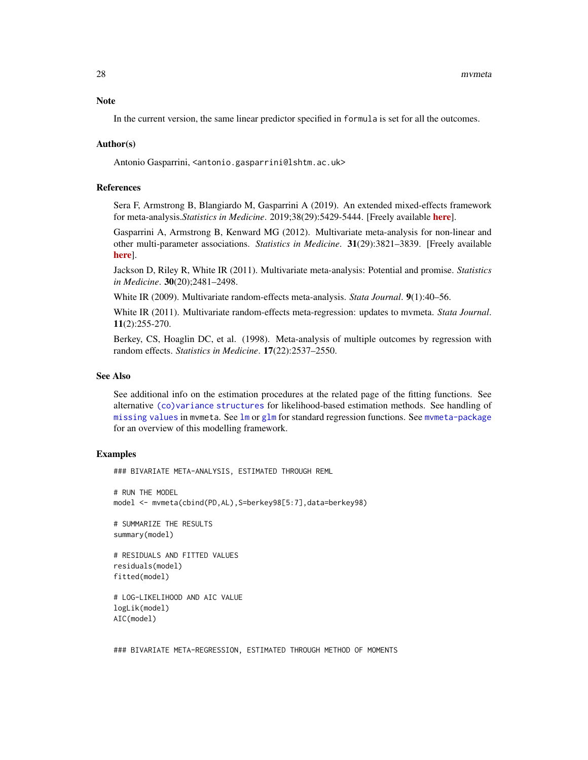<span id="page-27-0"></span>In the current version, the same linear predictor specified in formula is set for all the outcomes.

### Author(s)

Antonio Gasparrini, <antonio.gasparrini@lshtm.ac.uk>

# References

Sera F, Armstrong B, Blangiardo M, Gasparrini A (2019). An extended mixed-effects framework for meta-analysis.*Statistics in Medicine*. 2019;38(29):5429-5444. [Freely available [here](http://www.ag-myresearch.com/2019_sera_statmed.html)].

Gasparrini A, Armstrong B, Kenward MG (2012). Multivariate meta-analysis for non-linear and other multi-parameter associations. *Statistics in Medicine*. 31(29):3821–3839. [Freely available [here](http://www.ag-myresearch.com/2012_gasparrini_statmed.html)].

Jackson D, Riley R, White IR (2011). Multivariate meta-analysis: Potential and promise. *Statistics in Medicine*. 30(20);2481–2498.

White IR (2009). Multivariate random-effects meta-analysis. *Stata Journal*. 9(1):40–56.

White IR (2011). Multivariate random-effects meta-regression: updates to mvmeta. *Stata Journal*. 11(2):255-270.

Berkey, CS, Hoaglin DC, et al. (1998). Meta-analysis of multiple outcomes by regression with random effects. *Statistics in Medicine*. 17(22):2537–2550.

# See Also

See additional info on the estimation procedures at the related page of the fitting functions. See alternative [\(co\)variance structures](#page-42-1) for likelihood-based estimation methods. See handling of [missing values](#page-49-1) in mvmeta. See [lm](#page-0-0) or [glm](#page-0-0) for standard regression functions. See [mvmeta-package](#page-1-1) for an overview of this modelling framework.

### Examples

### BIVARIATE META-ANALYSIS, ESTIMATED THROUGH REML

# RUN THE MODEL model <- mvmeta(cbind(PD,AL),S=berkey98[5:7],data=berkey98)

# SUMMARIZE THE RESULTS summary(model)

```
# RESIDUALS AND FITTED VALUES
residuals(model)
fitted(model)
```

```
# LOG-LIKELIHOOD AND AIC VALUE
logLik(model)
AIC(model)
```
### BIVARIATE META-REGRESSION, ESTIMATED THROUGH METHOD OF MOMENTS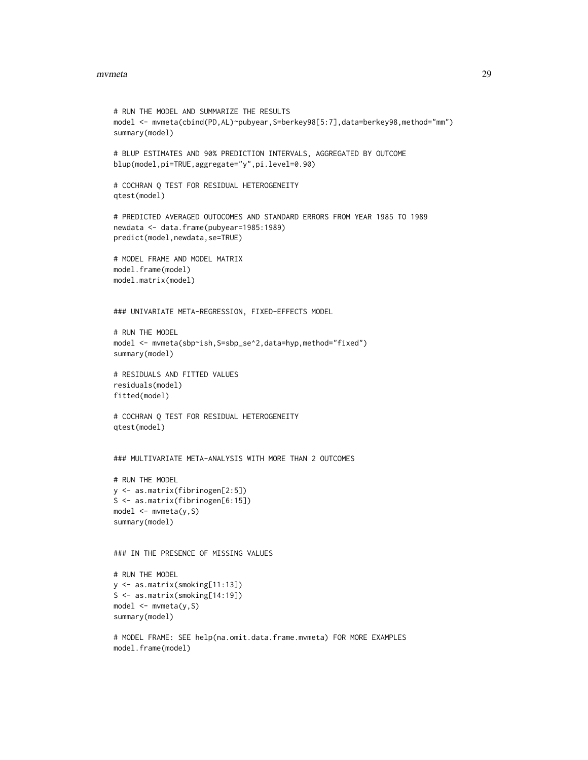### mvmeta 29

```
# RUN THE MODEL AND SUMMARIZE THE RESULTS
model <- mvmeta(cbind(PD,AL)~pubyear,S=berkey98[5:7],data=berkey98,method="mm")
summary(model)
# BLUP ESTIMATES AND 90% PREDICTION INTERVALS, AGGREGATED BY OUTCOME
blup(model,pi=TRUE,aggregate="y",pi.level=0.90)
# COCHRAN Q TEST FOR RESIDUAL HETEROGENEITY
qtest(model)
# PREDICTED AVERAGED OUTOCOMES AND STANDARD ERRORS FROM YEAR 1985 TO 1989
newdata <- data.frame(pubyear=1985:1989)
predict(model,newdata,se=TRUE)
# MODEL FRAME AND MODEL MATRIX
model.frame(model)
model.matrix(model)
### UNIVARIATE META-REGRESSION, FIXED-EFFECTS MODEL
# RUN THE MODEL
model <- mvmeta(sbp~ish,S=sbp_se^2,data=hyp,method="fixed")
summary(model)
# RESIDUALS AND FITTED VALUES
residuals(model)
fitted(model)
# COCHRAN Q TEST FOR RESIDUAL HETEROGENEITY
qtest(model)
### MULTIVARIATE META-ANALYSIS WITH MORE THAN 2 OUTCOMES
# RUN THE MODEL
y <- as.matrix(fibrinogen[2:5])
S <- as.matrix(fibrinogen[6:15])
model \leq mwmeta(y, S)summary(model)
### IN THE PRESENCE OF MISSING VALUES
# RUN THE MODEL
y <- as.matrix(smoking[11:13])
S <- as.matrix(smoking[14:19])
model <- mvmeta(y,S)
summary(model)
```
# MODEL FRAME: SEE help(na.omit.data.frame.mvmeta) FOR MORE EXAMPLES model.frame(model)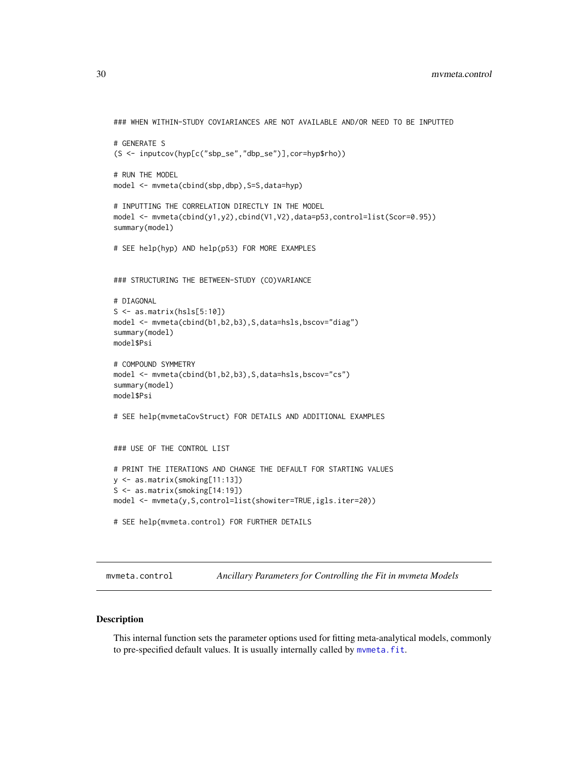```
### WHEN WITHIN-STUDY COVIARIANCES ARE NOT AVAILABLE AND/OR NEED TO BE INPUTTED
# GENERATE S
(S <- inputcov(hyp[c("sbp_se","dbp_se")],cor=hyp$rho))
# RUN THE MODEL
model <- mvmeta(cbind(sbp,dbp), S=S,data=hyp)
# INPUTTING THE CORRELATION DIRECTLY IN THE MODEL
model <- mvmeta(cbind(y1,y2),cbind(V1,V2),data=p53,control=list(Scor=0.95))
summary(model)
# SEE help(hyp) AND help(p53) FOR MORE EXAMPLES
### STRUCTURING THE BETWEEN-STUDY (CO)VARIANCE
# DIAGONAL
S \leftarrow as_matrix(hsls[5:10])model <- mvmeta(cbind(b1,b2,b3),S,data=hsls,bscov="diag")
summary(model)
model$Psi
# COMPOUND SYMMETRY
model <- mvmeta(cbind(b1,b2,b3),S,data=hsls,bscov="cs")
summary(model)
model$Psi
# SEE help(mvmetaCovStruct) FOR DETAILS AND ADDITIONAL EXAMPLES
### USE OF THE CONTROL LIST
# PRINT THE ITERATIONS AND CHANGE THE DEFAULT FOR STARTING VALUES
y <- as.matrix(smoking[11:13])
S <- as.matrix(smoking[14:19])
model <- mvmeta(y,S,control=list(showiter=TRUE,igls.iter=20))
# SEE help(mvmeta.control) FOR FURTHER DETAILS
```
<span id="page-29-1"></span>mvmeta.control *Ancillary Parameters for Controlling the Fit in mvmeta Models*

# Description

This internal function sets the parameter options used for fitting meta-analytical models, commonly to pre-specified default values. It is usually internally called by [mvmeta.fit](#page-24-2).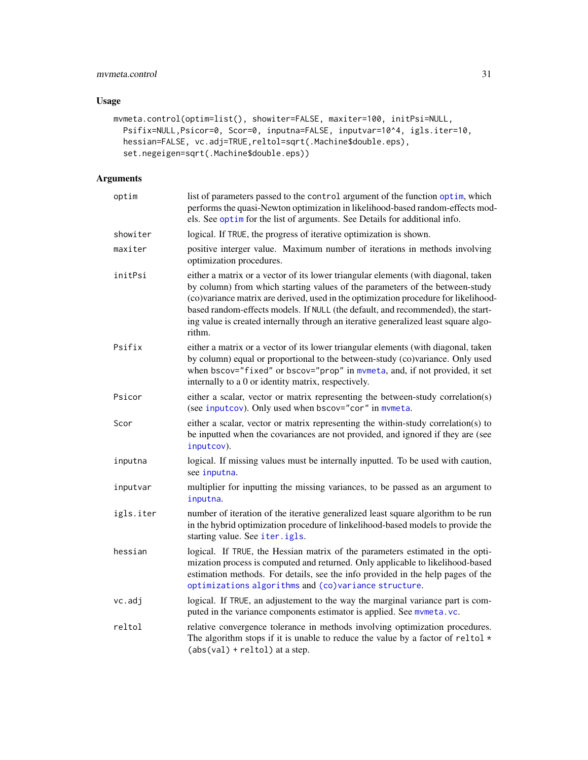# <span id="page-30-0"></span>mvmeta.control 31

# Usage

```
mvmeta.control(optim=list(), showiter=FALSE, maxiter=100, initPsi=NULL,
 Psifix=NULL,Psicor=0, Scor=0, inputna=FALSE, inputvar=10^4, igls.iter=10,
 hessian=FALSE, vc.adj=TRUE,reltol=sqrt(.Machine$double.eps),
  set.negeigen=sqrt(.Machine$double.eps))
```
# Arguments

| optim     | list of parameters passed to the control argument of the function optim, which<br>performs the quasi-Newton optimization in likelihood-based random-effects mod-<br>els. See optim for the list of arguments. See Details for additional info.                                                                                                                                                                                                |
|-----------|-----------------------------------------------------------------------------------------------------------------------------------------------------------------------------------------------------------------------------------------------------------------------------------------------------------------------------------------------------------------------------------------------------------------------------------------------|
| showiter  | logical. If TRUE, the progress of iterative optimization is shown.                                                                                                                                                                                                                                                                                                                                                                            |
| maxiter   | positive interger value. Maximum number of iterations in methods involving<br>optimization procedures.                                                                                                                                                                                                                                                                                                                                        |
| initPsi   | either a matrix or a vector of its lower triangular elements (with diagonal, taken<br>by column) from which starting values of the parameters of the between-study<br>(co)variance matrix are derived, used in the optimization procedure for likelihood-<br>based random-effects models. If NULL (the default, and recommended), the start-<br>ing value is created internally through an iterative generalized least square algo-<br>rithm. |
| Psifix    | either a matrix or a vector of its lower triangular elements (with diagonal, taken<br>by column) equal or proportional to the between-study (co)variance. Only used<br>when bscov="fixed" or bscov="prop" in mymeta, and, if not provided, it set<br>internally to a 0 or identity matrix, respectively.                                                                                                                                      |
| Psicor    | either a scalar, vector or matrix representing the between-study correlation(s)<br>(see inputcov). Only used when bscov="cor" in mvmeta.                                                                                                                                                                                                                                                                                                      |
| Scor      | either a scalar, vector or matrix representing the within-study correlation(s) to<br>be inputted when the covariances are not provided, and ignored if they are (see<br>inputcov).                                                                                                                                                                                                                                                            |
| inputna   | logical. If missing values must be internally inputted. To be used with caution,<br>see inputna.                                                                                                                                                                                                                                                                                                                                              |
| inputvar  | multiplier for inputting the missing variances, to be passed as an argument to<br>inputna.                                                                                                                                                                                                                                                                                                                                                    |
| igls.iter | number of iteration of the iterative generalized least square algorithm to be run<br>in the hybrid optimization procedure of linkelihood-based models to provide the<br>starting value. See iter.igls.                                                                                                                                                                                                                                        |
| hessian   | logical. If TRUE, the Hessian matrix of the parameters estimated in the opti-<br>mization process is computed and returned. Only applicable to likelihood-based<br>estimation methods. For details, see the info provided in the help pages of the<br>optimizations algorithms and (co)variance structure.                                                                                                                                    |
| vc.adj    | logical. If TRUE, an adjustement to the way the marginal variance part is com-<br>puted in the variance components estimator is applied. See mvmeta.vc.                                                                                                                                                                                                                                                                                       |
| reltol    | relative convergence tolerance in methods involving optimization procedures.<br>The algorithm stops if it is unable to reduce the value by a factor of reltol $*$<br>$(abs(val) + reltol)$ at a step.                                                                                                                                                                                                                                         |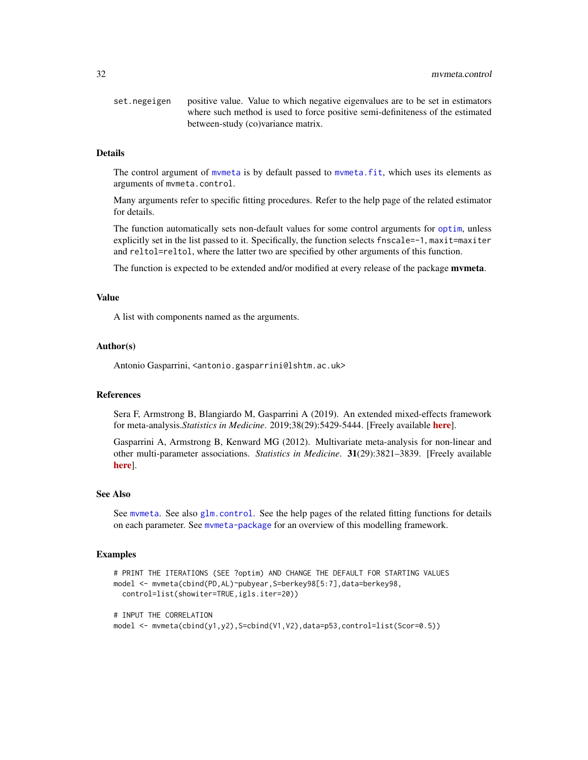<span id="page-31-0"></span>set.negeigen positive value. Value to which negative eigenvalues are to be set in estimators where such method is used to force positive semi-definiteness of the estimated between-study (co)variance matrix.

# **Details**

The control argument of [mvmeta](#page-24-1) is by default passed to [mvmeta.fit](#page-24-2), which uses its elements as arguments of mvmeta.control.

Many arguments refer to specific fitting procedures. Refer to the help page of the related estimator for details.

The function automatically sets non-default values for some control arguments for [optim](#page-0-0), unless explicitly set in the list passed to it. Specifically, the function selects fnscale=-1, maxit=maxiter and reltol=reltol, where the latter two are specified by other arguments of this function.

The function is expected to be extended and/or modified at every release of the package **mvmeta**.

# Value

A list with components named as the arguments.

### Author(s)

Antonio Gasparrini, <antonio.gasparrini@lshtm.ac.uk>

### References

Sera F, Armstrong B, Blangiardo M, Gasparrini A (2019). An extended mixed-effects framework for meta-analysis.*Statistics in Medicine*. 2019;38(29):5429-5444. [Freely available [here](http://www.ag-myresearch.com/2019_sera_statmed.html)].

Gasparrini A, Armstrong B, Kenward MG (2012). Multivariate meta-analysis for non-linear and other multi-parameter associations. *Statistics in Medicine*. 31(29):3821–3839. [Freely available [here](http://www.ag-myresearch.com/2012_gasparrini_statmed.html)].

# See Also

See [mvmeta](#page-24-1). See also [glm.control](#page-0-0). See the help pages of the related fitting functions for details on each parameter. See [mvmeta-package](#page-1-1) for an overview of this modelling framework.

# Examples

```
# PRINT THE ITERATIONS (SEE ?optim) AND CHANGE THE DEFAULT FOR STARTING VALUES
model <- mvmeta(cbind(PD,AL)~pubyear,S=berkey98[5:7],data=berkey98,
 control=list(showiter=TRUE,igls.iter=20))
# INPUT THE CORRELATION
model \leq mymeta(cbind(y1,y2),S=cbind(V1,V2),data=p53,control=list(Scor=0.5))
```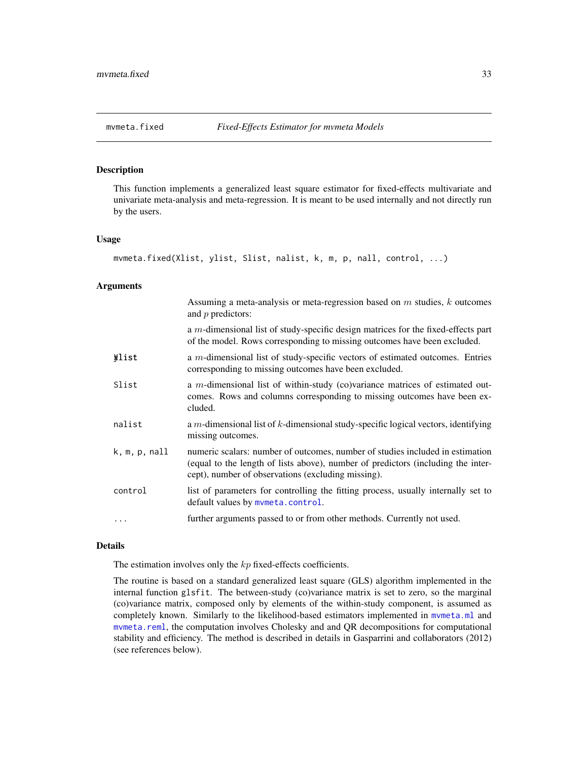<span id="page-32-1"></span><span id="page-32-0"></span>

# Description

This function implements a generalized least square estimator for fixed-effects multivariate and univariate meta-analysis and meta-regression. It is meant to be used internally and not directly run by the users.

### Usage

```
mvmeta.fixed(Xlist, ylist, Slist, nalist, k, m, p, nall, control, ...)
```
# Arguments

|                        | Assuming a meta-analysis or meta-regression based on $m$ studies, $k$ outcomes<br>and $p$ predictors:                                                                                                                   |
|------------------------|-------------------------------------------------------------------------------------------------------------------------------------------------------------------------------------------------------------------------|
|                        | a $m$ -dimensional list of study-specific design matrices for the fixed-effects part<br>of the model. Rows corresponding to missing outcomes have been excluded.                                                        |
| *list                  | a $m$ -dimensional list of study-specific vectors of estimated outcomes. Entries<br>corresponding to missing outcomes have been excluded.                                                                               |
| Slist                  | a m-dimensional list of within-study (co)variance matrices of estimated out-<br>comes. Rows and columns corresponding to missing outcomes have been ex-<br>cluded.                                                      |
| nalist                 | a $m$ -dimensional list of $k$ -dimensional study-specific logical vectors, identifying<br>missing outcomes.                                                                                                            |
| $k, m, p, \text{nall}$ | numeric scalars: number of outcomes, number of studies included in estimation<br>(equal to the length of lists above), number of predictors (including the inter-<br>cept), number of observations (excluding missing). |
| control                | list of parameters for controlling the fitting process, usually internally set to<br>default values by mymeta.control.                                                                                                  |
| $\cdots$               | further arguments passed to or from other methods. Currently not used.                                                                                                                                                  |

# Details

The estimation involves only the  $kp$  fixed-effects coefficients.

The routine is based on a standard generalized least square (GLS) algorithm implemented in the internal function glsfit. The between-study (co)variance matrix is set to zero, so the marginal (co)variance matrix, composed only by elements of the within-study component, is assumed as completely known. Similarly to the likelihood-based estimators implemented in mymeta.ml and [mvmeta.reml](#page-34-2), the computation involves Cholesky and and QR decompositions for computational stability and efficiency. The method is described in details in Gasparrini and collaborators (2012) (see references below).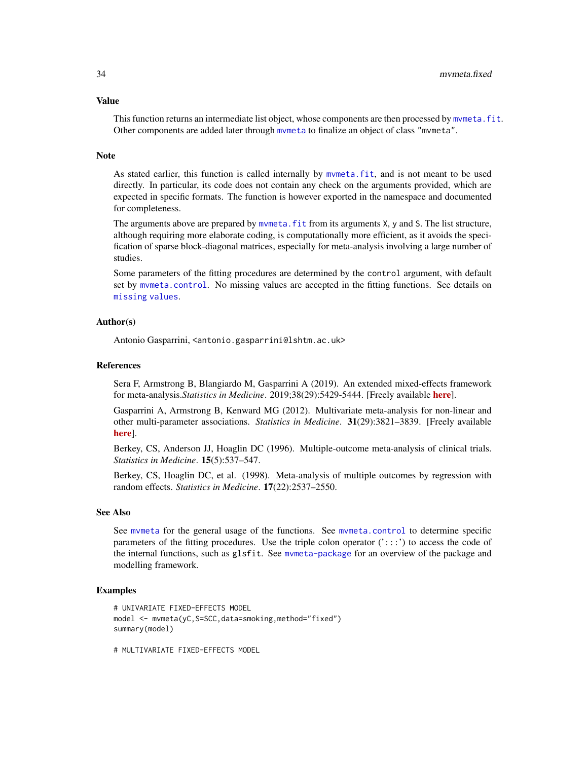### <span id="page-33-0"></span>Value

This function returns an intermediate list object, whose components are then processed by mymeta. fit. Other components are added later through [mvmeta](#page-24-1) to finalize an object of class "mvmeta".

# **Note**

As stated earlier, this function is called internally by [mvmeta.fit](#page-24-2), and is not meant to be used directly. In particular, its code does not contain any check on the arguments provided, which are expected in specific formats. The function is however exported in the namespace and documented for completeness.

The arguments above are prepared by mymeta. Fit from its arguments X, y and S. The list structure, although requiring more elaborate coding, is computationally more efficient, as it avoids the specification of sparse block-diagonal matrices, especially for meta-analysis involving a large number of studies.

Some parameters of the fitting procedures are determined by the control argument, with default set by [mvmeta.control](#page-29-1). No missing values are accepted in the fitting functions. See details on [missing values](#page-49-1).

# Author(s)

Antonio Gasparrini, <antonio.gasparrini@lshtm.ac.uk>

# References

Sera F, Armstrong B, Blangiardo M, Gasparrini A (2019). An extended mixed-effects framework for meta-analysis.*Statistics in Medicine*. 2019;38(29):5429-5444. [Freely available [here](http://www.ag-myresearch.com/2019_sera_statmed.html)].

Gasparrini A, Armstrong B, Kenward MG (2012). Multivariate meta-analysis for non-linear and other multi-parameter associations. *Statistics in Medicine*. 31(29):3821–3839. [Freely available [here](http://www.ag-myresearch.com/2012_gasparrini_statmed.html)].

Berkey, CS, Anderson JJ, Hoaglin DC (1996). Multiple-outcome meta-analysis of clinical trials. *Statistics in Medicine*. 15(5):537–547.

Berkey, CS, Hoaglin DC, et al. (1998). Meta-analysis of multiple outcomes by regression with random effects. *Statistics in Medicine*. 17(22):2537–2550.

# See Also

See [mvmeta](#page-24-1) for the general usage of the functions. See [mvmeta.control](#page-29-1) to determine specific parameters of the fitting procedures. Use the triple colon operator (':::') to access the code of the internal functions, such as glsfit. See [mvmeta-package](#page-1-1) for an overview of the package and modelling framework.

# Examples

```
# UNIVARIATE FIXED-EFFECTS MODEL
model <- mvmeta(yC,S=SCC,data=smoking,method="fixed")
summary(model)
```
# MULTIVARIATE FIXED-EFFECTS MODEL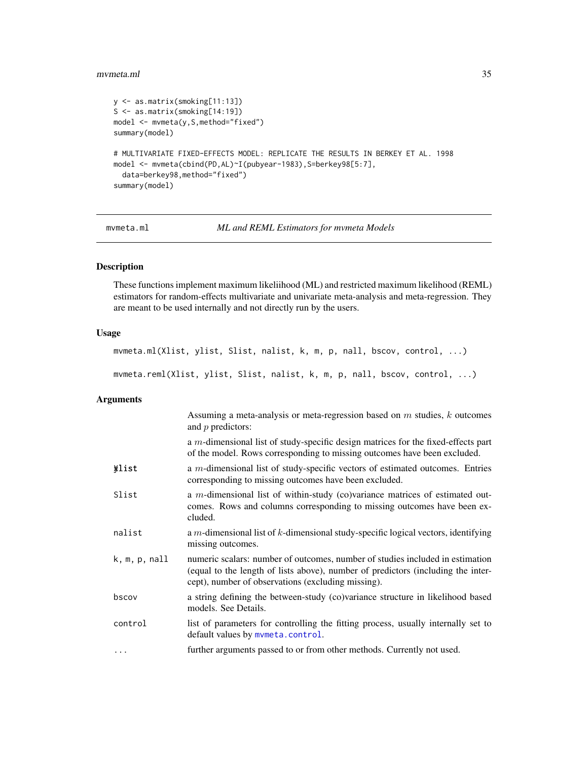### <span id="page-34-0"></span>mvmeta.ml 35

```
y <- as.matrix(smoking[11:13])
S <- as.matrix(smoking[14:19])
model <- mvmeta(y,S,method="fixed")
summary(model)
# MULTIVARIATE FIXED-EFFECTS MODEL: REPLICATE THE RESULTS IN BERKEY ET AL. 1998
model <- mvmeta(cbind(PD,AL)~I(pubyear-1983),S=berkey98[5:7],
  data=berkey98,method="fixed")
summary(model)
```

```
mvmeta.ml ML and REML Estimators for mvmeta Models
```
# <span id="page-34-2"></span>Description

These functions implement maximum likeliihood (ML) and restricted maximum likelihood (REML) estimators for random-effects multivariate and univariate meta-analysis and meta-regression. They are meant to be used internally and not directly run by the users.

# Usage

```
mvmeta.ml(Xlist, ylist, Slist, nalist, k, m, p, nall, bscov, control, ...)
mvmeta.reml(Xlist, ylist, Slist, nalist, k, m, p, nall, bscov, control, ...)
```
# Arguments

|               | Assuming a meta-analysis or meta-regression based on $m$ studies, $k$ outcomes<br>and $p$ predictors:                                                                                                                   |
|---------------|-------------------------------------------------------------------------------------------------------------------------------------------------------------------------------------------------------------------------|
|               | a <i>m</i> -dimensional list of study-specific design matrices for the fixed-effects part<br>of the model. Rows corresponding to missing outcomes have been excluded.                                                   |
| <b>¥list</b>  | a $m$ -dimensional list of study-specific vectors of estimated outcomes. Entries<br>corresponding to missing outcomes have been excluded.                                                                               |
| Slist         | a m-dimensional list of within-study (co)variance matrices of estimated out-<br>comes. Rows and columns corresponding to missing outcomes have been ex-<br>cluded.                                                      |
| nalist        | a $m$ -dimensional list of $k$ -dimensional study-specific logical vectors, identifying<br>missing outcomes.                                                                                                            |
| k, m, p, null | numeric scalars: number of outcomes, number of studies included in estimation<br>(equal to the length of lists above), number of predictors (including the inter-<br>cept), number of observations (excluding missing). |
| bscov         | a string defining the between-study (co)variance structure in likelihood based<br>models. See Details.                                                                                                                  |
| control       | list of parameters for controlling the fitting process, usually internally set to<br>default values by mvmeta.control.                                                                                                  |
| $\cdots$      | further arguments passed to or from other methods. Currently not used.                                                                                                                                                  |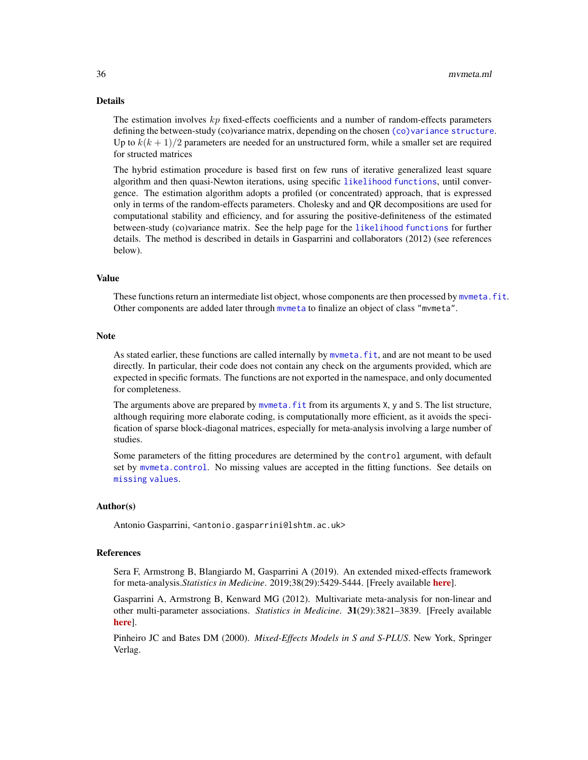# <span id="page-35-0"></span>Details

The estimation involves  $kp$  fixed-effects coefficients and a number of random-effects parameters defining the between-study (co)variance matrix, depending on the chosen [\(co\)variance structure](#page-42-1). Up to  $k(k + 1)/2$  parameters are needed for an unstructured form, while a smaller set are required for structed matrices

The hybrid estimation procedure is based first on few runs of iterative generalized least square algorithm and then quasi-Newton iterations, using specific [likelihood functions](#page-20-1), until convergence. The estimation algorithm adopts a profiled (or concentrated) approach, that is expressed only in terms of the random-effects parameters. Cholesky and and QR decompositions are used for computational stability and efficiency, and for assuring the positive-definiteness of the estimated between-study (co)variance matrix. See the help page for the [likelihood functions](#page-20-1) for further details. The method is described in details in Gasparrini and collaborators (2012) (see references below).

# Value

These functions return an intermediate list object, whose components are then processed by mymeta. fit. Other components are added later through [mvmeta](#page-24-1) to finalize an object of class "mvmeta".

### Note

As stated earlier, these functions are called internally by [mvmeta.fit](#page-24-2), and are not meant to be used directly. In particular, their code does not contain any check on the arguments provided, which are expected in specific formats. The functions are not exported in the namespace, and only documented for completeness.

The arguments above are prepared by mymeta.  $fit$  from its arguments X,  $\gamma$  and S. The list structure, although requiring more elaborate coding, is computationally more efficient, as it avoids the specification of sparse block-diagonal matrices, especially for meta-analysis involving a large number of studies.

Some parameters of the fitting procedures are determined by the control argument, with default set by [mvmeta.control](#page-29-1). No missing values are accepted in the fitting functions. See details on [missing values](#page-49-1).

# Author(s)

Antonio Gasparrini, <antonio.gasparrini@lshtm.ac.uk>

# References

Sera F, Armstrong B, Blangiardo M, Gasparrini A (2019). An extended mixed-effects framework for meta-analysis.*Statistics in Medicine*. 2019;38(29):5429-5444. [Freely available [here](http://www.ag-myresearch.com/2019_sera_statmed.html)].

Gasparrini A, Armstrong B, Kenward MG (2012). Multivariate meta-analysis for non-linear and other multi-parameter associations. *Statistics in Medicine*. 31(29):3821–3839. [Freely available [here](http://www.ag-myresearch.com/2012_gasparrini_statmed.html)].

Pinheiro JC and Bates DM (2000). *Mixed-Effects Models in S and S-PLUS*. New York, Springer Verlag.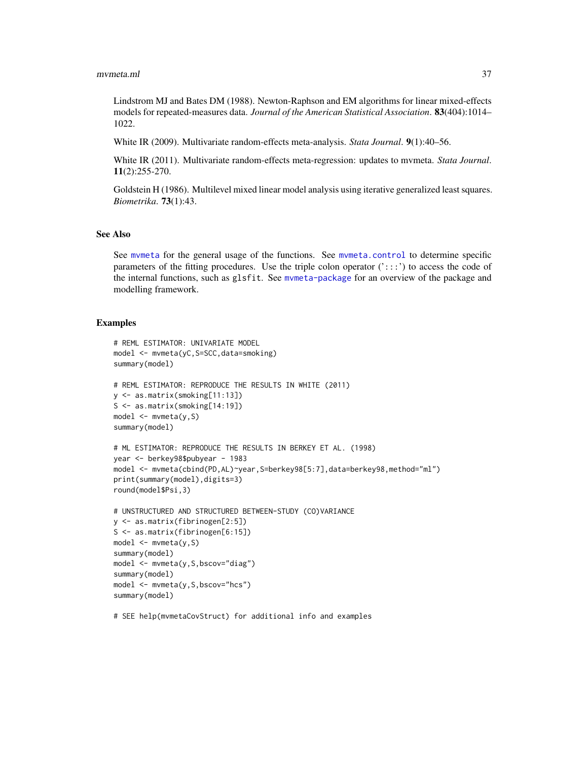<span id="page-36-0"></span>Lindstrom MJ and Bates DM (1988). Newton-Raphson and EM algorithms for linear mixed-effects models for repeated-measures data. *Journal of the American Statistical Association*. 83(404):1014– 1022.

White IR (2009). Multivariate random-effects meta-analysis. *Stata Journal*. 9(1):40–56.

White IR (2011). Multivariate random-effects meta-regression: updates to mvmeta. *Stata Journal*. 11(2):255-270.

Goldstein H (1986). Multilevel mixed linear model analysis using iterative generalized least squares. *Biometrika*. 73(1):43.

# See Also

See [mvmeta](#page-24-1) for the general usage of the functions. See [mvmeta.control](#page-29-1) to determine specific parameters of the fitting procedures. Use the triple colon operator  $('::::)$  to access the code of the internal functions, such as glsfit. See [mvmeta-package](#page-1-1) for an overview of the package and modelling framework.

# Examples

```
# REML ESTIMATOR: UNIVARIATE MODEL
model <- mvmeta(yC,S=SCC,data=smoking)
summary(model)
# REML ESTIMATOR: REPRODUCE THE RESULTS IN WHITE (2011)
y <- as.matrix(smoking[11:13])
S <- as.matrix(smoking[14:19])
model <- mvmeta(y,S)
summary(model)
# ML ESTIMATOR: REPRODUCE THE RESULTS IN BERKEY ET AL. (1998)
year <- berkey98$pubyear - 1983
model <- mvmeta(cbind(PD,AL)~year,S=berkey98[5:7],data=berkey98,method="ml")
print(summary(model),digits=3)
round(model$Psi,3)
# UNSTRUCTURED AND STRUCTURED BETWEEN-STUDY (CO)VARIANCE
y <- as.matrix(fibrinogen[2:5])
S <- as.matrix(fibrinogen[6:15])
model <- mvmeta(y,S)
summary(model)
model <- mvmeta(y,S,bscov="diag")
summary(model)
model <- mvmeta(y,S,bscov="hcs")
summary(model)
```
# SEE help(mvmetaCovStruct) for additional info and examples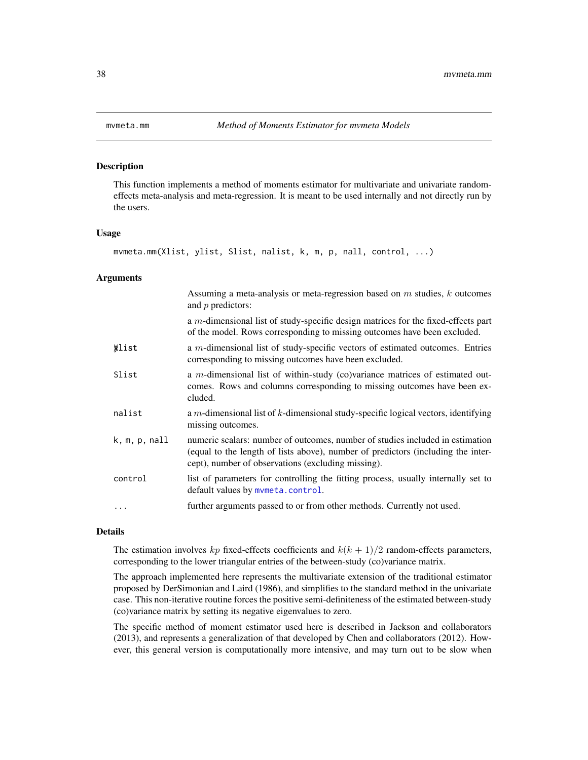### Description

This function implements a method of moments estimator for multivariate and univariate randomeffects meta-analysis and meta-regression. It is meant to be used internally and not directly run by the users.

### Usage

```
mvmeta.mm(Xlist, ylist, Slist, nalist, k, m, p, nall, control, ...)
```
### Arguments

|                        | Assuming a meta-analysis or meta-regression based on $m$ studies, $k$ outcomes<br>and $p$ predictors:                                                                                                                   |
|------------------------|-------------------------------------------------------------------------------------------------------------------------------------------------------------------------------------------------------------------------|
|                        | a $m$ -dimensional list of study-specific design matrices for the fixed-effects part<br>of the model. Rows corresponding to missing outcomes have been excluded.                                                        |
| *list                  | a $m$ -dimensional list of study-specific vectors of estimated outcomes. Entries<br>corresponding to missing outcomes have been excluded.                                                                               |
| Slist                  | a m-dimensional list of within-study (co)variance matrices of estimated out-<br>comes. Rows and columns corresponding to missing outcomes have been ex-<br>cluded.                                                      |
| nalist                 | a $m$ -dimensional list of $k$ -dimensional study-specific logical vectors, identifying<br>missing outcomes.                                                                                                            |
| $k, m, p, \text{nall}$ | numeric scalars: number of outcomes, number of studies included in estimation<br>(equal to the length of lists above), number of predictors (including the inter-<br>cept), number of observations (excluding missing). |
| control                | list of parameters for controlling the fitting process, usually internally set to<br>default values by mymeta.control.                                                                                                  |
| .                      | further arguments passed to or from other methods. Currently not used.                                                                                                                                                  |

### Details

The estimation involves kp fixed-effects coefficients and  $k(k + 1)/2$  random-effects parameters, corresponding to the lower triangular entries of the between-study (co)variance matrix.

The approach implemented here represents the multivariate extension of the traditional estimator proposed by DerSimonian and Laird (1986), and simplifies to the standard method in the univariate case. This non-iterative routine forces the positive semi-definiteness of the estimated between-study (co)variance matrix by setting its negative eigenvalues to zero.

The specific method of moment estimator used here is described in Jackson and collaborators (2013), and represents a generalization of that developed by Chen and collaborators (2012). However, this general version is computationally more intensive, and may turn out to be slow when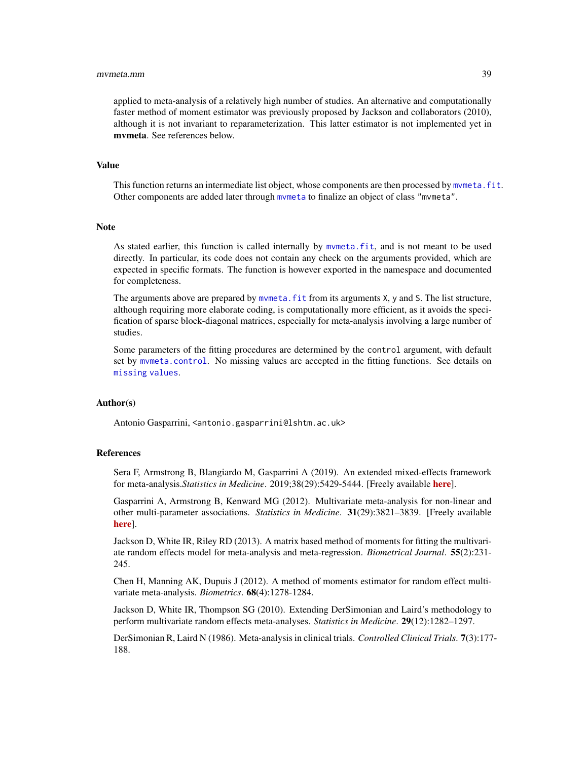### <span id="page-38-0"></span>mvmeta.mm 39

applied to meta-analysis of a relatively high number of studies. An alternative and computationally faster method of moment estimator was previously proposed by Jackson and collaborators (2010), although it is not invariant to reparameterization. This latter estimator is not implemented yet in mvmeta. See references below.

### Value

This function returns an intermediate list object, whose components are then processed by mymeta. fit. Other components are added later through [mvmeta](#page-24-1) to finalize an object of class "mvmeta".

# **Note**

As stated earlier, this function is called internally by [mvmeta.fit](#page-24-2), and is not meant to be used directly. In particular, its code does not contain any check on the arguments provided, which are expected in specific formats. The function is however exported in the namespace and documented for completeness.

The arguments above are prepared by mymeta. fit from its arguments X, y and S. The list structure, although requiring more elaborate coding, is computationally more efficient, as it avoids the specification of sparse block-diagonal matrices, especially for meta-analysis involving a large number of studies.

Some parameters of the fitting procedures are determined by the control argument, with default set by [mvmeta.control](#page-29-1). No missing values are accepted in the fitting functions. See details on [missing values](#page-49-1).

# Author(s)

Antonio Gasparrini, <antonio.gasparrini@lshtm.ac.uk>

### References

Sera F, Armstrong B, Blangiardo M, Gasparrini A (2019). An extended mixed-effects framework for meta-analysis.*Statistics in Medicine*. 2019;38(29):5429-5444. [Freely available [here](http://www.ag-myresearch.com/2019_sera_statmed.html)].

Gasparrini A, Armstrong B, Kenward MG (2012). Multivariate meta-analysis for non-linear and other multi-parameter associations. *Statistics in Medicine*. 31(29):3821–3839. [Freely available [here](http://www.ag-myresearch.com/2012_gasparrini_statmed.html)].

Jackson D, White IR, Riley RD (2013). A matrix based method of moments for fitting the multivariate random effects model for meta-analysis and meta-regression. *Biometrical Journal*. 55(2):231- 245.

Chen H, Manning AK, Dupuis J (2012). A method of moments estimator for random effect multivariate meta-analysis. *Biometrics*. 68(4):1278-1284.

Jackson D, White IR, Thompson SG (2010). Extending DerSimonian and Laird's methodology to perform multivariate random effects meta-analyses. *Statistics in Medicine*. 29(12):1282–1297.

DerSimonian R, Laird N (1986). Meta-analysis in clinical trials. *Controlled Clinical Trials*. 7(3):177- 188.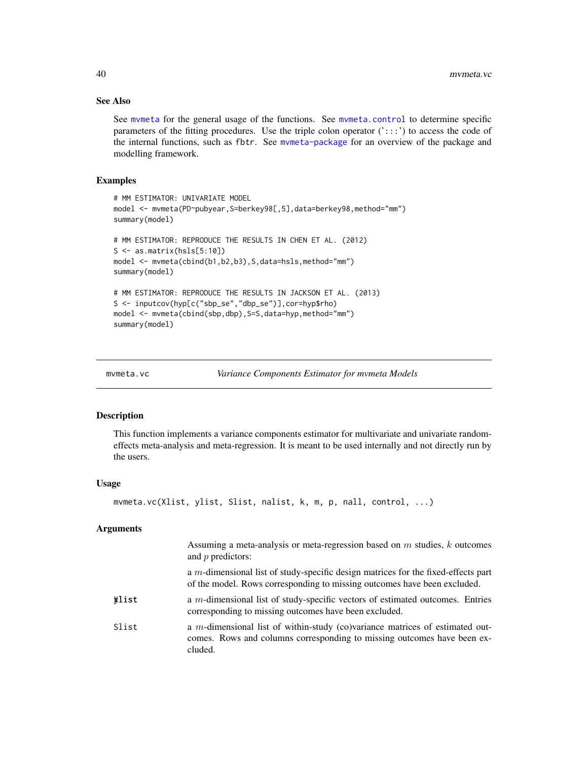# See Also

See [mvmeta](#page-24-1) for the general usage of the functions. See [mvmeta.control](#page-29-1) to determine specific parameters of the fitting procedures. Use the triple colon operator  $('::::)$  to access the code of the internal functions, such as fbtr. See [mvmeta-package](#page-1-1) for an overview of the package and modelling framework.

# Examples

```
# MM ESTIMATOR: UNIVARIATE MODEL
model <- mvmeta(PD~pubyear, S=berkey98[,5],data=berkey98,method="mm")
summary(model)
# MM ESTIMATOR: REPRODUCE THE RESULTS IN CHEN ET AL. (2012)
S \leftarrow as_matrix(hsls[5:10])model <- mvmeta(cbind(b1,b2,b3),S,data=hsls,method="mm")
summary(model)
# MM ESTIMATOR: REPRODUCE THE RESULTS IN JACKSON ET AL. (2013)
S <- inputcov(hyp[c("sbp_se","dbp_se")],cor=hyp$rho)
model <- mvmeta(cbind(sbp,dbp),S=S,data=hyp,method="mm")
summary(model)
```
<span id="page-39-1"></span>

```
mvmeta.vc Variance Components Estimator for mvmeta Models
```
# Description

This function implements a variance components estimator for multivariate and univariate randomeffects meta-analysis and meta-regression. It is meant to be used internally and not directly run by the users.

### Usage

```
mvmeta.vc(Xlist, ylist, Slist, nalist, k, m, p, nall, control, ...)
```
# Arguments

|       | Assuming a meta-analysis or meta-regression based on $m$ studies, $k$ outcomes<br>and $p$ predictors:                                                              |
|-------|--------------------------------------------------------------------------------------------------------------------------------------------------------------------|
|       | a $m$ -dimensional list of study-specific design matrices for the fixed-effects part<br>of the model. Rows corresponding to missing outcomes have been excluded.   |
| Wlist | a $m$ -dimensional list of study-specific vectors of estimated outcomes. Entries<br>corresponding to missing outcomes have been excluded.                          |
| Slist | a m-dimensional list of within-study (co)variance matrices of estimated out-<br>comes. Rows and columns corresponding to missing outcomes have been ex-<br>cluded. |

<span id="page-39-0"></span>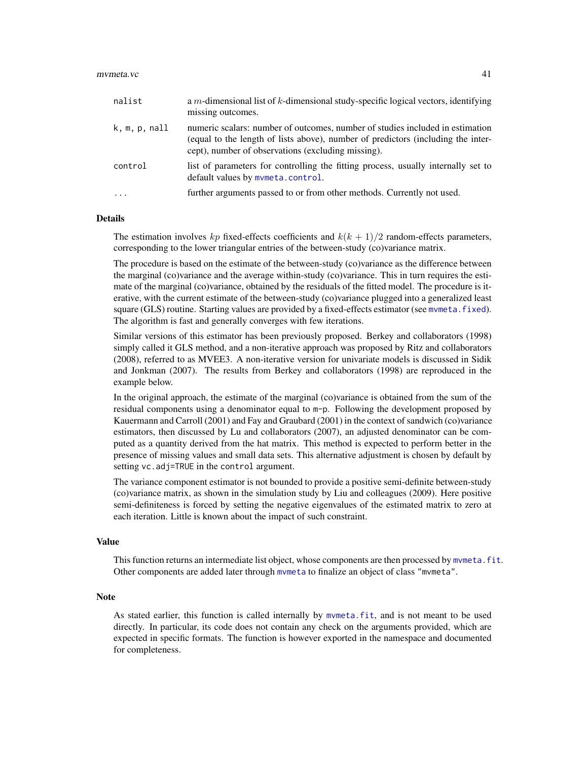### <span id="page-40-0"></span>mvmeta.vc 41

| nalist        | a $m$ -dimensional list of $k$ -dimensional study-specific logical vectors, identifying<br>missing outcomes.                                                                                                            |
|---------------|-------------------------------------------------------------------------------------------------------------------------------------------------------------------------------------------------------------------------|
| k, m, p, null | numeric scalars: number of outcomes, number of studies included in estimation<br>(equal to the length of lists above), number of predictors (including the inter-<br>cept), number of observations (excluding missing). |
| control       | list of parameters for controlling the fitting process, usually internally set to<br>default values by mymeta.control.                                                                                                  |
| $\cdot$       | further arguments passed to or from other methods. Currently not used.                                                                                                                                                  |

# Details

The estimation involves kp fixed-effects coefficients and  $k(k + 1)/2$  random-effects parameters, corresponding to the lower triangular entries of the between-study (co)variance matrix.

The procedure is based on the estimate of the between-study (co)variance as the difference between the marginal (co)variance and the average within-study (co)variance. This in turn requires the estimate of the marginal (co)variance, obtained by the residuals of the fitted model. The procedure is iterative, with the current estimate of the between-study (co)variance plugged into a generalized least square (GLS) routine. Starting values are provided by a fixed-effects estimator (see mymeta.fixed). The algorithm is fast and generally converges with few iterations.

Similar versions of this estimator has been previously proposed. Berkey and collaborators (1998) simply called it GLS method, and a non-iterative approach was proposed by Ritz and collaborators (2008), referred to as MVEE3. A non-iterative version for univariate models is discussed in Sidik and Jonkman (2007). The results from Berkey and collaborators (1998) are reproduced in the example below.

In the original approach, the estimate of the marginal (co)variance is obtained from the sum of the residual components using a denominator equal to m-p. Following the development proposed by Kauermann and Carroll (2001) and Fay and Graubard (2001) in the context of sandwich (co)variance estimators, then discussed by Lu and collaborators (2007), an adjusted denominator can be computed as a quantity derived from the hat matrix. This method is expected to perform better in the presence of missing values and small data sets. This alternative adjustment is chosen by default by setting vc.adj=TRUE in the control argument.

The variance component estimator is not bounded to provide a positive semi-definite between-study (co)variance matrix, as shown in the simulation study by Liu and colleagues (2009). Here positive semi-definiteness is forced by setting the negative eigenvalues of the estimated matrix to zero at each iteration. Little is known about the impact of such constraint.

### Value

This function returns an intermediate list object, whose components are then processed by mymeta. fit. Other components are added later through [mvmeta](#page-24-1) to finalize an object of class "mvmeta".

### Note

As stated earlier, this function is called internally by [mvmeta.fit](#page-24-2), and is not meant to be used directly. In particular, its code does not contain any check on the arguments provided, which are expected in specific formats. The function is however exported in the namespace and documented for completeness.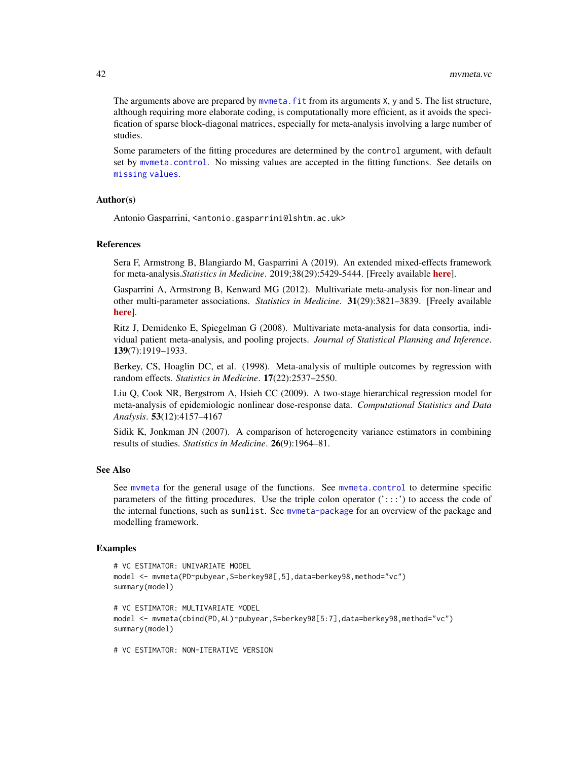<span id="page-41-0"></span>The arguments above are prepared by mymeta. Fit from its arguments X, y and S. The list structure, although requiring more elaborate coding, is computationally more efficient, as it avoids the specification of sparse block-diagonal matrices, especially for meta-analysis involving a large number of studies.

Some parameters of the fitting procedures are determined by the control argument, with default set by [mvmeta.control](#page-29-1). No missing values are accepted in the fitting functions. See details on [missing values](#page-49-1).

# Author(s)

Antonio Gasparrini, <antonio.gasparrini@lshtm.ac.uk>

# References

Sera F, Armstrong B, Blangiardo M, Gasparrini A (2019). An extended mixed-effects framework for meta-analysis.*Statistics in Medicine*. 2019;38(29):5429-5444. [Freely available [here](http://www.ag-myresearch.com/2019_sera_statmed.html)].

Gasparrini A, Armstrong B, Kenward MG (2012). Multivariate meta-analysis for non-linear and other multi-parameter associations. *Statistics in Medicine*. 31(29):3821–3839. [Freely available [here](http://www.ag-myresearch.com/2012_gasparrini_statmed.html)].

Ritz J, Demidenko E, Spiegelman G (2008). Multivariate meta-analysis for data consortia, individual patient meta-analysis, and pooling projects. *Journal of Statistical Planning and Inference*. 139(7):1919–1933.

Berkey, CS, Hoaglin DC, et al. (1998). Meta-analysis of multiple outcomes by regression with random effects. *Statistics in Medicine*. 17(22):2537–2550.

Liu Q, Cook NR, Bergstrom A, Hsieh CC (2009). A two-stage hierarchical regression model for meta-analysis of epidemiologic nonlinear dose-response data. *Computational Statistics and Data Analysis*. 53(12):4157–4167

Sidik K, Jonkman JN (2007). A comparison of heterogeneity variance estimators in combining results of studies. *Statistics in Medicine*. 26(9):1964–81.

# See Also

See [mvmeta](#page-24-1) for the general usage of the functions. See [mvmeta.control](#page-29-1) to determine specific parameters of the fitting procedures. Use the triple colon operator  $(':::)$  to access the code of the internal functions, such as sumlist. See [mvmeta-package](#page-1-1) for an overview of the package and modelling framework.

### Examples

```
# VC ESTIMATOR: UNIVARIATE MODEL
model <- mvmeta(PD~pubyear,S=berkey98[,5],data=berkey98,method="vc")
summary(model)
# VC ESTIMATOR: MULTIVARIATE MODEL
model <- mvmeta(cbind(PD,AL)~pubyear,S=berkey98[5:7],data=berkey98,method="vc")
summary(model)
# VC ESTIMATOR: NON-ITERATIVE VERSION
```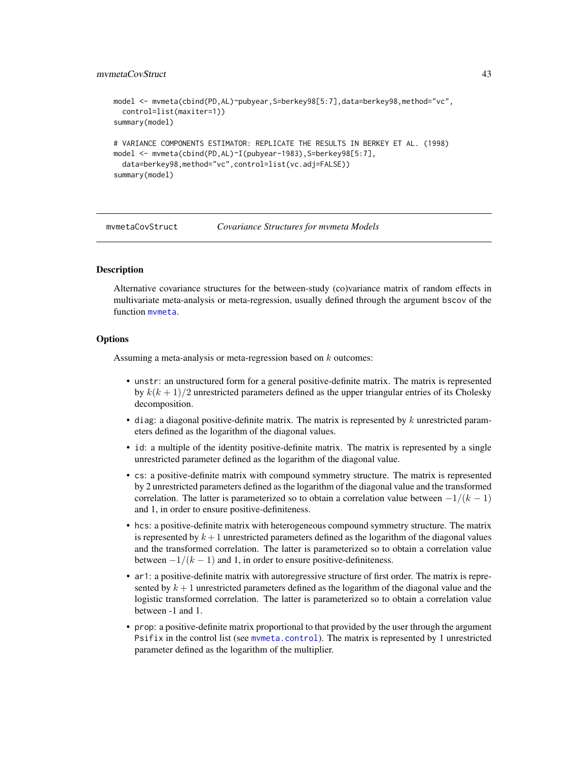# <span id="page-42-0"></span>mvmetaCovStruct 43

```
model <- mvmeta(cbind(PD,AL)~pubyear,S=berkey98[5:7],data=berkey98,method="vc",
 control=list(maxiter=1))
summary(model)
# VARIANCE COMPONENTS ESTIMATOR: REPLICATE THE RESULTS IN BERKEY ET AL. (1998)
model <- mvmeta(cbind(PD,AL)~I(pubyear-1983),S=berkey98[5:7],
 data=berkey98,method="vc",control=list(vc.adj=FALSE))
summary(model)
```
<span id="page-42-1"></span>mvmetaCovStruct *Covariance Structures for mvmeta Models*

# Description

Alternative covariance structures for the between-study (co)variance matrix of random effects in multivariate meta-analysis or meta-regression, usually defined through the argument bscov of the function [mvmeta](#page-24-1).

# **Options**

Assuming a meta-analysis or meta-regression based on  $k$  outcomes:

- unstr: an unstructured form for a general positive-definite matrix. The matrix is represented by  $k(k+1)/2$  unrestricted parameters defined as the upper triangular entries of its Cholesky decomposition.
- diag: a diagonal positive-definite matrix. The matrix is represented by  $k$  unrestricted parameters defined as the logarithm of the diagonal values.
- id: a multiple of the identity positive-definite matrix. The matrix is represented by a single unrestricted parameter defined as the logarithm of the diagonal value.
- cs: a positive-definite matrix with compound symmetry structure. The matrix is represented by 2 unrestricted parameters defined as the logarithm of the diagonal value and the transformed correlation. The latter is parameterized so to obtain a correlation value between  $-1/(k-1)$ and 1, in order to ensure positive-definiteness.
- hcs: a positive-definite matrix with heterogeneous compound symmetry structure. The matrix is represented by  $k+1$  unrestricted parameters defined as the logarithm of the diagonal values and the transformed correlation. The latter is parameterized so to obtain a correlation value between  $-1/(k-1)$  and 1, in order to ensure positive-definiteness.
- ar1: a positive-definite matrix with autoregressive structure of first order. The matrix is represented by  $k+1$  unrestricted parameters defined as the logarithm of the diagonal value and the logistic transformed correlation. The latter is parameterized so to obtain a correlation value between -1 and 1.
- prop: a positive-definite matrix proportional to that provided by the user through the argument Psifix in the control list (see [mvmeta.control](#page-29-1)). The matrix is represented by 1 unrestricted parameter defined as the logarithm of the multiplier.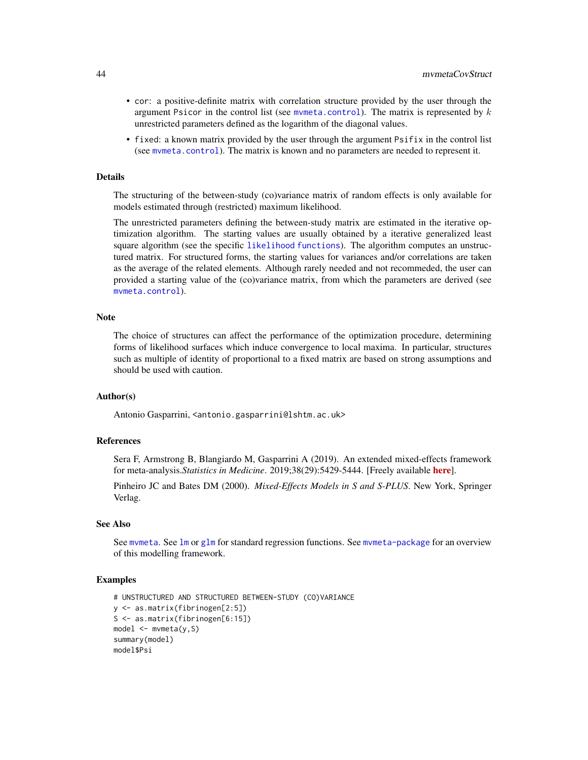- <span id="page-43-0"></span>• cor: a positive-definite matrix with correlation structure provided by the user through the argument Psicor in the control list (see mymeta.control). The matrix is represented by  $k$ unrestricted parameters defined as the logarithm of the diagonal values.
- fixed: a known matrix provided by the user through the argument Psifix in the control list (see [mvmeta.control](#page-29-1)). The matrix is known and no parameters are needed to represent it.

### Details

The structuring of the between-study (co)variance matrix of random effects is only available for models estimated through (restricted) maximum likelihood.

The unrestricted parameters defining the between-study matrix are estimated in the iterative optimization algorithm. The starting values are usually obtained by a iterative generalized least square algorithm (see the specific [likelihood functions](#page-20-1)). The algorithm computes an unstructured matrix. For structured forms, the starting values for variances and/or correlations are taken as the average of the related elements. Although rarely needed and not recommeded, the user can provided a starting value of the (co)variance matrix, from which the parameters are derived (see [mvmeta.control](#page-29-1)).

# **Note**

The choice of structures can affect the performance of the optimization procedure, determining forms of likelihood surfaces which induce convergence to local maxima. In particular, structures such as multiple of identity of proportional to a fixed matrix are based on strong assumptions and should be used with caution.

# Author(s)

Antonio Gasparrini, <antonio.gasparrini@lshtm.ac.uk>

# References

Sera F, Armstrong B, Blangiardo M, Gasparrini A (2019). An extended mixed-effects framework for meta-analysis.*Statistics in Medicine*. 2019;38(29):5429-5444. [Freely available [here](http://www.ag-myresearch.com/2019_sera_statmed.html)].

Pinheiro JC and Bates DM (2000). *Mixed-Effects Models in S and S-PLUS*. New York, Springer Verlag.

### See Also

See mymeta. See [lm](#page-0-0) or [glm](#page-0-0) for standard regression functions. See mymeta-package for an overview of this modelling framework.

# Examples

```
# UNSTRUCTURED AND STRUCTURED BETWEEN-STUDY (CO)VARIANCE
y <- as.matrix(fibrinogen[2:5])
S <- as.matrix(fibrinogen[6:15])
model <- mvmeta(y,S)
summary(model)
model$Psi
```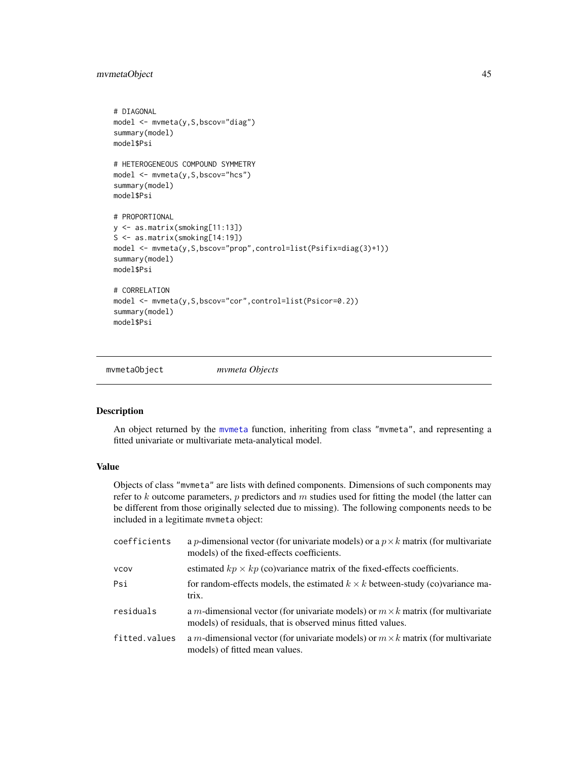# <span id="page-44-0"></span>mvmetaObject 45

```
# DIAGONAL
model <- mvmeta(y,S,bscov="diag")
summary(model)
model$Psi
# HETEROGENEOUS COMPOUND SYMMETRY
model <- mvmeta(y,S,bscov="hcs")
summary(model)
model$Psi
# PROPORTIONAL
y <- as.matrix(smoking[11:13])
S <- as.matrix(smoking[14:19])
model <- mvmeta(y,S,bscov="prop",control=list(Psifix=diag(3)+1))
summary(model)
model$Psi
# CORRELATION
model <- mvmeta(y,S,bscov="cor",control=list(Psicor=0.2))
summary(model)
model$Psi
```
<span id="page-44-1"></span>mvmetaObject *mvmeta Objects*

# **Description**

An object returned by the [mvmeta](#page-24-1) function, inheriting from class "mvmeta", and representing a fitted univariate or multivariate meta-analytical model.

# Value

Objects of class "mvmeta" are lists with defined components. Dimensions of such components may refer to  $k$  outcome parameters,  $p$  predictors and  $m$  studies used for fitting the model (the latter can be different from those originally selected due to missing). The following components needs to be included in a legitimate mvmeta object:

| coefficients  | a <i>p</i> -dimensional vector (for univariate models) or a $p \times k$ matrix (for multivariate<br>models) of the fixed-effects coefficients.        |
|---------------|--------------------------------------------------------------------------------------------------------------------------------------------------------|
| <b>VCOV</b>   | estimated $kp \times kp$ (co)variance matrix of the fixed-effects coefficients.                                                                        |
| Psi           | for random-effects models, the estimated $k \times k$ between-study (co)variance ma-<br>trix.                                                          |
| residuals     | a m-dimensional vector (for univariate models) or $m \times k$ matrix (for multivariate<br>models) of residuals, that is observed minus fitted values. |
| fitted.values | a m-dimensional vector (for univariate models) or $m \times k$ matrix (for multivariate<br>models) of fitted mean values.                              |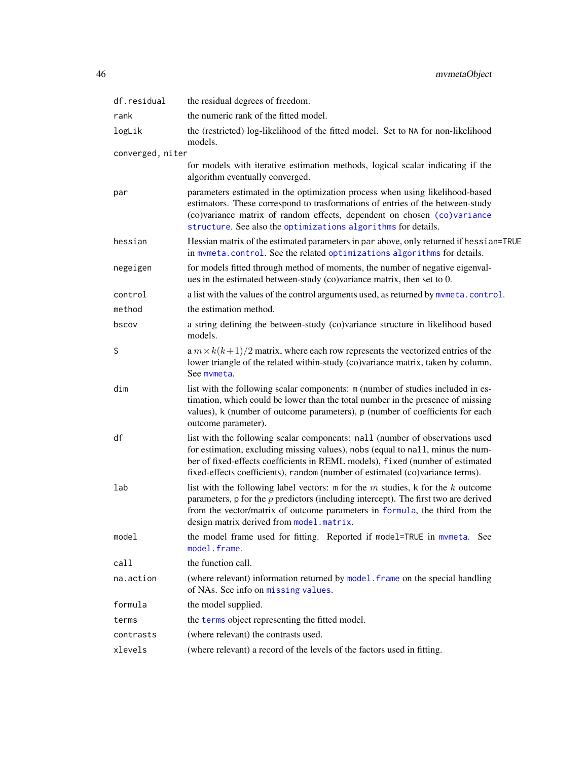<span id="page-45-0"></span>

| df.residual      | the residual degrees of freedom.                                                                                                                                                                                                                                                                                                 |  |
|------------------|----------------------------------------------------------------------------------------------------------------------------------------------------------------------------------------------------------------------------------------------------------------------------------------------------------------------------------|--|
| rank             | the numeric rank of the fitted model.                                                                                                                                                                                                                                                                                            |  |
| logLik           | the (restricted) log-likelihood of the fitted model. Set to NA for non-likelihood<br>models.                                                                                                                                                                                                                                     |  |
| converged, niter |                                                                                                                                                                                                                                                                                                                                  |  |
|                  | for models with iterative estimation methods, logical scalar indicating if the<br>algorithm eventually converged.                                                                                                                                                                                                                |  |
| par              | parameters estimated in the optimization process when using likelihood-based<br>estimators. These correspond to trasformations of entries of the between-study<br>(co)variance matrix of random effects, dependent on chosen (co)variance<br>structure. See also the optimizations algorithms for details.                       |  |
| hessian          | Hessian matrix of the estimated parameters in par above, only returned if hessian=TRUE<br>in mymeta.control. See the related optimizations algorithms for details.                                                                                                                                                               |  |
| negeigen         | for models fitted through method of moments, the number of negative eigenval-<br>ues in the estimated between-study (co)variance matrix, then set to 0.                                                                                                                                                                          |  |
| control          | a list with the values of the control arguments used, as returned by mvmeta.control.                                                                                                                                                                                                                                             |  |
| method           | the estimation method.                                                                                                                                                                                                                                                                                                           |  |
| bscov            | a string defining the between-study (co)variance structure in likelihood based<br>models.                                                                                                                                                                                                                                        |  |
| S                | a $m \times k(k+1)/2$ matrix, where each row represents the vectorized entries of the<br>lower triangle of the related within-study (co)variance matrix, taken by column.<br>See mymeta.                                                                                                                                         |  |
| dim              | list with the following scalar components: m (number of studies included in es-<br>timation, which could be lower than the total number in the presence of missing<br>values), k (number of outcome parameters), p (number of coefficients for each<br>outcome parameter).                                                       |  |
| df               | list with the following scalar components: nall (number of observations used<br>for estimation, excluding missing values), nobs (equal to nall, minus the num-<br>ber of fixed-effects coefficients in REML models), fixed (number of estimated<br>fixed-effects coefficients), random (number of estimated (co)variance terms). |  |
| lab              | list with the following label vectors: $m$ for the $m$ studies, $k$ for the $k$ outcome<br>parameters, $p$ for the $p$ predictors (including intercept). The first two are derived<br>from the vector/matrix of outcome parameters in formula, the third from the<br>design matrix derived from model.matrix.                    |  |
| model            | the model frame used for fitting. Reported if model=TRUE in mymeta. See<br>model.frame.                                                                                                                                                                                                                                          |  |
| call             | the function call.                                                                                                                                                                                                                                                                                                               |  |
| na.action        | (where relevant) information returned by model. frame on the special handling<br>of NAs. See info on missing values.                                                                                                                                                                                                             |  |
| formula          | the model supplied.                                                                                                                                                                                                                                                                                                              |  |
| terms            | the terms object representing the fitted model.                                                                                                                                                                                                                                                                                  |  |
| contrasts        | (where relevant) the contrasts used.                                                                                                                                                                                                                                                                                             |  |
| xlevels          | (where relevant) a record of the levels of the factors used in fitting.                                                                                                                                                                                                                                                          |  |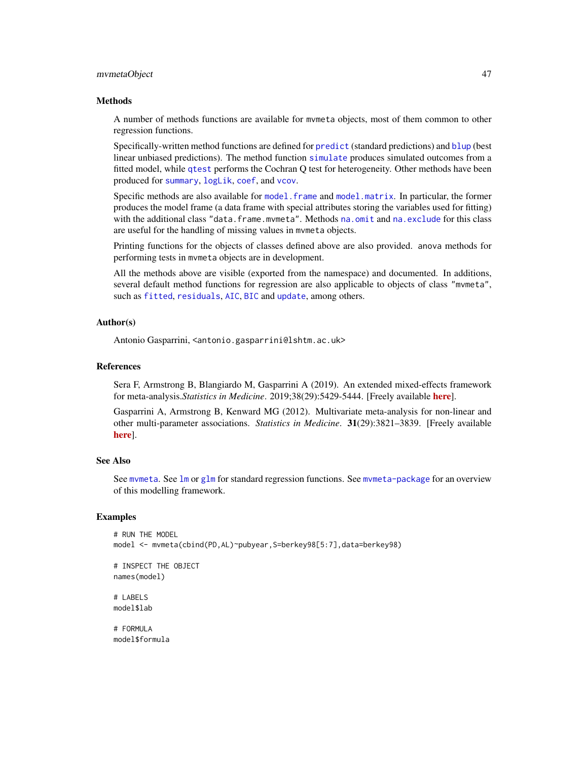### <span id="page-46-0"></span>mvmetaObject 47

### Methods

A number of methods functions are available for mvmeta objects, most of them common to other regression functions.

Specifically-written method functions are defined for [predict](#page-52-1) (standard predictions) and [blup](#page-8-1) (best linear unbiased predictions). The method function [simulate](#page-47-2) produces simulated outcomes from a fitted model, while [qtest](#page-55-1) performs the Cochran Q test for heterogeneity. Other methods have been produced for [summary](#page-58-1), [logLik](#page-19-1), [coef](#page-10-1), and [vcov](#page-10-2).

Specific methods are also available for model. frame and [model.matrix](#page-23-2). In particular, the former produces the model frame (a data frame with special attributes storing the variables used for fitting) with the additional class "data.frame.mvmeta". Methods [na.omit](#page-49-1) and [na.exclude](#page-49-2) for this class are useful for the handling of missing values in mvmeta objects.

Printing functions for the objects of classes defined above are also provided. anova methods for performing tests in mvmeta objects are in development.

All the methods above are visible (exported from the namespace) and documented. In additions, several default method functions for regression are also applicable to objects of class "mvmeta", such as [fitted](#page-0-0), [residuals](#page-0-0), [AIC](#page-0-0), [BIC](#page-0-0) and [update](#page-0-0), among others.

# Author(s)

Antonio Gasparrini, <antonio.gasparrini@lshtm.ac.uk>

### References

Sera F, Armstrong B, Blangiardo M, Gasparrini A (2019). An extended mixed-effects framework for meta-analysis.*Statistics in Medicine*. 2019;38(29):5429-5444. [Freely available [here](http://www.ag-myresearch.com/2019_sera_statmed.html)].

Gasparrini A, Armstrong B, Kenward MG (2012). Multivariate meta-analysis for non-linear and other multi-parameter associations. *Statistics in Medicine*. 31(29):3821–3839. [Freely available [here](http://www.ag-myresearch.com/2012_gasparrini_statmed.html)].

# See Also

See mymeta. See  $\text{Im}$  or g[lm](#page-0-0) for standard regression functions. See mymeta-package for an overview of this modelling framework.

### Examples

```
# RUN THE MODEL
model <- mvmeta(cbind(PD,AL)~pubyear,S=berkey98[5:7],data=berkey98)
```

```
# INSPECT THE OBJECT
names(model)
```
# LABELS model\$lab

# FORMULA model\$formula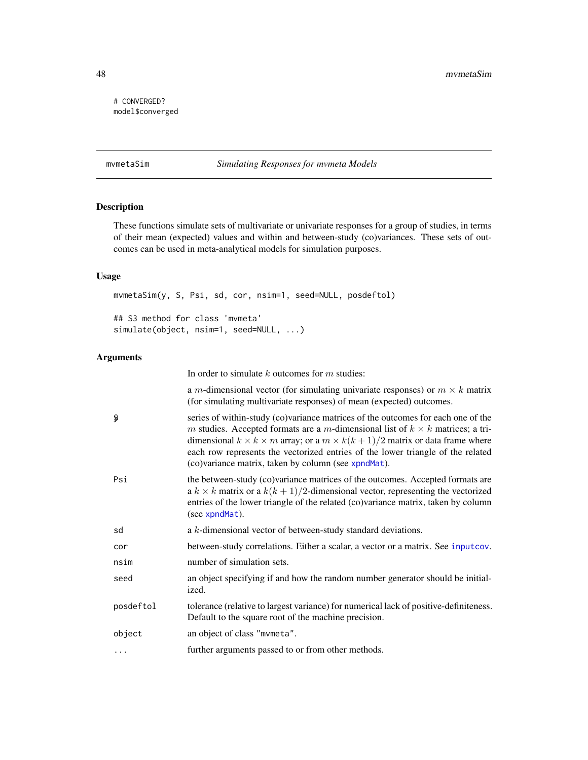# <span id="page-47-0"></span># CONVERGED? model\$converged

# <span id="page-47-1"></span>mvmetaSim *Simulating Responses for mvmeta Models*

# <span id="page-47-2"></span>Description

These functions simulate sets of multivariate or univariate responses for a group of studies, in terms of their mean (expected) values and within and between-study (co)variances. These sets of outcomes can be used in meta-analytical models for simulation purposes.

# Usage

mvmetaSim(y, S, Psi, sd, cor, nsim=1, seed=NULL, posdeftol) ## S3 method for class 'mvmeta' simulate(object, nsim=1, seed=NULL, ...)

# Arguments

|           | In order to simulate $k$ outcomes for $m$ studies:                                                                                                                                                                                                                                                                                                                                                                  |
|-----------|---------------------------------------------------------------------------------------------------------------------------------------------------------------------------------------------------------------------------------------------------------------------------------------------------------------------------------------------------------------------------------------------------------------------|
|           | a <i>m</i> -dimensional vector (for simulating univariate responses) or $m \times k$ matrix<br>(for simulating multivariate responses) of mean (expected) outcomes.                                                                                                                                                                                                                                                 |
| Ş         | series of within-study (co)variance matrices of the outcomes for each one of the<br>m studies. Accepted formats are a m-dimensional list of $k \times k$ matrices; a tri-<br>dimensional $k \times k \times m$ array; or a $m \times k(k+1)/2$ matrix or data frame where<br>each row represents the vectorized entries of the lower triangle of the related<br>(co)variance matrix, taken by column (see xpndMat). |
| Psi       | the between-study (co)variance matrices of the outcomes. Accepted formats are<br>a $k \times k$ matrix or a $k(k+1)/2$ -dimensional vector, representing the vectorized<br>entries of the lower triangle of the related (co)variance matrix, taken by column<br>(see xpndMat).                                                                                                                                      |
| sd        | a k-dimensional vector of between-study standard deviations.                                                                                                                                                                                                                                                                                                                                                        |
| cor       | between-study correlations. Either a scalar, a vector or a matrix. See inputcov.                                                                                                                                                                                                                                                                                                                                    |
| nsim      | number of simulation sets.                                                                                                                                                                                                                                                                                                                                                                                          |
| seed      | an object specifying if and how the random number generator should be initial-<br>ized.                                                                                                                                                                                                                                                                                                                             |
| posdeftol | tolerance (relative to largest variance) for numerical lack of positive-definiteness.<br>Default to the square root of the machine precision.                                                                                                                                                                                                                                                                       |
| object    | an object of class "mvmeta".                                                                                                                                                                                                                                                                                                                                                                                        |
| $\cdots$  | further arguments passed to or from other methods.                                                                                                                                                                                                                                                                                                                                                                  |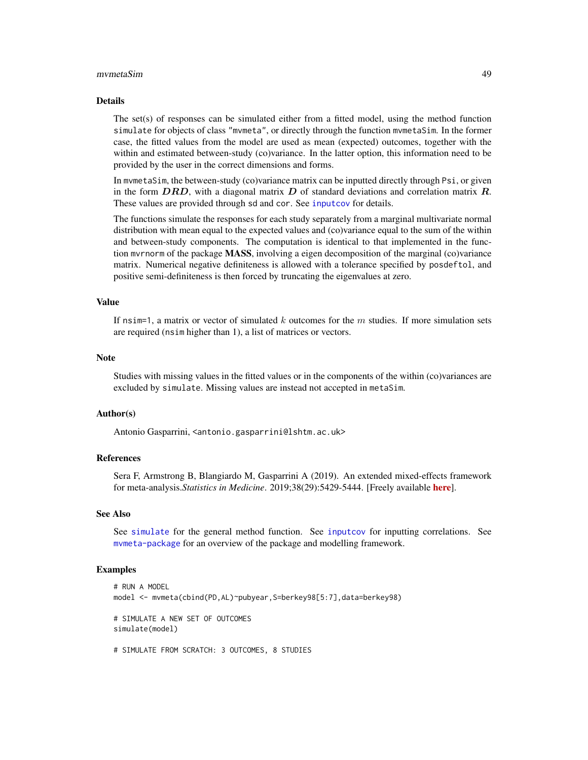### <span id="page-48-0"></span>mvmetaSim 49

### Details

The set(s) of responses can be simulated either from a fitted model, using the method function simulate for objects of class "mvmeta", or directly through the function mvmetaSim. In the former case, the fitted values from the model are used as mean (expected) outcomes, together with the within and estimated between-study (co)variance. In the latter option, this information need to be provided by the user in the correct dimensions and forms.

In mvmetaSim, the between-study (co)variance matrix can be inputted directly through Psi, or given in the form  $DRD$ , with a diagonal matrix  $D$  of standard deviations and correlation matrix  $R$ . These values are provided through sd and cor. See [inputcov](#page-15-1) for details.

The functions simulate the responses for each study separately from a marginal multivariate normal distribution with mean equal to the expected values and (co)variance equal to the sum of the within and between-study components. The computation is identical to that implemented in the function mvrnorm of the package MASS, involving a eigen decomposition of the marginal (co)variance matrix. Numerical negative definiteness is allowed with a tolerance specified by posdeftol, and positive semi-definiteness is then forced by truncating the eigenvalues at zero.

# Value

If nsim=1, a matrix or vector of simulated k outcomes for the  $m$  studies. If more simulation sets are required (nsim higher than 1), a list of matrices or vectors.

# Note

Studies with missing values in the fitted values or in the components of the within (co)variances are excluded by simulate. Missing values are instead not accepted in metaSim.

# Author(s)

Antonio Gasparrini, <antonio.gasparrini@lshtm.ac.uk>

# References

Sera F, Armstrong B, Blangiardo M, Gasparrini A (2019). An extended mixed-effects framework for meta-analysis.*Statistics in Medicine*. 2019;38(29):5429-5444. [Freely available [here](http://www.ag-myresearch.com/2019_sera_statmed.html)].

# See Also

See [simulate](#page-0-0) for the general method function. See [inputcov](#page-15-1) for inputting correlations. See [mvmeta-package](#page-1-1) for an overview of the package and modelling framework.

# Examples

```
# RUN A MODEL
model <- mvmeta(cbind(PD,AL)~pubyear,S=berkey98[5:7],data=berkey98)
# SIMULATE A NEW SET OF OUTCOMES
simulate(model)
```
# SIMULATE FROM SCRATCH: 3 OUTCOMES, 8 STUDIES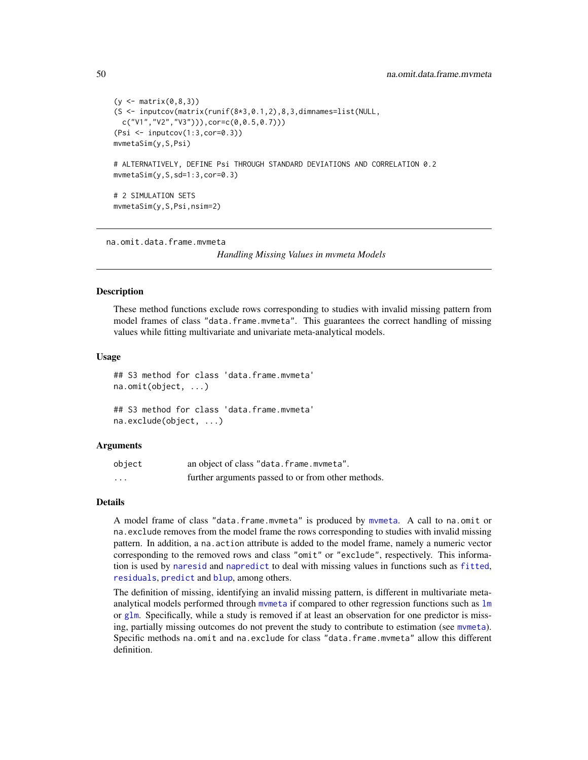```
(y \le - matrix(0, 8, 3)(S <- inputcov(matrix(runif(8*3,0.1,2),8,3,dimnames=list(NULL,
 c("V1","V2","V3"))),cor=c(0,0.5,0.7)))
(Psi <- inputcov(1:3,cor=0.3))
mvmetaSim(y,S,Psi)
# ALTERNATIVELY, DEFINE Psi THROUGH STANDARD DEVIATIONS AND CORRELATION 0.2
mvmetaSim(y,S,sd=1:3,cor=0.3)
# 2 SIMULATION SETS
mvmetaSim(y,S,Psi,nsim=2)
```
<span id="page-49-1"></span>na.omit.data.frame.mvmeta

*Handling Missing Values in mvmeta Models*

# <span id="page-49-2"></span>**Description**

These method functions exclude rows corresponding to studies with invalid missing pattern from model frames of class "data.frame.mvmeta". This guarantees the correct handling of missing values while fitting multivariate and univariate meta-analytical models.

### Usage

```
## S3 method for class 'data.frame.mvmeta'
na.omit(object, ...)
## S3 method for class 'data.frame.mvmeta'
```
na.exclude(object, ...)

### Arguments

| object               | an object of class "data.frame.mvmeta".            |
|----------------------|----------------------------------------------------|
| $\ddot{\phantom{0}}$ | further arguments passed to or from other methods. |

### Details

A model frame of class "data.frame.mvmeta" is produced by [mvmeta](#page-24-1). A call to na.omit or na.exclude removes from the model frame the rows corresponding to studies with invalid missing pattern. In addition, a na.action attribute is added to the model frame, namely a numeric vector corresponding to the removed rows and class "omit" or "exclude", respectively. This information is used by [naresid](#page-0-0) and [napredict](#page-0-0) to deal with missing values in functions such as [fitted](#page-0-0), [residuals](#page-0-0), [predict](#page-52-1) and [blup](#page-8-1), among others.

The definition of missing, identifying an invalid missing pattern, is different in multivariate metaanalytical models performed through mymeta if compared to other regression functions such as  $\text{lm}$  $\text{lm}$  $\text{lm}$ or [glm](#page-0-0). Specifically, while a study is removed if at least an observation for one predictor is missing, partially missing outcomes do not prevent the study to contribute to estimation (see [mvmeta](#page-24-1)). Specific methods na.omit and na.exclude for class "data.frame.mvmeta" allow this different definition.

<span id="page-49-0"></span>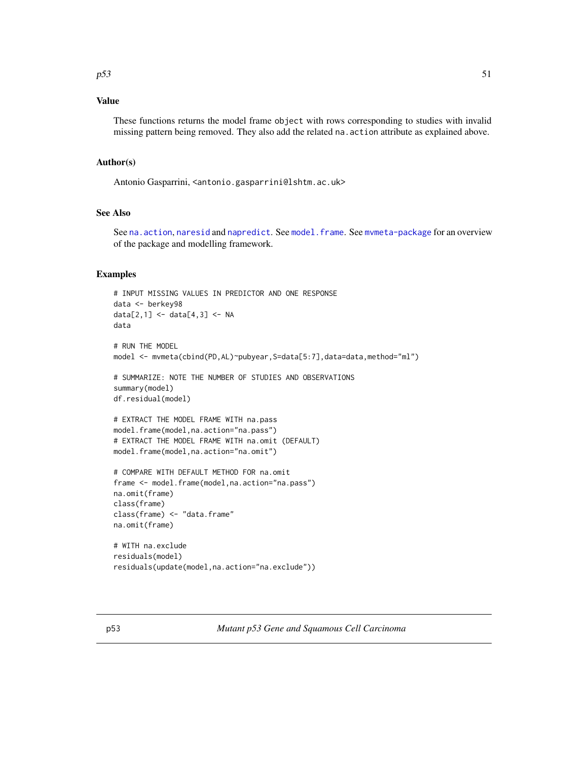# <span id="page-50-0"></span>Value

These functions returns the model frame object with rows corresponding to studies with invalid missing pattern being removed. They also add the related na.action attribute as explained above.

# Author(s)

Antonio Gasparrini, <antonio.gasparrini@lshtm.ac.uk>

# See Also

See [na.action](#page-0-0), [naresid](#page-0-0) and [napredict](#page-0-0). See [model.frame](#page-23-1). See [mvmeta-package](#page-1-1) for an overview of the package and modelling framework.

# Examples

```
# INPUT MISSING VALUES IN PREDICTOR AND ONE RESPONSE
data <- berkey98
data[2,1] <- data[4,3] <- NA
data
# RUN THE MODEL
model <- mvmeta(cbind(PD, AL)~pubyear, S=data[5:7], data=data, method="ml")
# SUMMARIZE: NOTE THE NUMBER OF STUDIES AND OBSERVATIONS
summary(model)
df.residual(model)
# EXTRACT THE MODEL FRAME WITH na.pass
model.frame(model,na.action="na.pass")
# EXTRACT THE MODEL FRAME WITH na.omit (DEFAULT)
model.frame(model,na.action="na.omit")
# COMPARE WITH DEFAULT METHOD FOR na.omit
frame <- model.frame(model,na.action="na.pass")
na.omit(frame)
class(frame)
class(frame) <- "data.frame"
na.omit(frame)
# WITH na.exclude
residuals(model)
```
<span id="page-50-1"></span>residuals(update(model,na.action="na.exclude"))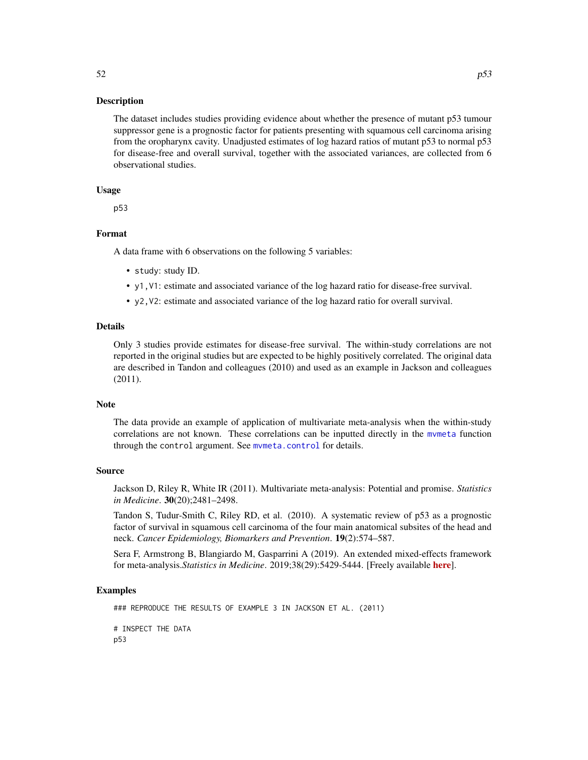# <span id="page-51-0"></span>Description

The dataset includes studies providing evidence about whether the presence of mutant p53 tumour suppressor gene is a prognostic factor for patients presenting with squamous cell carcinoma arising from the oropharynx cavity. Unadjusted estimates of log hazard ratios of mutant p53 to normal p53 for disease-free and overall survival, together with the associated variances, are collected from 6 observational studies.

# Usage

p53

# Format

A data frame with 6 observations on the following 5 variables:

- study: study ID.
- y1,V1: estimate and associated variance of the log hazard ratio for disease-free survival.
- y2,V2: estimate and associated variance of the log hazard ratio for overall survival.

### Details

Only 3 studies provide estimates for disease-free survival. The within-study correlations are not reported in the original studies but are expected to be highly positively correlated. The original data are described in Tandon and colleagues (2010) and used as an example in Jackson and colleagues (2011).

# **Note**

The data provide an example of application of multivariate meta-analysis when the within-study correlations are not known. These correlations can be inputted directly in the [mvmeta](#page-24-1) function through the control argument. See mymeta.control for details.

### Source

Jackson D, Riley R, White IR (2011). Multivariate meta-analysis: Potential and promise. *Statistics in Medicine*. 30(20);2481–2498.

Tandon S, Tudur-Smith C, Riley RD, et al. (2010). A systematic review of p53 as a prognostic factor of survival in squamous cell carcinoma of the four main anatomical subsites of the head and neck. *Cancer Epidemiology, Biomarkers and Prevention*. 19(2):574–587.

Sera F, Armstrong B, Blangiardo M, Gasparrini A (2019). An extended mixed-effects framework for meta-analysis.*Statistics in Medicine*. 2019;38(29):5429-5444. [Freely available [here](http://www.ag-myresearch.com/2019_sera_statmed.html)].

# Examples

```
### REPRODUCE THE RESULTS OF EXAMPLE 3 IN JACKSON ET AL. (2011)
# INSPECT THE DATA
p53
```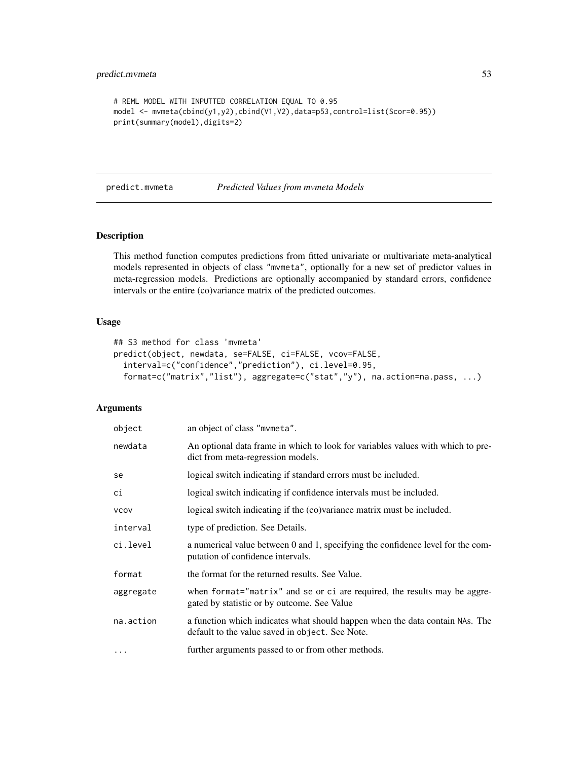```
# REML MODEL WITH INPUTTED CORRELATION EQUAL TO 0.95
model <- mvmeta(cbind(y1,y2),cbind(V1,V2),data=p53,control=list(Scor=0.95))
print(summary(model),digits=2)
```
<span id="page-52-1"></span>predict.mvmeta *Predicted Values from mvmeta Models*

# Description

This method function computes predictions from fitted univariate or multivariate meta-analytical models represented in objects of class "mvmeta", optionally for a new set of predictor values in meta-regression models. Predictions are optionally accompanied by standard errors, confidence intervals or the entire (co)variance matrix of the predicted outcomes.

# Usage

```
## S3 method for class 'mvmeta'
predict(object, newdata, se=FALSE, ci=FALSE, vcov=FALSE,
  interval=c("confidence","prediction"), ci.level=0.95,
  format=c("matrix","list"), aggregate=c("stat","y"), na.action=na.pass, ...)
```
# Arguments

| object      | an object of class "mymeta".                                                                                                    |
|-------------|---------------------------------------------------------------------------------------------------------------------------------|
| newdata     | An optional data frame in which to look for variables values with which to pre-<br>dict from meta-regression models.            |
| se          | logical switch indicating if standard errors must be included.                                                                  |
| сi          | logical switch indicating if confidence intervals must be included.                                                             |
| <b>VCOV</b> | logical switch indicating if the (co)variance matrix must be included.                                                          |
| interval    | type of prediction. See Details.                                                                                                |
| ci.level    | a numerical value between 0 and 1, specifying the confidence level for the com-<br>putation of confidence intervals.            |
| format      | the format for the returned results. See Value.                                                                                 |
| aggregate   | when format="matrix" and se or ci are required, the results may be aggre-<br>gated by statistic or by outcome. See Value        |
| na.action   | a function which indicates what should happen when the data contain NAs. The<br>default to the value saved in object. See Note. |
| $\cdots$    | further arguments passed to or from other methods.                                                                              |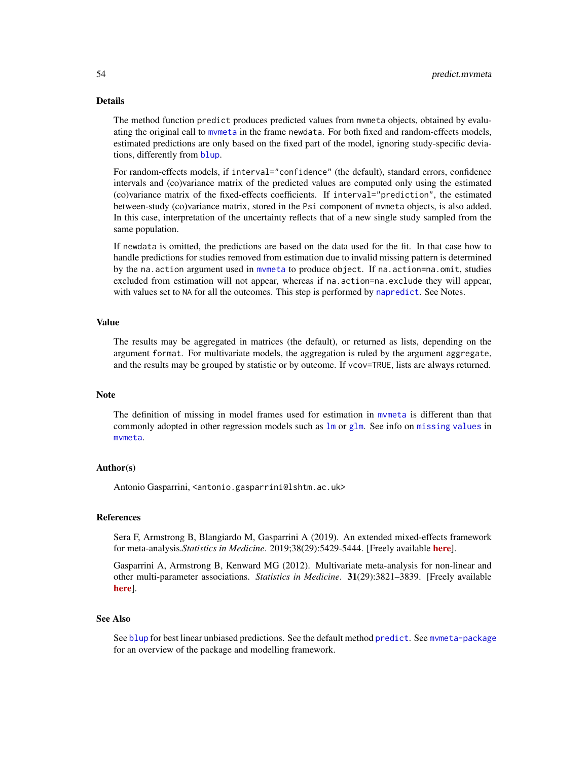# <span id="page-53-0"></span>Details

The method function predict produces predicted values from mvmeta objects, obtained by evaluating the original call to [mvmeta](#page-24-1) in the frame newdata. For both fixed and random-effects models, estimated predictions are only based on the fixed part of the model, ignoring study-specific deviations, differently from **[blup](#page-8-1)**.

For random-effects models, if interval="confidence" (the default), standard errors, confidence intervals and (co)variance matrix of the predicted values are computed only using the estimated (co)variance matrix of the fixed-effects coefficients. If interval="prediction", the estimated between-study (co)variance matrix, stored in the Psi component of mvmeta objects, is also added. In this case, interpretation of the uncertainty reflects that of a new single study sampled from the same population.

If newdata is omitted, the predictions are based on the data used for the fit. In that case how to handle predictions for studies removed from estimation due to invalid missing pattern is determined by the na.action argument used in mymeta to produce object. If na.action=na.omit, studies excluded from estimation will not appear, whereas if na.action=na.exclude they will appear, with values set to NA for all the outcomes. This step is performed by [napredict](#page-0-0). See Notes.

# Value

The results may be aggregated in matrices (the default), or returned as lists, depending on the argument format. For multivariate models, the aggregation is ruled by the argument aggregate, and the results may be grouped by statistic or by outcome. If vcov=TRUE, lists are always returned.

### **Note**

The definition of missing in model frames used for estimation in [mvmeta](#page-24-1) is different than that commonly adopted in other regression models such as  $\text{lm}$  $\text{lm}$  $\text{lm}$  or [glm](#page-0-0). See info on [missing values](#page-49-1) in [mvmeta](#page-24-1).

### Author(s)

Antonio Gasparrini, <antonio.gasparrini@lshtm.ac.uk>

# References

Sera F, Armstrong B, Blangiardo M, Gasparrini A (2019). An extended mixed-effects framework for meta-analysis.*Statistics in Medicine*. 2019;38(29):5429-5444. [Freely available [here](http://www.ag-myresearch.com/2019_sera_statmed.html)].

Gasparrini A, Armstrong B, Kenward MG (2012). Multivariate meta-analysis for non-linear and other multi-parameter associations. *Statistics in Medicine*. 31(29):3821–3839. [Freely available [here](http://www.ag-myresearch.com/2012_gasparrini_statmed.html)].

### See Also

See [blup](#page-8-1) for best linear unbiased predictions. See the default method [predict](#page-0-0). See [mvmeta-package](#page-1-1) for an overview of the package and modelling framework.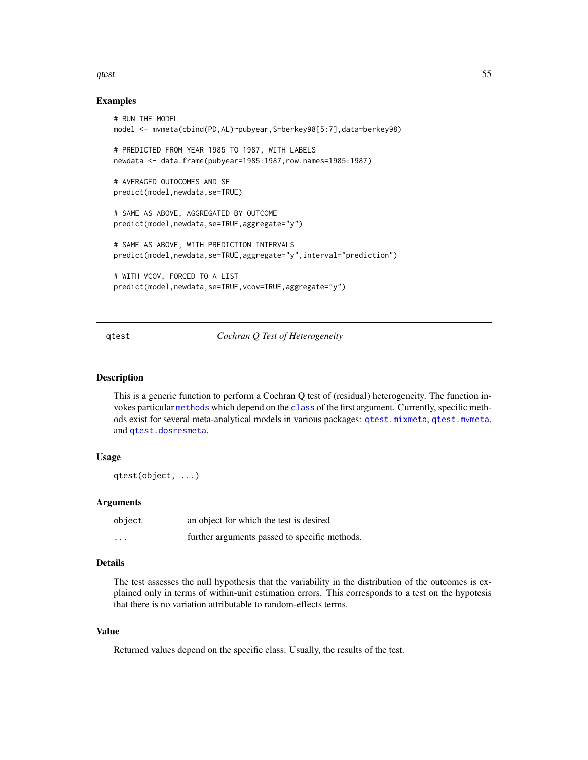# <span id="page-54-0"></span>qtest 55

# Examples

```
# RUN THE MODEL
model <- mvmeta(cbind(PD,AL)~pubyear,S=berkey98[5:7],data=berkey98)
# PREDICTED FROM YEAR 1985 TO 1987, WITH LABELS
newdata <- data.frame(pubyear=1985:1987,row.names=1985:1987)
# AVERAGED OUTOCOMES AND SE
predict(model,newdata,se=TRUE)
# SAME AS ABOVE, AGGREGATED BY OUTCOME
predict(model,newdata,se=TRUE,aggregate="y")
# SAME AS ABOVE, WITH PREDICTION INTERVALS
predict(model,newdata,se=TRUE,aggregate="y",interval="prediction")
# WITH VCOV, FORCED TO A LIST
predict(model,newdata,se=TRUE,vcov=TRUE,aggregate="y")
```
<span id="page-54-1"></span>qtest *Cochran Q Test of Heterogeneity*

# Description

This is a generic function to perform a Cochran Q test of (residual) heterogeneity. The function invokes particular [methods](#page-0-0) which depend on the [class](#page-0-0) of the first argument. Currently, specific methods exist for several meta-analytical models in various packages: [qtest.mixmeta](#page-0-0), [qtest.mvmeta](#page-55-1), and [qtest.dosresmeta](#page-0-0).

# Usage

qtest(object, ...)

### **Arguments**

| object   | an object for which the test is desired       |
|----------|-----------------------------------------------|
| $\cdots$ | further arguments passed to specific methods. |

# Details

The test assesses the null hypothesis that the variability in the distribution of the outcomes is explained only in terms of within-unit estimation errors. This corresponds to a test on the hypotesis that there is no variation attributable to random-effects terms.

# Value

Returned values depend on the specific class. Usually, the results of the test.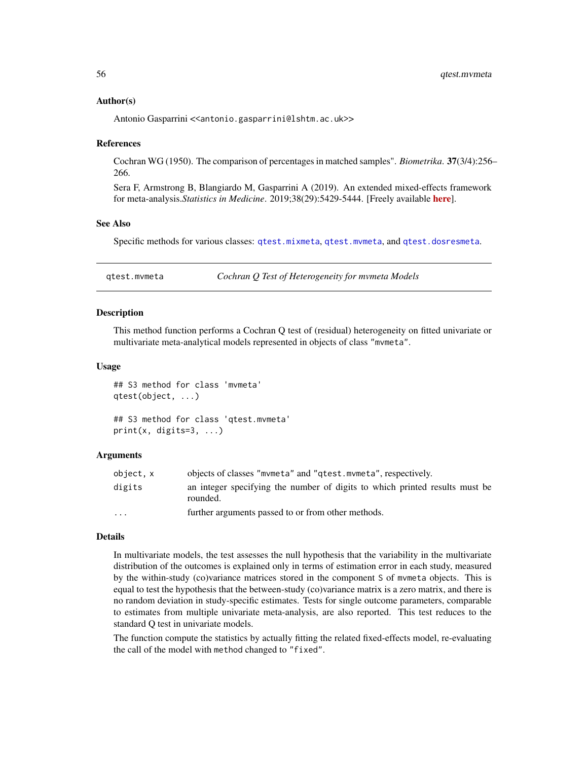# <span id="page-55-0"></span>Author(s)

Antonio Gasparrini << antonio.gasparrini@lshtm.ac.uk>>

### References

Cochran WG (1950). The comparison of percentages in matched samples". *Biometrika*. 37(3/4):256– 266.

Sera F, Armstrong B, Blangiardo M, Gasparrini A (2019). An extended mixed-effects framework for meta-analysis.*Statistics in Medicine*. 2019;38(29):5429-5444. [Freely available [here](http://www.ag-myresearch.com/2019_sera_statmed.html)].

### See Also

Specific methods for various classes: [qtest.mixmeta](#page-0-0), [qtest.mvmeta](#page-55-1), and [qtest.dosresmeta](#page-0-0).

<span id="page-55-1"></span>qtest.mvmeta *Cochran Q Test of Heterogeneity for mvmeta Models*

# Description

This method function performs a Cochran Q test of (residual) heterogeneity on fitted univariate or multivariate meta-analytical models represented in objects of class "mvmeta".

### Usage

## S3 method for class 'mvmeta' qtest(object, ...) ## S3 method for class 'qtest.mvmeta'

# print(x, digits=3, ...)

# Arguments

| object, x | objects of classes "mymeta" and "qtest.mymeta", respectively.                           |  |
|-----------|-----------------------------------------------------------------------------------------|--|
| digits    | an integer specifying the number of digits to which printed results must be<br>rounded. |  |
| $\cdots$  | further arguments passed to or from other methods.                                      |  |

### Details

In multivariate models, the test assesses the null hypothesis that the variability in the multivariate distribution of the outcomes is explained only in terms of estimation error in each study, measured by the within-study (co)variance matrices stored in the component S of mvmeta objects. This is equal to test the hypothesis that the between-study (co)variance matrix is a zero matrix, and there is no random deviation in study-specific estimates. Tests for single outcome parameters, comparable to estimates from multiple univariate meta-analysis, are also reported. This test reduces to the standard Q test in univariate models.

The function compute the statistics by actually fitting the related fixed-effects model, re-evaluating the call of the model with method changed to "fixed".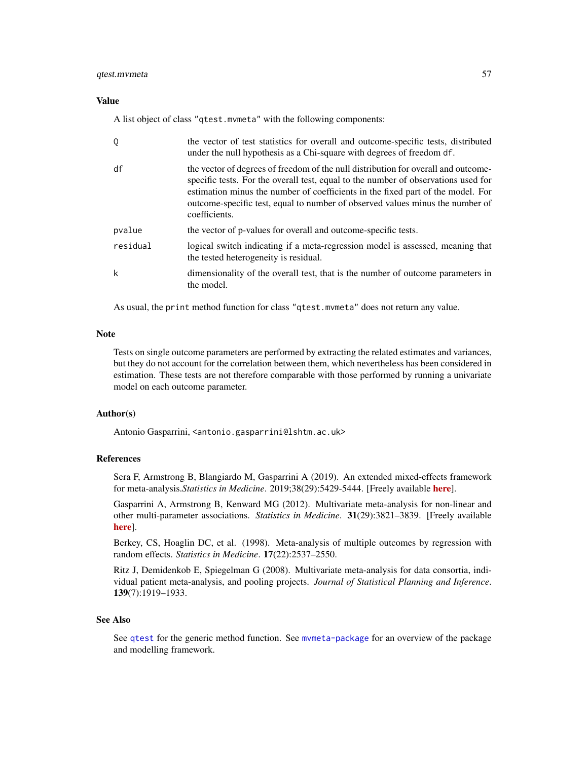# <span id="page-56-0"></span>qtest.mvmeta 57

# Value

A list object of class "qtest.mvmeta" with the following components:

| Q        | the vector of test statistics for overall and outcome-specific tests, distributed<br>under the null hypothesis as a Chi-square with degrees of freedom df.                                                                                                                                                                                                    |
|----------|---------------------------------------------------------------------------------------------------------------------------------------------------------------------------------------------------------------------------------------------------------------------------------------------------------------------------------------------------------------|
| df       | the vector of degrees of freedom of the null distribution for overall and outcome-<br>specific tests. For the overall test, equal to the number of observations used for<br>estimation minus the number of coefficients in the fixed part of the model. For<br>outcome-specific test, equal to number of observed values minus the number of<br>coefficients. |
| pvalue   | the vector of p-values for overall and outcome-specific tests.                                                                                                                                                                                                                                                                                                |
| residual | logical switch indicating if a meta-regression model is assessed, meaning that<br>the tested heterogeneity is residual.                                                                                                                                                                                                                                       |
| k        | dimensionality of the overall test, that is the number of outcome parameters in<br>the model.                                                                                                                                                                                                                                                                 |

As usual, the print method function for class "qtest.mvmeta" does not return any value.

# Note

Tests on single outcome parameters are performed by extracting the related estimates and variances, but they do not account for the correlation between them, which nevertheless has been considered in estimation. These tests are not therefore comparable with those performed by running a univariate model on each outcome parameter.

# Author(s)

Antonio Gasparrini, <antonio.gasparrini@lshtm.ac.uk>

# References

Sera F, Armstrong B, Blangiardo M, Gasparrini A (2019). An extended mixed-effects framework for meta-analysis.*Statistics in Medicine*. 2019;38(29):5429-5444. [Freely available [here](http://www.ag-myresearch.com/2019_sera_statmed.html)].

Gasparrini A, Armstrong B, Kenward MG (2012). Multivariate meta-analysis for non-linear and other multi-parameter associations. *Statistics in Medicine*. 31(29):3821–3839. [Freely available [here](http://www.ag-myresearch.com/2012_gasparrini_statmed.html)].

Berkey, CS, Hoaglin DC, et al. (1998). Meta-analysis of multiple outcomes by regression with random effects. *Statistics in Medicine*. 17(22):2537–2550.

Ritz J, Demidenkob E, Spiegelman G (2008). Multivariate meta-analysis for data consortia, individual patient meta-analysis, and pooling projects. *Journal of Statistical Planning and Inference*. 139(7):1919–1933.

### See Also

See [qtest](#page-54-1) for the generic method function. See [mvmeta-package](#page-1-1) for an overview of the package and modelling framework.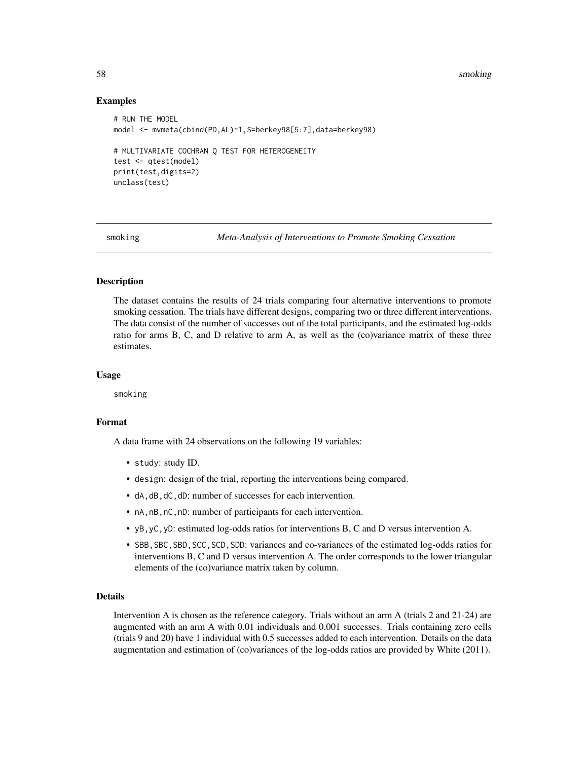<span id="page-57-0"></span>58 smoking

# Examples

```
# RUN THE MODEL
model <- mvmeta(cbind(PD,AL)~1,S=berkey98[5:7],data=berkey98)
# MULTIVARIATE COCHRAN Q TEST FOR HETEROGENEITY
test <- qtest(model)
print(test,digits=2)
unclass(test)
```
<span id="page-57-1"></span>

smoking *Meta-Analysis of Interventions to Promote Smoking Cessation*

# **Description**

The dataset contains the results of 24 trials comparing four alternative interventions to promote smoking cessation. The trials have different designs, comparing two or three different interventions. The data consist of the number of successes out of the total participants, and the estimated log-odds ratio for arms B, C, and D relative to arm A, as well as the (co)variance matrix of these three estimates.

# Usage

smoking

# Format

A data frame with 24 observations on the following 19 variables:

- study: study ID.
- design: design of the trial, reporting the interventions being compared.
- dA,dB,dC,dD: number of successes for each intervention.
- nA,nB,nC,nD: number of participants for each intervention.
- yB,yC,yD: estimated log-odds ratios for interventions B, C and D versus intervention A.
- SBB,SBC,SBD,SCC,SCD,SDD: variances and co-variances of the estimated log-odds ratios for interventions B, C and D versus intervention A. The order corresponds to the lower triangular elements of the (co)variance matrix taken by column.

# Details

Intervention A is chosen as the reference category. Trials without an arm A (trials 2 and 21-24) are augmented with an arm A with 0.01 individuals and 0.001 successes. Trials containing zero cells (trials 9 and 20) have 1 individual with 0.5 successes added to each intervention. Details on the data augmentation and estimation of (co)variances of the log-odds ratios are provided by White (2011).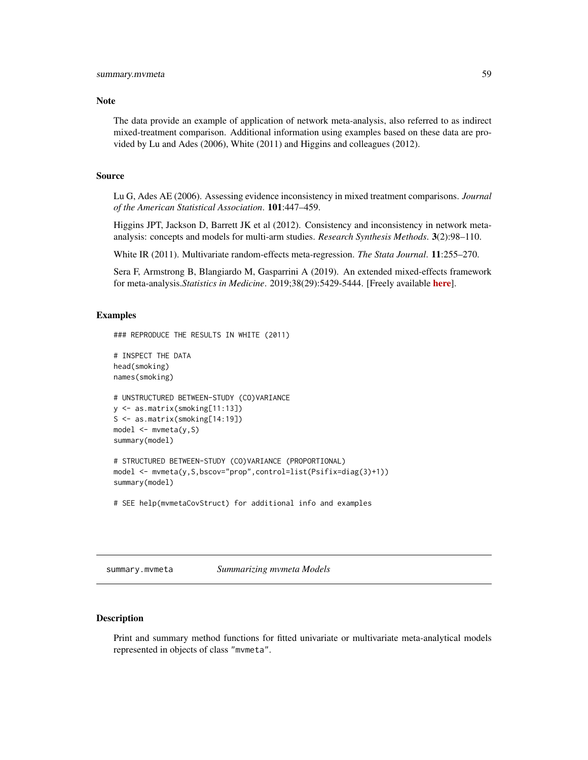### <span id="page-58-0"></span>**Note**

The data provide an example of application of network meta-analysis, also referred to as indirect mixed-treatment comparison. Additional information using examples based on these data are provided by Lu and Ades (2006), White (2011) and Higgins and colleagues (2012).

# Source

Lu G, Ades AE (2006). Assessing evidence inconsistency in mixed treatment comparisons. *Journal of the American Statistical Association*. 101:447–459.

Higgins JPT, Jackson D, Barrett JK et al (2012). Consistency and inconsistency in network metaanalysis: concepts and models for multi-arm studies. *Research Synthesis Methods*. 3(2):98–110.

White IR (2011). Multivariate random-effects meta-regression. *The Stata Journal*. 11:255–270.

Sera F, Armstrong B, Blangiardo M, Gasparrini A (2019). An extended mixed-effects framework for meta-analysis.*Statistics in Medicine*. 2019;38(29):5429-5444. [Freely available [here](http://www.ag-myresearch.com/2019_sera_statmed.html)].

# Examples

```
### REPRODUCE THE RESULTS IN WHITE (2011)
# INSPECT THE DATA
head(smoking)
names(smoking)
# UNSTRUCTURED BETWEEN-STUDY (CO)VARIANCE
y <- as.matrix(smoking[11:13])
S <- as.matrix(smoking[14:19])
model <- mvmeta(y,S)
summary(model)
# STRUCTURED BETWEEN-STUDY (CO)VARIANCE (PROPORTIONAL)
model <- mvmeta(y,S,bscov="prop",control=list(Psifix=diag(3)+1))
summary(model)
```
# SEE help(mvmetaCovStruct) for additional info and examples

<span id="page-58-1"></span>summary.mvmeta *Summarizing mvmeta Models*

### Description

Print and summary method functions for fitted univariate or multivariate meta-analytical models represented in objects of class "mvmeta".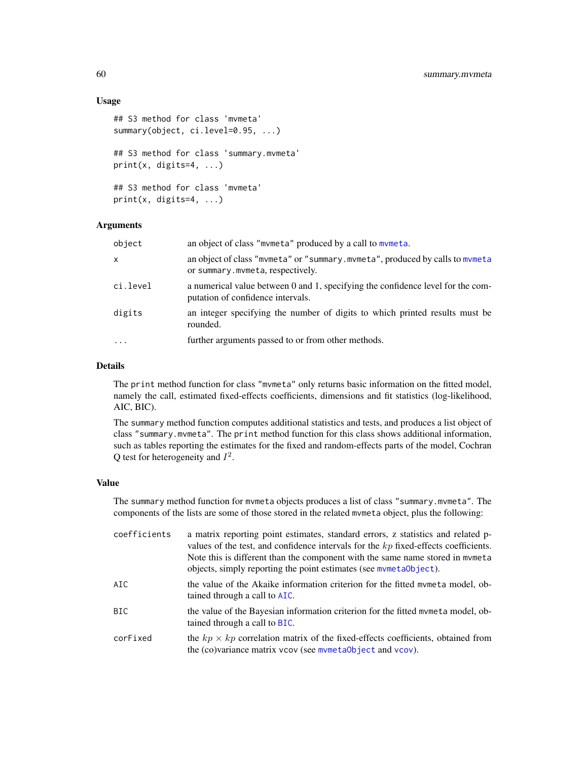# Usage

```
## S3 method for class 'mvmeta'
summary(object, ci.level=0.95, ...)
## S3 method for class 'summary.mvmeta'
print(x, \text{ digits=4}, \ldots)## S3 method for class 'mvmeta'
print(x, \text{ digits=4}, \ldots)
```
# **Arguments**

| object    | an object of class "mvmeta" produced by a call to mvmeta.                                                            |
|-----------|----------------------------------------------------------------------------------------------------------------------|
| X         | an object of class "mvmeta" or "summary.mvmeta", produced by calls to mvmeta<br>or summary.mvmeta, respectively.     |
| ci.level  | a numerical value between 0 and 1, specifying the confidence level for the com-<br>putation of confidence intervals. |
| digits    | an integer specifying the number of digits to which printed results must be<br>rounded.                              |
| $\ddotsc$ | further arguments passed to or from other methods.                                                                   |

# Details

The print method function for class "mvmeta" only returns basic information on the fitted model, namely the call, estimated fixed-effects coefficients, dimensions and fit statistics (log-likelihood, AIC, BIC).

The summary method function computes additional statistics and tests, and produces a list object of class "summary.mvmeta". The print method function for this class shows additional information, such as tables reporting the estimates for the fixed and random-effects parts of the model, Cochran Q test for heterogeneity and  $I^2$ .

### Value

The summary method function for mvmeta objects produces a list of class "summary.mvmeta". The components of the lists are some of those stored in the related mvmeta object, plus the following:

| coefficients | a matrix reporting point estimates, standard errors, z statistics and related p-<br>values of the test, and confidence intervals for the $kp$ fixed-effects coefficients.<br>Note this is different than the component with the same name stored in mymeta<br>objects, simply reporting the point estimates (see mymetaObject). |
|--------------|---------------------------------------------------------------------------------------------------------------------------------------------------------------------------------------------------------------------------------------------------------------------------------------------------------------------------------|
| AIC.         | the value of the Akaike information criterion for the fitted mymeta model, ob-<br>tained through a call to AIC.                                                                                                                                                                                                                 |
| BIC.         | the value of the Bayesian information criterion for the fitted mymeta model, ob-<br>tained through a call to BIC.                                                                                                                                                                                                               |
| corFixed     | the $kp \times kp$ correlation matrix of the fixed-effects coefficients, obtained from<br>the (co)variance matrix vcov (see mymetaObject and vcov).                                                                                                                                                                             |

<span id="page-59-0"></span>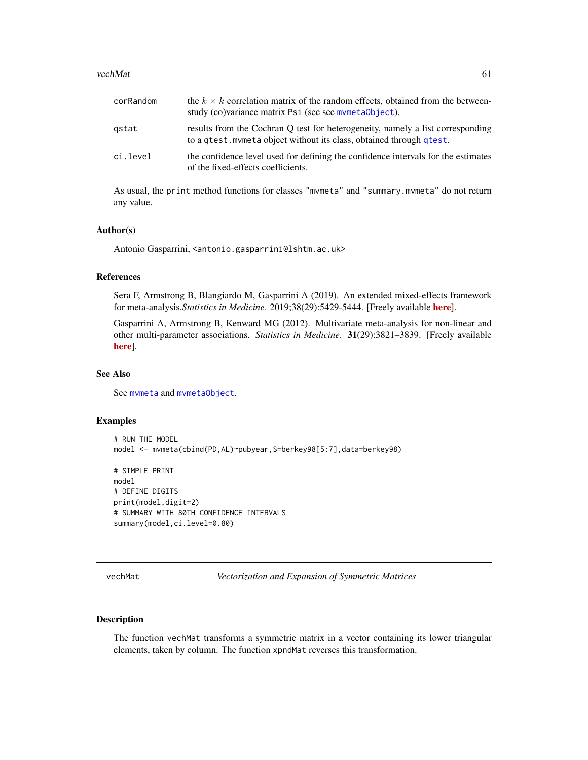### <span id="page-60-0"></span>vechMat 61

| corRandom | the $k \times k$ correlation matrix of the random effects, obtained from the between-<br>study (co)variance matrix Psi (see see mymeta0bject).         |
|-----------|--------------------------------------------------------------------------------------------------------------------------------------------------------|
| gstat     | results from the Cochran Q test for heterogeneity, namely a list corresponding<br>to a gtest. mymeta object without its class, obtained through gtest. |
| ci.level  | the confidence level used for defining the confidence intervals for the estimates<br>of the fixed-effects coefficients.                                |

As usual, the print method functions for classes "mvmeta" and "summary.mvmeta" do not return any value.

# Author(s)

Antonio Gasparrini, <antonio.gasparrini@lshtm.ac.uk>

# References

Sera F, Armstrong B, Blangiardo M, Gasparrini A (2019). An extended mixed-effects framework for meta-analysis.*Statistics in Medicine*. 2019;38(29):5429-5444. [Freely available [here](http://www.ag-myresearch.com/2019_sera_statmed.html)].

Gasparrini A, Armstrong B, Kenward MG (2012). Multivariate meta-analysis for non-linear and other multi-parameter associations. *Statistics in Medicine*. 31(29):3821–3839. [Freely available [here](http://www.ag-myresearch.com/2012_gasparrini_statmed.html)].

# See Also

See [mvmeta](#page-24-1) and [mvmetaObject](#page-44-1).

# Examples

```
# RUN THE MODEL
model <- mvmeta(cbind(PD,AL)~pubyear,S=berkey98[5:7],data=berkey98)
# SIMPLE PRINT
model
# DEFINE DIGITS
print(model,digit=2)
```
# SUMMARY WITH 80TH CONFIDENCE INTERVALS summary(model,ci.level=0.80)

<span id="page-60-1"></span>vechMat *Vectorization and Expansion of Symmetric Matrices*

# <span id="page-60-2"></span>Description

The function vechMat transforms a symmetric matrix in a vector containing its lower triangular elements, taken by column. The function xpndMat reverses this transformation.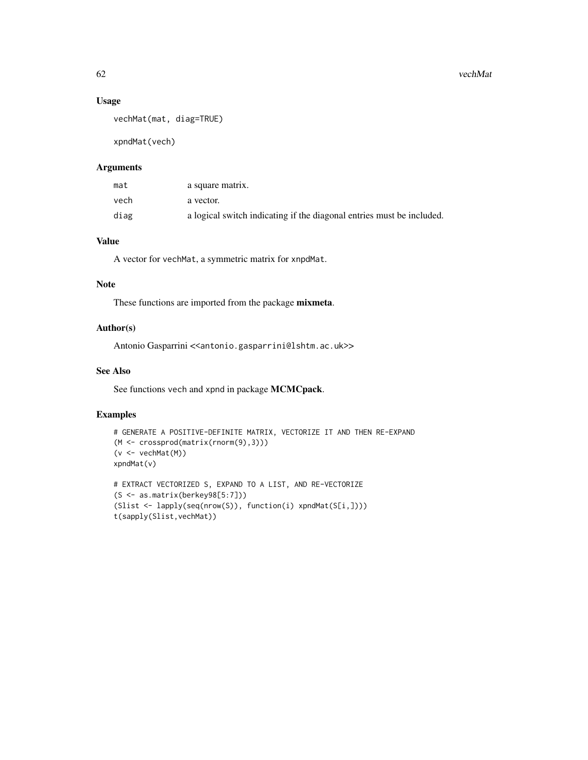# Usage

```
vechMat(mat, diag=TRUE)
```
xpndMat(vech)

# Arguments

| mat  | a square matrix.                                                      |
|------|-----------------------------------------------------------------------|
| vech | a vector.                                                             |
| diag | a logical switch indicating if the diagonal entries must be included. |

# Value

A vector for vechMat, a symmetric matrix for xnpdMat.

# Note

These functions are imported from the package mixmeta.

# Author(s)

Antonio Gasparrini << antonio.gasparrini@lshtm.ac.uk>>

# See Also

See functions vech and xpnd in package MCMCpack.

# Examples

```
# GENERATE A POSITIVE-DEFINITE MATRIX, VECTORIZE IT AND THEN RE-EXPAND
(M <- crossprod(matrix(rnorm(9),3)))
(v <- vechMat(M))
xpndMat(v)
# EXTRACT VECTORIZED S, EXPAND TO A LIST, AND RE-VECTORIZE
(S <- as.matrix(berkey98[5:7]))
```

```
(Slist <- lapply(seq(nrow(S)), function(i) xpndMat(S[i,])))
t(sapply(Slist,vechMat))
```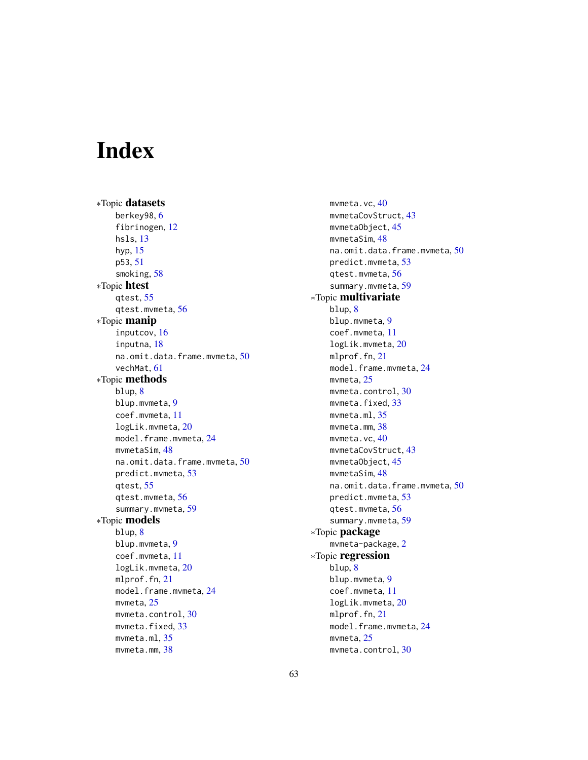# <span id="page-62-0"></span>**Index**

∗Topic datasets berkey98, [6](#page-5-0) fibrinogen, [12](#page-11-0) hsls, [13](#page-12-0) hyp, [15](#page-14-0) p53, [51](#page-50-0) smoking, [58](#page-57-0) ∗Topic htest qtest, [55](#page-54-0) qtest.mvmeta, [56](#page-55-0) ∗Topic manip inputcov, [16](#page-15-0) inputna, [18](#page-17-0) na.omit.data.frame.mvmeta, [50](#page-49-0) vechMat, [61](#page-60-0) ∗Topic methods blup, [8](#page-7-0) blup.mvmeta, [9](#page-8-0) coef.mvmeta, [11](#page-10-0) logLik.mvmeta, [20](#page-19-0) model.frame.mvmeta, [24](#page-23-0) mvmetaSim, [48](#page-47-0) na.omit.data.frame.mvmeta, [50](#page-49-0) predict.mvmeta, [53](#page-52-0) qtest, [55](#page-54-0) qtest.mvmeta, [56](#page-55-0) summary.mvmeta, [59](#page-58-0) ∗Topic models blup, [8](#page-7-0) blup.mvmeta, [9](#page-8-0) coef.mvmeta, [11](#page-10-0) logLik.mvmeta, [20](#page-19-0) mlprof.fn, [21](#page-20-0) model.frame.mvmeta, [24](#page-23-0) mvmeta, [25](#page-24-0) mvmeta.control, [30](#page-29-0) mymeta.fixed.[33](#page-32-0) mvmeta.ml, [35](#page-34-0) mvmeta.mm, [38](#page-37-0)

mvmeta.vc, [40](#page-39-0) mvmetaCovStruct, [43](#page-42-0) mvmetaObject, [45](#page-44-0) mvmetaSim, [48](#page-47-0) na.omit.data.frame.mvmeta, [50](#page-49-0) predict.mvmeta, [53](#page-52-0) qtest.mvmeta, [56](#page-55-0) summary.mvmeta, [59](#page-58-0) ∗Topic multivariate blup, [8](#page-7-0) blup.mvmeta, [9](#page-8-0) coef.mvmeta, [11](#page-10-0) logLik.mvmeta, [20](#page-19-0) mlprof.fn, [21](#page-20-0) model.frame.mvmeta, [24](#page-23-0) mvmeta, [25](#page-24-0) mvmeta.control, [30](#page-29-0) mvmeta.fixed, [33](#page-32-0) mvmeta.ml, [35](#page-34-0) mvmeta.mm, [38](#page-37-0) mvmeta.vc, [40](#page-39-0) mvmetaCovStruct, [43](#page-42-0) mvmetaObject, [45](#page-44-0) mvmetaSim, [48](#page-47-0) na.omit.data.frame.mvmeta, [50](#page-49-0) predict.mvmeta, [53](#page-52-0) qtest.mvmeta, [56](#page-55-0) summary.mvmeta, [59](#page-58-0) ∗Topic package mvmeta-package, [2](#page-1-0) ∗Topic regression blup, [8](#page-7-0) blup.mvmeta, [9](#page-8-0) coef.mvmeta, [11](#page-10-0) logLik.mvmeta, [20](#page-19-0) mlprof.fn, [21](#page-20-0) model.frame.mvmeta, [24](#page-23-0) mvmeta, [25](#page-24-0) mvmeta.control, [30](#page-29-0)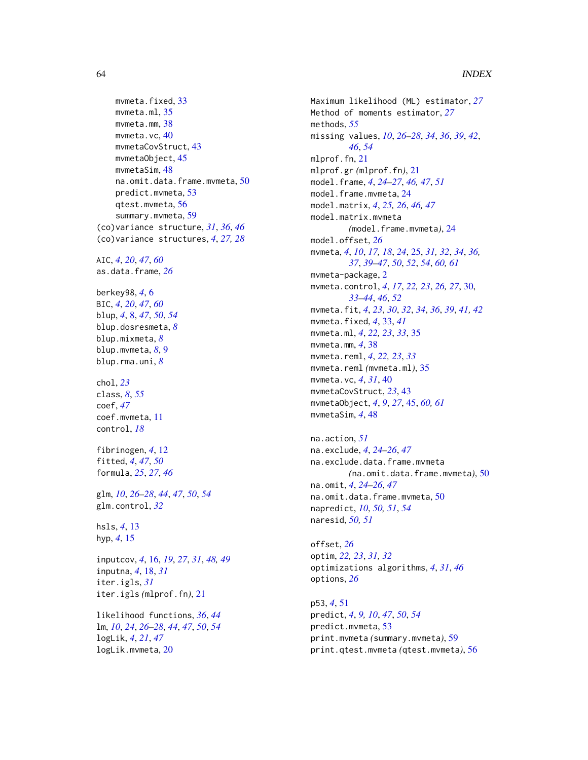```
33
    mvmeta.ml, 35
    mvmeta.mm, 38
    mvmeta.vc, 40
    mvmetaCovStruct, 43
    mvmetaObject, 45
    mvmetaSim, 48
    na.omit.data.frame.mvmeta, 50
    predict.mvmeta, 53
    qtest.mvmeta, 56
    59
(co)variance structure, 31, 36, 46
(co)variance structures, 4, 27, 28
AIC, 4, 20, 47, 60
as.data.frame, 26
berkey98, 4, 6
BIC, 4, 20, 47, 60
blup, 4, 8, 47, 50, 54
blup.dosresmeta, 8
blup.mixmeta, 8
blup.mvmeta, 8, 9
blup.rma.uni, 8
chol, 23
class, 8, 55
coef, 47
coef.mvmeta, 11
control, 18
fibrinogen, 4, 12
fitted, 4, 47, 50
formula, 25, 27, 46
glm, 10, 26–28, 44, 47, 50, 54
glm.control, 32
hsls, 4, 13
hyp, 4, 15
inputcov, 4, 16, 19, 27, 31, 48, 49
inputna, 4, 18, 31
iter.igls, 31
iter.igls (mlprof.fn), 21
likelihood functions, 36, 44
lm, 10, 24, 26–28, 44, 47, 50, 54
logLik, 4, 21, 47
logLik.mvmeta, 20
```
Maximum likelihood (ML) estimator, *[27](#page-26-0)* Method of moments estimator, *[27](#page-26-0)* methods, *[55](#page-54-0)* missing values, *[10](#page-9-0)*, *[26](#page-25-0)[–28](#page-27-0)*, *[34](#page-33-0)*, *[36](#page-35-0)*, *[39](#page-38-0)*, *[42](#page-41-0)*, *[46](#page-45-0)*, *[54](#page-53-0)* mlprof.fn, [21](#page-20-0) mlprof.gr *(*mlprof.fn*)*, [21](#page-20-0) model.frame, *[4](#page-3-0)*, *[24](#page-23-0)[–27](#page-26-0)*, *[46,](#page-45-0) [47](#page-46-0)*, *[51](#page-50-0)* model.frame.mvmeta, [24](#page-23-0) model.matrix, *[4](#page-3-0)*, *[25,](#page-24-0) [26](#page-25-0)*, *[46,](#page-45-0) [47](#page-46-0)* model.matrix.mvmeta *(*model.frame.mvmeta*)*, [24](#page-23-0) model.offset, *[26](#page-25-0)* mvmeta, *[4](#page-3-0)*, *[10](#page-9-0)*, *[17,](#page-16-0) [18](#page-17-0)*, *[24](#page-23-0)*, [25,](#page-24-0) *[31,](#page-30-0) [32](#page-31-0)*, *[34](#page-33-0)*, *[36,](#page-35-0) [37](#page-36-0)*, *[39](#page-38-0)[–47](#page-46-0)*, *[50](#page-49-0)*, *[52](#page-51-0)*, *[54](#page-53-0)*, *[60,](#page-59-0) [61](#page-60-0)* mvmeta-package, [2](#page-1-0) mvmeta.control, *[4](#page-3-0)*, *[17](#page-16-0)*, *[22,](#page-21-0) [23](#page-22-0)*, *[26,](#page-25-0) [27](#page-26-0)*, [30,](#page-29-0) *[33](#page-32-0)[–44](#page-43-0)*, *[46](#page-45-0)*, *[52](#page-51-0)* mvmeta.fit, *[4](#page-3-0)*, *[23](#page-22-0)*, *[30](#page-29-0)*, *[32](#page-31-0)*, *[34](#page-33-0)*, *[36](#page-35-0)*, *[39](#page-38-0)*, *[41,](#page-40-0) [42](#page-41-0)* mvmeta.fixed, *[4](#page-3-0)*, [33,](#page-32-0) *[41](#page-40-0)* mvmeta.ml, *[4](#page-3-0)*, *[22,](#page-21-0) [23](#page-22-0)*, *[33](#page-32-0)*, [35](#page-34-0) mvmeta.mm, *[4](#page-3-0)*, [38](#page-37-0) mvmeta.reml, *[4](#page-3-0)*, *[22,](#page-21-0) [23](#page-22-0)*, *[33](#page-32-0)* mvmeta.reml *(*mvmeta.ml*)*, [35](#page-34-0) mvmeta.vc, *[4](#page-3-0)*, *[31](#page-30-0)*, [40](#page-39-0) mvmetaCovStruct, *[23](#page-22-0)*, [43](#page-42-0) mvmetaObject, *[4](#page-3-0)*, *[9](#page-8-0)*, *[27](#page-26-0)*, [45,](#page-44-0) *[60,](#page-59-0) [61](#page-60-0)* mvmetaSim, *[4](#page-3-0)*, [48](#page-47-0)

```
na.action, 51
na.exclude, 4, 24–26, 47
na.exclude.data.frame.mvmeta
         (na.omit.data.frame.mvmeta), 50
na.omit, 4, 24–26, 47
na.omit.data.frame.mvmeta, 50
napredict, 10, 50, 51, 54
naresid, 50, 51
```
offset, *[26](#page-25-0)* optim, *[22,](#page-21-0) [23](#page-22-0)*, *[31,](#page-30-0) [32](#page-31-0)* optimizations algorithms, *[4](#page-3-0)*, *[31](#page-30-0)*, *[46](#page-45-0)* options, *[26](#page-25-0)*

p53, *[4](#page-3-0)*, [51](#page-50-0) predict, *[4](#page-3-0)*, *[9,](#page-8-0) [10](#page-9-0)*, *[47](#page-46-0)*, *[50](#page-49-0)*, *[54](#page-53-0)* predict.mvmeta, [53](#page-52-0) print.mvmeta *(*summary.mvmeta*)*, [59](#page-58-0) print.qtest.mvmeta *(*qtest.mvmeta*)*, [56](#page-55-0)